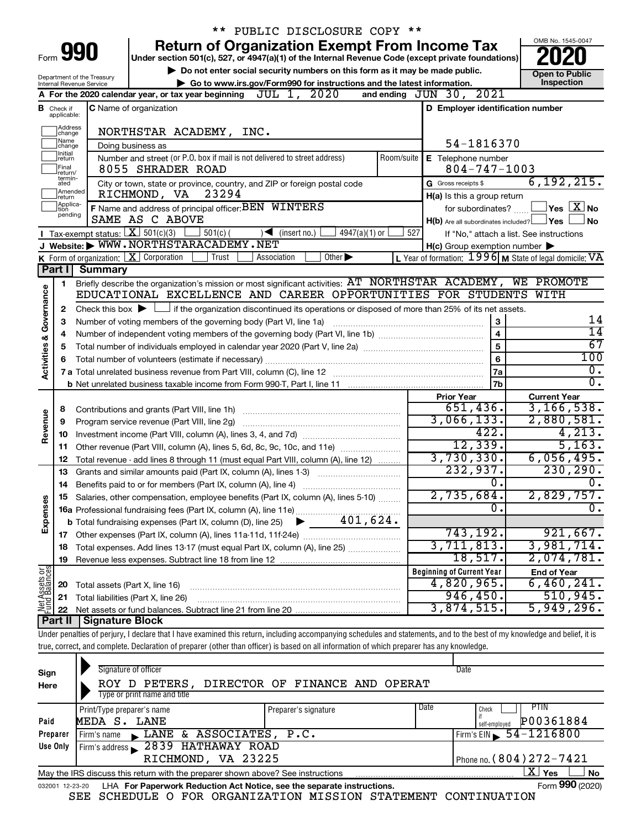|                         |                               |                                                                                                                                           | ** PUBLIC DISCLOSURE COPY **                                                                                                                                               |                                                           |                       |                                          |  |  |  |  |  |
|-------------------------|-------------------------------|-------------------------------------------------------------------------------------------------------------------------------------------|----------------------------------------------------------------------------------------------------------------------------------------------------------------------------|-----------------------------------------------------------|-----------------------|------------------------------------------|--|--|--|--|--|
| Form 990                |                               |                                                                                                                                           | <b>Return of Organization Exempt From Income Tax</b><br>Under section 501(c), 527, or 4947(a)(1) of the Internal Revenue Code (except private foundations)                 |                                                           |                       | OMB No. 1545-0047                        |  |  |  |  |  |
|                         |                               |                                                                                                                                           | Do not enter social security numbers on this form as it may be made public.                                                                                                |                                                           | <b>Open to Public</b> |                                          |  |  |  |  |  |
|                         |                               | Department of the Treasury<br>Internal Revenue Service                                                                                    | Go to www.irs.gov/Form990 for instructions and the latest information.                                                                                                     |                                                           |                       | Inspection                               |  |  |  |  |  |
|                         |                               |                                                                                                                                           | JUL 1, 2020<br>A For the 2020 calendar year, or tax year beginning                                                                                                         | and ending $JUN$ $30$ , $2021$                            |                       |                                          |  |  |  |  |  |
|                         | <b>B</b> Check if applicable: |                                                                                                                                           | <b>C</b> Name of organization                                                                                                                                              | D Employer identification number                          |                       |                                          |  |  |  |  |  |
|                         | Address<br> change            |                                                                                                                                           | NORTHSTAR ACADEMY, INC.                                                                                                                                                    |                                                           |                       |                                          |  |  |  |  |  |
|                         | Name<br>change                |                                                                                                                                           | Doing business as                                                                                                                                                          | 54-1816370                                                |                       |                                          |  |  |  |  |  |
|                         | Initial<br>return             |                                                                                                                                           | Number and street (or P.O. box if mail is not delivered to street address)<br>Room/suite                                                                                   | <b>E</b> Telephone number                                 |                       |                                          |  |  |  |  |  |
|                         | Final<br>return/              |                                                                                                                                           | 8055 SHRADER ROAD                                                                                                                                                          | $804 - 747 - 1003$                                        |                       |                                          |  |  |  |  |  |
|                         | termin-<br>ated               |                                                                                                                                           | City or town, state or province, country, and ZIP or foreign postal code                                                                                                   | G Gross receipts \$                                       |                       | 6, 192, 215.                             |  |  |  |  |  |
|                         | Amended<br>return             |                                                                                                                                           | RICHMOND, VA<br>23294                                                                                                                                                      | H(a) Is this a group return                               |                       |                                          |  |  |  |  |  |
|                         | Applica-<br>Ition             |                                                                                                                                           | F Name and address of principal officer: BEN WINTERS                                                                                                                       | for subordinates?                                         |                       | $Yes \quad \boxed{X}$ No                 |  |  |  |  |  |
|                         | pending                       |                                                                                                                                           | SAME AS C ABOVE                                                                                                                                                            | $H(b)$ Are all subordinates included? $\Box$ Yes          |                       | l No                                     |  |  |  |  |  |
|                         |                               | <b>I</b> Tax-exempt status: $X \ 501(c)(3)$                                                                                               | $501(c)$ (<br>$4947(a)(1)$ or<br>$\blacktriangleleft$ (insert no.)                                                                                                         | 527                                                       |                       | If "No," attach a list. See instructions |  |  |  |  |  |
|                         |                               |                                                                                                                                           | J Website: WWW.NORTHSTARACADEMY.NET                                                                                                                                        | $H(c)$ Group exemption number $\blacktriangleright$       |                       |                                          |  |  |  |  |  |
|                         |                               |                                                                                                                                           | <b>K</b> Form of organization: $\boxed{\textbf{X}}$ Corporation<br>Trust<br>Other $\blacktriangleright$<br>Association                                                     | L Year of formation: $1996$ M State of legal domicile: VA |                       |                                          |  |  |  |  |  |
|                         | Part I                        | <b>Summary</b>                                                                                                                            |                                                                                                                                                                            |                                                           |                       |                                          |  |  |  |  |  |
|                         | 1                             |                                                                                                                                           | Briefly describe the organization's mission or most significant activities: AT NORTHSTAR ACADEMY, WE PROMOTE                                                               |                                                           |                       |                                          |  |  |  |  |  |
|                         |                               |                                                                                                                                           | EDUCATIONAL EXCELLENCE AND CAREER OPPORTUNITIES FOR STUDENTS WITH                                                                                                          |                                                           |                       |                                          |  |  |  |  |  |
| Governance              | $\mathbf{2}$                  | Check this box $\blacktriangleright \Box$ if the organization discontinued its operations or disposed of more than 25% of its net assets. |                                                                                                                                                                            |                                                           |                       |                                          |  |  |  |  |  |
|                         | 3                             |                                                                                                                                           | Number of voting members of the governing body (Part VI, line 1a)                                                                                                          | 3                                                         |                       | 14                                       |  |  |  |  |  |
|                         | 4                             |                                                                                                                                           |                                                                                                                                                                            | $\overline{\mathbf{4}}$                                   |                       | $\overline{14}$                          |  |  |  |  |  |
|                         | 5                             |                                                                                                                                           |                                                                                                                                                                            | 5                                                         |                       | 67                                       |  |  |  |  |  |
|                         | 6                             |                                                                                                                                           |                                                                                                                                                                            | 6                                                         |                       | 100                                      |  |  |  |  |  |
| <b>Activities &amp;</b> |                               |                                                                                                                                           |                                                                                                                                                                            | 7a                                                        |                       | Ο.                                       |  |  |  |  |  |
|                         |                               |                                                                                                                                           |                                                                                                                                                                            | 7b                                                        |                       | $\overline{0}$ .                         |  |  |  |  |  |
|                         |                               |                                                                                                                                           |                                                                                                                                                                            | <b>Prior Year</b>                                         |                       | <b>Current Year</b>                      |  |  |  |  |  |
|                         | 8                             |                                                                                                                                           |                                                                                                                                                                            | 651,436.                                                  |                       | 3, 166, 538.                             |  |  |  |  |  |
|                         | 9                             |                                                                                                                                           |                                                                                                                                                                            | 3,066,133.                                                |                       | 2,880,581.                               |  |  |  |  |  |
| Revenue                 | 10                            |                                                                                                                                           |                                                                                                                                                                            | 422.                                                      |                       | 4,213.                                   |  |  |  |  |  |
|                         | 11                            |                                                                                                                                           | Other revenue (Part VIII, column (A), lines 5, 6d, 8c, 9c, 10c, and 11e)                                                                                                   | 12,339.                                                   |                       | 5,163.                                   |  |  |  |  |  |
|                         | 12                            |                                                                                                                                           | Total revenue - add lines 8 through 11 (must equal Part VIII, column (A), line 12)                                                                                         | 3,730,330.                                                |                       | 6,056,495.                               |  |  |  |  |  |
|                         | 13                            |                                                                                                                                           | Grants and similar amounts paid (Part IX, column (A), lines 1-3)                                                                                                           | 232,937.                                                  |                       | 230, 290.                                |  |  |  |  |  |
|                         | 14                            |                                                                                                                                           | Benefits paid to or for members (Part IX, column (A), line 4)                                                                                                              | σ.                                                        |                       | $\overline{\mathbf{0}}$ .                |  |  |  |  |  |
|                         |                               |                                                                                                                                           | 15 Salaries, other compensation, employee benefits (Part IX, column (A), lines 5-10)                                                                                       | 2,735,684.                                                |                       | 2,829,757.                               |  |  |  |  |  |
|                         |                               |                                                                                                                                           | 16a Professional fundraising fees (Part IX, column (A), line 11e)                                                                                                          | О.                                                        |                       | $\overline{0}$ .                         |  |  |  |  |  |
| Expenses                |                               |                                                                                                                                           | 401,624.<br><b>b</b> Total fundraising expenses (Part IX, column (D), line 25)                                                                                             |                                                           |                       |                                          |  |  |  |  |  |
|                         |                               |                                                                                                                                           |                                                                                                                                                                            | 743,192.                                                  |                       | 921,667.                                 |  |  |  |  |  |
|                         | 17                            |                                                                                                                                           | Total expenses. Add lines 13-17 (must equal Part IX, column (A), line 25)                                                                                                  | 3,711,813.                                                |                       | 3,981,714.                               |  |  |  |  |  |
|                         | 18                            |                                                                                                                                           |                                                                                                                                                                            | 18,517.                                                   |                       | 2,074,781.                               |  |  |  |  |  |
|                         | 19                            |                                                                                                                                           |                                                                                                                                                                            | <b>Beginning of Current Year</b>                          |                       | <b>End of Year</b>                       |  |  |  |  |  |
|                         |                               |                                                                                                                                           |                                                                                                                                                                            |                                                           |                       | 6,460,241.                               |  |  |  |  |  |
| Net Assets or           | 20                            | Total assets (Part X, line 16)                                                                                                            |                                                                                                                                                                            | 946,450.                                                  | 4,820,965.            |                                          |  |  |  |  |  |
|                         | 21                            |                                                                                                                                           | Total liabilities (Part X, line 26)                                                                                                                                        | 3,874,515.                                                |                       | 510,945.<br>5,949,296.                   |  |  |  |  |  |
|                         | 22                            |                                                                                                                                           |                                                                                                                                                                            |                                                           |                       |                                          |  |  |  |  |  |
|                         | Part II                       | <b>Signature Block</b>                                                                                                                    |                                                                                                                                                                            |                                                           |                       |                                          |  |  |  |  |  |
|                         |                               |                                                                                                                                           | Under penalties of perjury, I declare that I have examined this return, including accompanying schedules and statements, and to the best of my knowledge and belief, it is |                                                           |                       |                                          |  |  |  |  |  |
|                         |                               |                                                                                                                                           | true, correct, and complete. Declaration of preparer (other than officer) is based on all information of which preparer has any knowledge.                                 |                                                           |                       |                                          |  |  |  |  |  |

| Sign<br>Here    | Signature of officer<br>ROY D PETERS,<br>Type or print name and title           | DIRECTOR OF FINANCE AND OPERAT |      | Date                         |
|-----------------|---------------------------------------------------------------------------------|--------------------------------|------|------------------------------|
|                 | Print/Type preparer's name                                                      | Preparer's signature           | Date | PTIN<br>Check                |
| Paid            | MEDA S. LANE                                                                    |                                |      | P00361884<br>self-emploved   |
| Preparer        | LANE & ASSOCIATES, P.C.<br>Firm's name                                          |                                |      | Firm's EIN $\, 54 - 1216800$ |
| Use Only        | Firm's address 2839 HATHAWAY ROAD                                               |                                |      |                              |
|                 | RICHMOND, VA 23225                                                              |                                |      | Phone no. (804) 272-7421     |
|                 | May the IRS discuss this return with the preparer shown above? See instructions |                                |      | X.<br><b>No</b><br>Yes       |
| 032001 12-23-20 | LHA For Paperwork Reduction Act Notice, see the separate instructions.          |                                |      | Form 990 (2020)              |

SEE SCHEDULE O FOR ORGANIZATION MISSION STATEMENT CONTINUATION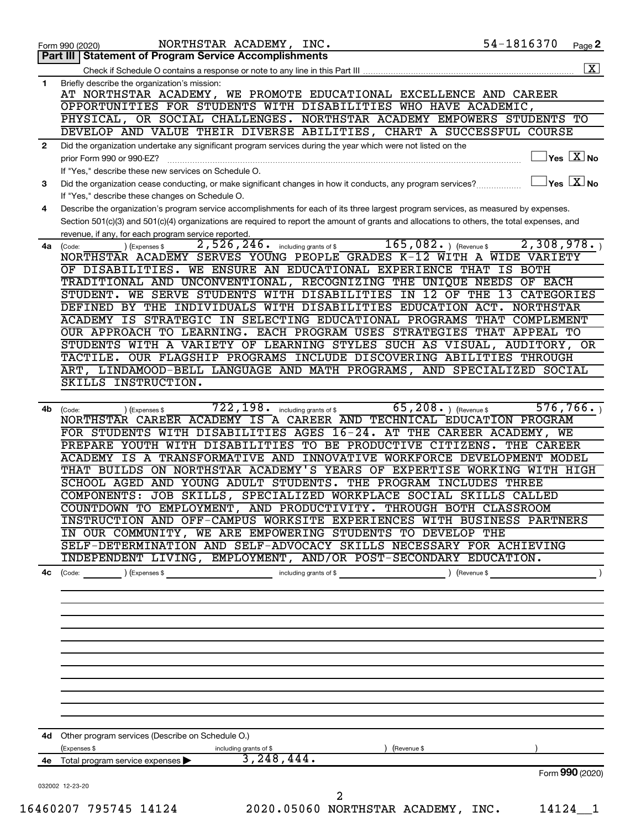|              | 54-1816370<br>NORTHSTAR ACADEMY, INC.<br>Page 2<br>Form 990 (2020)<br>Part III<br><b>Statement of Program Service Accomplishments</b>                               |
|--------------|---------------------------------------------------------------------------------------------------------------------------------------------------------------------|
|              |                                                                                                                                                                     |
| 1            | Briefly describe the organization's mission:                                                                                                                        |
|              | AT NORTHSTAR ACADEMY, WE PROMOTE EDUCATIONAL EXCELLENCE AND CAREER                                                                                                  |
|              | OPPORTUNITIES FOR STUDENTS WITH DISABILITIES WHO HAVE ACADEMIC,                                                                                                     |
|              | PHYSICAL, OR SOCIAL CHALLENGES. NORTHSTAR ACADEMY EMPOWERS STUDENTS TO                                                                                              |
|              | DEVELOP AND VALUE THEIR DIVERSE ABILITIES, CHART A SUCCESSFUL COURSE                                                                                                |
|              |                                                                                                                                                                     |
| $\mathbf{2}$ | Did the organization undertake any significant program services during the year which were not listed on the<br>$\sqrt{}$ Yes $\sqrt{}\,$ X $\sqrt{}\,$ No          |
|              | prior Form 990 or 990-EZ?                                                                                                                                           |
|              | If "Yes," describe these new services on Schedule O.                                                                                                                |
| 3            | $\sqrt{}$ Yes $\sqrt{}\frac{\text{X}}{\text{N}}$ No<br>Did the organization cease conducting, or make significant changes in how it conducts, any program services? |
|              | If "Yes," describe these changes on Schedule O.                                                                                                                     |
| 4            | Describe the organization's program service accomplishments for each of its three largest program services, as measured by expenses.                                |
|              | Section 501(c)(3) and 501(c)(4) organizations are required to report the amount of grants and allocations to others, the total expenses, and                        |
|              | revenue, if any, for each program service reported.                                                                                                                 |
| 4a           | 165,082.<br>2,308,978.<br>2,526,246.<br>) (Revenue \$<br>) (Expenses \$<br>including grants of \$<br>(Code:                                                         |
|              | NORTHSTAR ACADEMY SERVES YOUNG PEOPLE GRADES K-12 WITH A WIDE VARIETY                                                                                               |
|              | OF DISABILITIES. WE ENSURE AN EDUCATIONAL EXPERIENCE THAT IS BOTH                                                                                                   |
|              | TRADITIONAL AND UNCONVENTIONAL, RECOGNIZING THE UNIQUE NEEDS<br>OF EACH                                                                                             |
|              | STUDENT. WE SERVE STUDENTS WITH DISABILITIES IN 12 OF THE<br>CATEGORIES<br>13                                                                                       |
|              | DEFINED BY THE INDIVIDUALS WITH DISABILITIES EDUCATION ACT.<br>NORTHSTAR                                                                                            |
|              | ACADEMY IS STRATEGIC IN SELECTING EDUCATIONAL PROGRAMS<br>THAT<br>COMPLEMENT                                                                                        |
|              | OUR APPROACH TO LEARNING. EACH PROGRAM USES STRATEGIES<br>THAT APPEAL TO                                                                                            |
|              |                                                                                                                                                                     |
|              | STUDENTS WITH A VARIETY OF LEARNING STYLES SUCH AS VISUAL,<br>AUDITORY, OR                                                                                          |
|              | OUR FLAGSHIP PROGRAMS INCLUDE DISCOVERING ABILITIES THROUGH<br>TACTILE.                                                                                             |
|              | LINDAMOOD-BELL LANGUAGE AND MATH PROGRAMS, AND SPECIALIZED SOCIAL<br>ART.                                                                                           |
|              | SKILLS INSTRUCTION.                                                                                                                                                 |
|              |                                                                                                                                                                     |
| 4b           | 722,198.<br>65, 208. $($ Revenue \$<br>576, 766.<br>including grants of \$<br>(Code:<br>) (Expenses \$                                                              |
|              | NORTHSTAR CAREER ACADEMY IS A CAREER AND TECHNICAL EDUCATION PROGRAM                                                                                                |
|              | FOR STUDENTS WITH DISABILITIES AGES 16-24. AT THE CAREER ACADEMY, WE                                                                                                |
|              | PREPARE YOUTH WITH DISABILITIES TO BE PRODUCTIVE CITIZENS.<br>THE CAREER                                                                                            |
|              | ACADEMY IS A TRANSFORMATIVE AND<br>INNOVATIVE WORKFORCE DEVELOPMENT MODEL                                                                                           |
|              | THAT BUILDS ON NORTHSTAR ACADEMY'S YEARS OF EXPERTISE WORKING WITH HIGH                                                                                             |
|              | SCHOOL AGED AND YOUNG ADULT STUDENTS.<br>THE PROGRAM INCLUDES THREE                                                                                                 |
|              | COMPONENTS: JOB SKILLS, SPECIALIZED WORKPLACE SOCIAL SKILLS CALLED                                                                                                  |
|              | COUNTDOWN TO EMPLOYMENT, AND PRODUCTIVITY. THROUGH BOTH CLASSROOM                                                                                                   |
|              | INSTRUCTION AND OFF-CAMPUS WORKSITE EXPERIENCES WITH BUSINESS PARTNERS                                                                                              |
|              | IN OUR COMMUNITY, WE ARE EMPOWERING STUDENTS TO DEVELOP THE                                                                                                         |
|              | SELF-DETERMINATION AND SELF-ADVOCACY SKILLS NECESSARY FOR ACHIEVING                                                                                                 |
|              | INDEPENDENT LIVING, EMPLOYMENT, AND/OR POST-SECONDARY EDUCATION.                                                                                                    |
|              |                                                                                                                                                                     |
|              |                                                                                                                                                                     |
|              |                                                                                                                                                                     |
|              |                                                                                                                                                                     |
|              |                                                                                                                                                                     |
|              |                                                                                                                                                                     |
|              |                                                                                                                                                                     |
|              |                                                                                                                                                                     |
|              |                                                                                                                                                                     |
|              |                                                                                                                                                                     |
|              |                                                                                                                                                                     |
|              |                                                                                                                                                                     |
|              |                                                                                                                                                                     |
|              |                                                                                                                                                                     |
|              | 4d Other program services (Describe on Schedule O.)                                                                                                                 |
|              |                                                                                                                                                                     |
|              | (Expenses \$<br>) (Revenue \$<br>including grants of \$                                                                                                             |
|              | 3, 248, 444.<br>4e Total program service expenses >                                                                                                                 |
|              | Form 990 (2020)                                                                                                                                                     |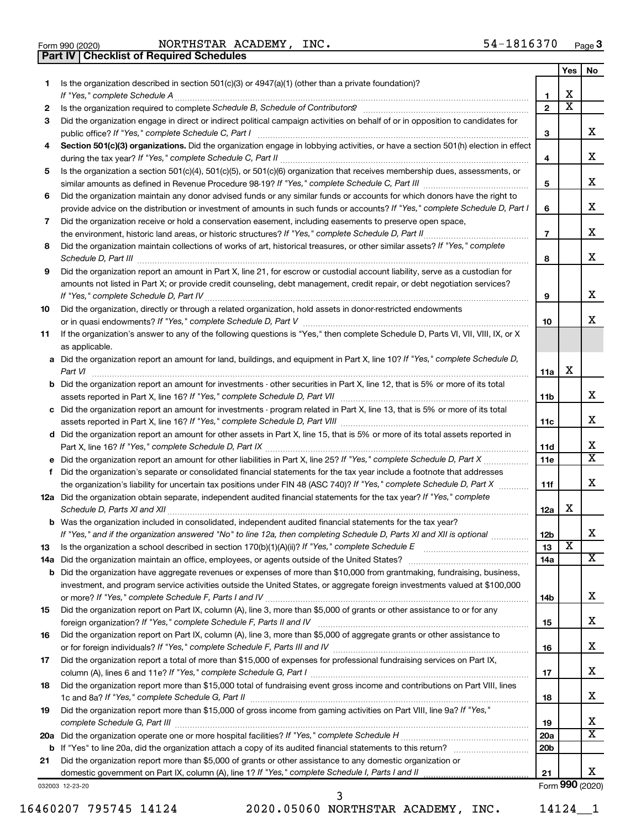**Part IV Checklist of Required Schedules**

Form 990 (2020) Page NORTHSTAR ACADEMY, INC. 54-1816370

|     |                                                                                                                                       |                 | Yes                     | No              |
|-----|---------------------------------------------------------------------------------------------------------------------------------------|-----------------|-------------------------|-----------------|
| 1.  | Is the organization described in section $501(c)(3)$ or $4947(a)(1)$ (other than a private foundation)?                               |                 |                         |                 |
|     |                                                                                                                                       | 1               | х                       |                 |
| 2   |                                                                                                                                       | $\mathbf{2}$    | х                       |                 |
| З   | Did the organization engage in direct or indirect political campaign activities on behalf of or in opposition to candidates for       |                 |                         |                 |
|     | public office? If "Yes," complete Schedule C, Part I                                                                                  | 3               |                         | x.              |
| 4   | Section 501(c)(3) organizations. Did the organization engage in lobbying activities, or have a section 501(h) election in effect      |                 |                         |                 |
|     |                                                                                                                                       | 4               |                         | х               |
| 5   | Is the organization a section 501(c)(4), 501(c)(5), or 501(c)(6) organization that receives membership dues, assessments, or          |                 |                         | х               |
|     |                                                                                                                                       | 5               |                         |                 |
| 6   | Did the organization maintain any donor advised funds or any similar funds or accounts for which donors have the right to             |                 |                         | х               |
|     | provide advice on the distribution or investment of amounts in such funds or accounts? If "Yes," complete Schedule D, Part I          | 6               |                         |                 |
| 7   | Did the organization receive or hold a conservation easement, including easements to preserve open space,                             | $\overline{7}$  |                         | х               |
|     | Did the organization maintain collections of works of art, historical treasures, or other similar assets? If "Yes," complete          |                 |                         |                 |
| 8   |                                                                                                                                       | 8               |                         | x               |
| 9   | Did the organization report an amount in Part X, line 21, for escrow or custodial account liability, serve as a custodian for         |                 |                         |                 |
|     | amounts not listed in Part X; or provide credit counseling, debt management, credit repair, or debt negotiation services?             |                 |                         |                 |
|     |                                                                                                                                       | 9               |                         | x               |
| 10  | Did the organization, directly or through a related organization, hold assets in donor-restricted endowments                          |                 |                         |                 |
|     |                                                                                                                                       | 10              |                         | x               |
| 11  | If the organization's answer to any of the following questions is "Yes," then complete Schedule D, Parts VI, VII, VIII, IX, or X      |                 |                         |                 |
|     | as applicable.                                                                                                                        |                 |                         |                 |
|     | a Did the organization report an amount for land, buildings, and equipment in Part X, line 10? If "Yes," complete Schedule D,         |                 |                         |                 |
|     | Part VI                                                                                                                               | 11a             | X                       |                 |
|     | <b>b</b> Did the organization report an amount for investments - other securities in Part X, line 12, that is 5% or more of its total |                 |                         |                 |
|     |                                                                                                                                       | 11b             |                         | х               |
|     | c Did the organization report an amount for investments - program related in Part X, line 13, that is 5% or more of its total         |                 |                         |                 |
|     |                                                                                                                                       | 11c             |                         | х               |
|     | d Did the organization report an amount for other assets in Part X, line 15, that is 5% or more of its total assets reported in       |                 |                         |                 |
|     |                                                                                                                                       | 11d             |                         | х               |
|     |                                                                                                                                       | 11e             |                         | x               |
| f   | Did the organization's separate or consolidated financial statements for the tax year include a footnote that addresses               |                 |                         |                 |
|     | the organization's liability for uncertain tax positions under FIN 48 (ASC 740)? If "Yes," complete Schedule D, Part X                | 11f             |                         | х               |
|     | 12a Did the organization obtain separate, independent audited financial statements for the tax year? If "Yes," complete               |                 |                         |                 |
|     |                                                                                                                                       | 12a             | X                       |                 |
|     | <b>b</b> Was the organization included in consolidated, independent audited financial statements for the tax year?                    |                 |                         |                 |
|     | If "Yes," and if the organization answered "No" to line 12a, then completing Schedule D, Parts XI and XII is optional                 | 12 <sub>b</sub> |                         | x               |
| 13  |                                                                                                                                       | 13              | $\overline{\mathbf{X}}$ |                 |
| 14a |                                                                                                                                       | 14a             |                         | X.              |
| b   | Did the organization have aggregate revenues or expenses of more than \$10,000 from grantmaking, fundraising, business,               |                 |                         |                 |
|     | investment, and program service activities outside the United States, or aggregate foreign investments valued at \$100,000            |                 |                         |                 |
|     |                                                                                                                                       | 14b             |                         | х               |
| 15  | Did the organization report on Part IX, column (A), line 3, more than \$5,000 of grants or other assistance to or for any             |                 |                         | х               |
|     |                                                                                                                                       | 15              |                         |                 |
| 16  | Did the organization report on Part IX, column (A), line 3, more than \$5,000 of aggregate grants or other assistance to              | 16              |                         | х               |
|     | Did the organization report a total of more than \$15,000 of expenses for professional fundraising services on Part IX,               |                 |                         |                 |
| 17  |                                                                                                                                       | 17              |                         | х               |
| 18  | Did the organization report more than \$15,000 total of fundraising event gross income and contributions on Part VIII, lines          |                 |                         |                 |
|     |                                                                                                                                       | 18              |                         | х               |
| 19  | Did the organization report more than \$15,000 of gross income from gaming activities on Part VIII, line 9a? If "Yes,"                |                 |                         |                 |
|     |                                                                                                                                       | 19              |                         | x               |
|     |                                                                                                                                       | 20a             |                         | x               |
|     |                                                                                                                                       | 20 <sub>b</sub> |                         |                 |
| 21  | Did the organization report more than \$5,000 of grants or other assistance to any domestic organization or                           |                 |                         |                 |
|     |                                                                                                                                       | 21              |                         | x.              |
|     | 032003 12-23-20                                                                                                                       |                 |                         | Form 990 (2020) |

16460207 795745 14124 2020.05060 NORTHSTAR ACADEMY, INC. 14124\_\_1

3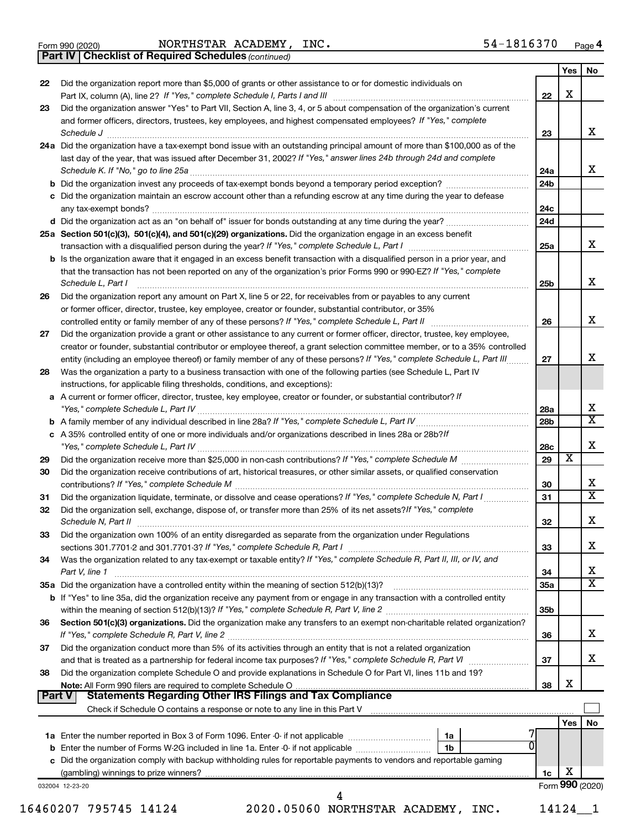|  | Form 990 (2020) |
|--|-----------------|
|  |                 |

*(continued)* **Part IV Checklist of Required Schedules**

|    |                                                                                                                                                                                                                                    |            | Yes                     | No                      |
|----|------------------------------------------------------------------------------------------------------------------------------------------------------------------------------------------------------------------------------------|------------|-------------------------|-------------------------|
| 22 | Did the organization report more than \$5,000 of grants or other assistance to or for domestic individuals on                                                                                                                      | 22         | X                       |                         |
| 23 | Did the organization answer "Yes" to Part VII, Section A, line 3, 4, or 5 about compensation of the organization's current                                                                                                         |            |                         |                         |
|    | and former officers, directors, trustees, key employees, and highest compensated employees? If "Yes," complete                                                                                                                     |            |                         |                         |
|    | Schedule J <b>Execute J Execute Contract Contract Contract Contract Contract Contract Contract Contract Contract Contract Contract Contract Contract Contract Contract Contract Contract Contract Contract Contract Contract C</b> | 23         |                         | х                       |
|    | 24a Did the organization have a tax-exempt bond issue with an outstanding principal amount of more than \$100,000 as of the                                                                                                        |            |                         |                         |
|    | last day of the year, that was issued after December 31, 2002? If "Yes," answer lines 24b through 24d and complete                                                                                                                 |            |                         |                         |
|    |                                                                                                                                                                                                                                    | 24a        |                         | x                       |
|    |                                                                                                                                                                                                                                    | 24b        |                         |                         |
|    | c Did the organization maintain an escrow account other than a refunding escrow at any time during the year to defease                                                                                                             | 24с        |                         |                         |
|    |                                                                                                                                                                                                                                    | 24d        |                         |                         |
|    | 25a Section 501(c)(3), 501(c)(4), and 501(c)(29) organizations. Did the organization engage in an excess benefit                                                                                                                   | 25a        |                         | x                       |
|    | <b>b</b> Is the organization aware that it engaged in an excess benefit transaction with a disqualified person in a prior year, and                                                                                                |            |                         |                         |
|    | that the transaction has not been reported on any of the organization's prior Forms 990 or 990-EZ? If "Yes," complete<br>Schedule L, Part I                                                                                        | 25b        |                         | X                       |
| 26 | Did the organization report any amount on Part X, line 5 or 22, for receivables from or payables to any current                                                                                                                    |            |                         |                         |
|    | or former officer, director, trustee, key employee, creator or founder, substantial contributor, or 35%                                                                                                                            |            |                         |                         |
|    |                                                                                                                                                                                                                                    | 26         |                         | х                       |
| 27 | Did the organization provide a grant or other assistance to any current or former officer, director, trustee, key employee,                                                                                                        |            |                         |                         |
|    | creator or founder, substantial contributor or employee thereof, a grant selection committee member, or to a 35% controlled                                                                                                        |            |                         |                         |
|    | entity (including an employee thereof) or family member of any of these persons? If "Yes," complete Schedule L, Part III                                                                                                           | 27         |                         | х                       |
| 28 | Was the organization a party to a business transaction with one of the following parties (see Schedule L, Part IV                                                                                                                  |            |                         |                         |
|    | instructions, for applicable filing thresholds, conditions, and exceptions):                                                                                                                                                       |            |                         |                         |
|    | a A current or former officer, director, trustee, key employee, creator or founder, or substantial contributor? If                                                                                                                 |            |                         | х                       |
|    |                                                                                                                                                                                                                                    | 28a<br>28b |                         | $\overline{\mathbf{X}}$ |
|    | c A 35% controlled entity of one or more individuals and/or organizations described in lines 28a or 28b? If                                                                                                                        |            |                         |                         |
|    |                                                                                                                                                                                                                                    | 28c        |                         | Х                       |
| 29 |                                                                                                                                                                                                                                    | 29         | $\overline{\textbf{x}}$ |                         |
| 30 | Did the organization receive contributions of art, historical treasures, or other similar assets, or qualified conservation                                                                                                        | 30         |                         | х                       |
| 31 | Did the organization liquidate, terminate, or dissolve and cease operations? If "Yes," complete Schedule N, Part I                                                                                                                 | 31         |                         | $\overline{\mathbf{X}}$ |
| 32 | Did the organization sell, exchange, dispose of, or transfer more than 25% of its net assets? If "Yes," complete                                                                                                                   |            |                         |                         |
|    |                                                                                                                                                                                                                                    | 32         |                         | Χ                       |
| 33 | Did the organization own 100% of an entity disregarded as separate from the organization under Regulations                                                                                                                         |            |                         |                         |
|    |                                                                                                                                                                                                                                    | 33         |                         | x                       |
| 34 | Was the organization related to any tax-exempt or taxable entity? If "Yes," complete Schedule R, Part II, III, or IV, and                                                                                                          |            |                         |                         |
|    | Part V, line 1                                                                                                                                                                                                                     | 34         |                         | х                       |
|    |                                                                                                                                                                                                                                    | 35a        |                         | $\mathbf x$             |
|    | b If "Yes" to line 35a, did the organization receive any payment from or engage in any transaction with a controlled entity                                                                                                        |            |                         |                         |
|    |                                                                                                                                                                                                                                    | 35b        |                         |                         |
| 36 | Section 501(c)(3) organizations. Did the organization make any transfers to an exempt non-charitable related organization?                                                                                                         |            |                         | x                       |
| 37 | Did the organization conduct more than 5% of its activities through an entity that is not a related organization                                                                                                                   | 36         |                         |                         |
|    |                                                                                                                                                                                                                                    | 37         |                         | x                       |
| 38 | Did the organization complete Schedule O and provide explanations in Schedule O for Part VI, lines 11b and 19?                                                                                                                     |            |                         |                         |
|    |                                                                                                                                                                                                                                    | 38         | х                       |                         |
|    | <b>Statements Regarding Other IRS Filings and Tax Compliance</b><br>Part V                                                                                                                                                         |            |                         |                         |
|    |                                                                                                                                                                                                                                    |            | Yes   No                |                         |
|    |                                                                                                                                                                                                                                    |            |                         |                         |
|    | 0                                                                                                                                                                                                                                  |            |                         |                         |
|    | c Did the organization comply with backup withholding rules for reportable payments to vendors and reportable gaming                                                                                                               |            |                         |                         |
|    |                                                                                                                                                                                                                                    | 1c         | х                       |                         |
|    | 032004 12-23-20                                                                                                                                                                                                                    |            | Form 990 (2020)         |                         |
|    |                                                                                                                                                                                                                                    |            |                         |                         |
|    | 16460207 795745 14124<br>2020.05060 NORTHSTAR ACADEMY, INC.                                                                                                                                                                        |            | 14124 1                 |                         |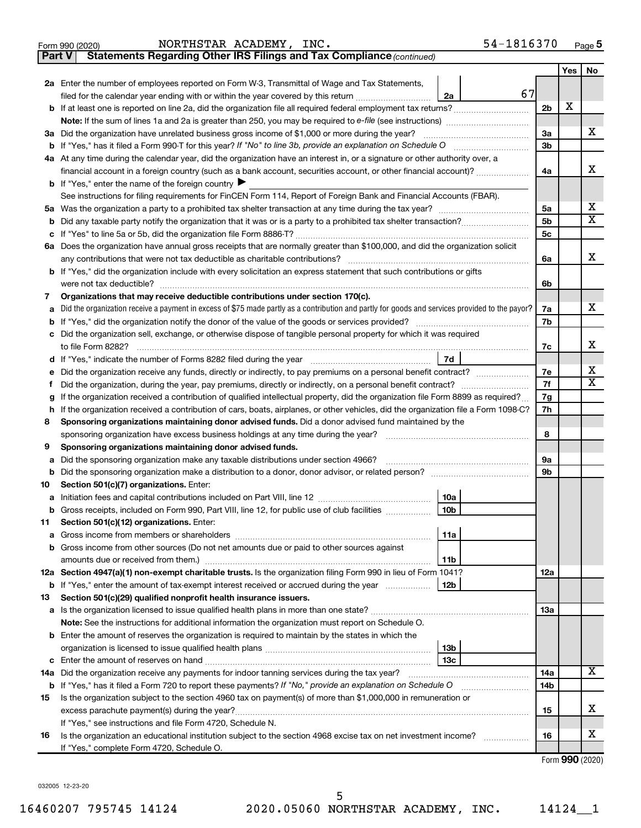|               | 54-1816370<br>NORTHSTAR ACADEMY, INC.<br>Form 990 (2020)                                                                                           |                |            | Page 5                       |  |  |  |  |
|---------------|----------------------------------------------------------------------------------------------------------------------------------------------------|----------------|------------|------------------------------|--|--|--|--|
| <b>Part V</b> | Statements Regarding Other IRS Filings and Tax Compliance (continued)                                                                              |                |            |                              |  |  |  |  |
|               |                                                                                                                                                    |                | <b>Yes</b> | No                           |  |  |  |  |
|               | 2a Enter the number of employees reported on Form W-3, Transmittal of Wage and Tax Statements,                                                     |                |            |                              |  |  |  |  |
|               | 67<br>filed for the calendar year ending with or within the year covered by this return <i>[[[[[[[[[[[[[]]]</i> ]]<br>2a                           |                |            |                              |  |  |  |  |
| b             |                                                                                                                                                    | 2 <sub>b</sub> | X          |                              |  |  |  |  |
|               |                                                                                                                                                    |                |            |                              |  |  |  |  |
|               | 3a Did the organization have unrelated business gross income of \$1,000 or more during the year?                                                   | 3a             |            | x                            |  |  |  |  |
| b             |                                                                                                                                                    | 3 <sub>b</sub> |            |                              |  |  |  |  |
|               | 4a At any time during the calendar year, did the organization have an interest in, or a signature or other authority over, a                       |                |            |                              |  |  |  |  |
|               | financial account in a foreign country (such as a bank account, securities account, or other financial account)?                                   | 4a             |            | х                            |  |  |  |  |
|               | <b>b</b> If "Yes," enter the name of the foreign country $\blacktriangleright$                                                                     |                |            |                              |  |  |  |  |
|               | See instructions for filing requirements for FinCEN Form 114, Report of Foreign Bank and Financial Accounts (FBAR).                                |                |            |                              |  |  |  |  |
|               | 5a Was the organization a party to a prohibited tax shelter transaction at any time during the tax year?                                           | 5a             |            | x<br>$\overline{\mathtt{x}}$ |  |  |  |  |
| b             |                                                                                                                                                    | 5b             |            |                              |  |  |  |  |
| c             |                                                                                                                                                    | 5c             |            |                              |  |  |  |  |
| 6а            | Does the organization have annual gross receipts that are normally greater than \$100,000, and did the organization solicit                        |                |            | x                            |  |  |  |  |
|               | any contributions that were not tax deductible as charitable contributions?                                                                        | 6a             |            |                              |  |  |  |  |
|               | b If "Yes," did the organization include with every solicitation an express statement that such contributions or gifts<br>were not tax deductible? | 6b             |            |                              |  |  |  |  |
| 7             | Organizations that may receive deductible contributions under section 170(c).                                                                      |                |            |                              |  |  |  |  |
| а             | Did the organization receive a payment in excess of \$75 made partly as a contribution and partly for goods and services provided to the payor?    | 7a             |            | x                            |  |  |  |  |
| b             | If "Yes," did the organization notify the donor of the value of the goods or services provided?                                                    | 7b             |            |                              |  |  |  |  |
| с             | Did the organization sell, exchange, or otherwise dispose of tangible personal property for which it was required                                  |                |            |                              |  |  |  |  |
|               | to file Form 8282?                                                                                                                                 | 7c             |            | х                            |  |  |  |  |
| d             | 7d<br>If "Yes," indicate the number of Forms 8282 filed during the year                                                                            |                |            |                              |  |  |  |  |
| е             |                                                                                                                                                    |                |            |                              |  |  |  |  |
| f             | Did the organization, during the year, pay premiums, directly or indirectly, on a personal benefit contract?                                       | 7e<br>7f       |            | x<br>$\overline{\mathtt{x}}$ |  |  |  |  |
| g             | If the organization received a contribution of qualified intellectual property, did the organization file Form 8899 as required?                   | 7g             |            |                              |  |  |  |  |
| h             | If the organization received a contribution of cars, boats, airplanes, or other vehicles, did the organization file a Form 1098-C?                 | 7h             |            |                              |  |  |  |  |
| 8             | Sponsoring organizations maintaining donor advised funds. Did a donor advised fund maintained by the                                               |                |            |                              |  |  |  |  |
|               | sponsoring organization have excess business holdings at any time during the year?                                                                 | 8              |            |                              |  |  |  |  |
| 9             | Sponsoring organizations maintaining donor advised funds.                                                                                          |                |            |                              |  |  |  |  |
| а             | Did the sponsoring organization make any taxable distributions under section 4966?                                                                 | 9а             |            |                              |  |  |  |  |
| b             | Did the sponsoring organization make a distribution to a donor, donor advisor, or related person?                                                  | 9b             |            |                              |  |  |  |  |
| 10            | Section 501(c)(7) organizations. Enter:                                                                                                            |                |            |                              |  |  |  |  |
| а             | Initiation fees and capital contributions included on Part VIII, line 12<br>10a                                                                    |                |            |                              |  |  |  |  |
| b             | Gross receipts, included on Form 990, Part VIII, line 12, for public use of club facilities<br>10b                                                 |                |            |                              |  |  |  |  |
| 11            | Section 501(c)(12) organizations. Enter:                                                                                                           |                |            |                              |  |  |  |  |
| а             | 11a                                                                                                                                                |                |            |                              |  |  |  |  |
| b             | Gross income from other sources (Do not net amounts due or paid to other sources against                                                           |                |            |                              |  |  |  |  |
|               | 11 <sub>b</sub>                                                                                                                                    |                |            |                              |  |  |  |  |
|               | 12a Section 4947(a)(1) non-exempt charitable trusts. Is the organization filing Form 990 in lieu of Form 1041?                                     | 12a            |            |                              |  |  |  |  |
| b             | If "Yes," enter the amount of tax-exempt interest received or accrued during the year<br>12b                                                       |                |            |                              |  |  |  |  |
| 13            | Section 501(c)(29) qualified nonprofit health insurance issuers.                                                                                   |                |            |                              |  |  |  |  |
| а             | Is the organization licensed to issue qualified health plans in more than one state?                                                               | 13a            |            |                              |  |  |  |  |
|               | Note: See the instructions for additional information the organization must report on Schedule O.                                                  |                |            |                              |  |  |  |  |
| b             | Enter the amount of reserves the organization is required to maintain by the states in which the                                                   |                |            |                              |  |  |  |  |
|               | 13b<br>13с                                                                                                                                         |                |            |                              |  |  |  |  |
| с             |                                                                                                                                                    | 14a            |            | $\overline{\textbf{X}}$      |  |  |  |  |
| 14a<br>b      | Did the organization receive any payments for indoor tanning services during the tax year?                                                         |                |            |                              |  |  |  |  |
| 15            | Is the organization subject to the section 4960 tax on payment(s) of more than \$1,000,000 in remuneration or                                      | 14b            |            |                              |  |  |  |  |
|               |                                                                                                                                                    | 15             |            | х                            |  |  |  |  |
|               | If "Yes," see instructions and file Form 4720, Schedule N.                                                                                         |                |            |                              |  |  |  |  |
| 16            | Is the organization an educational institution subject to the section 4968 excise tax on net investment income?                                    | 16             |            | х                            |  |  |  |  |
|               | If "Yes," complete Form 4720, Schedule O.                                                                                                          |                |            |                              |  |  |  |  |

Form (2020) **990**

032005 12-23-20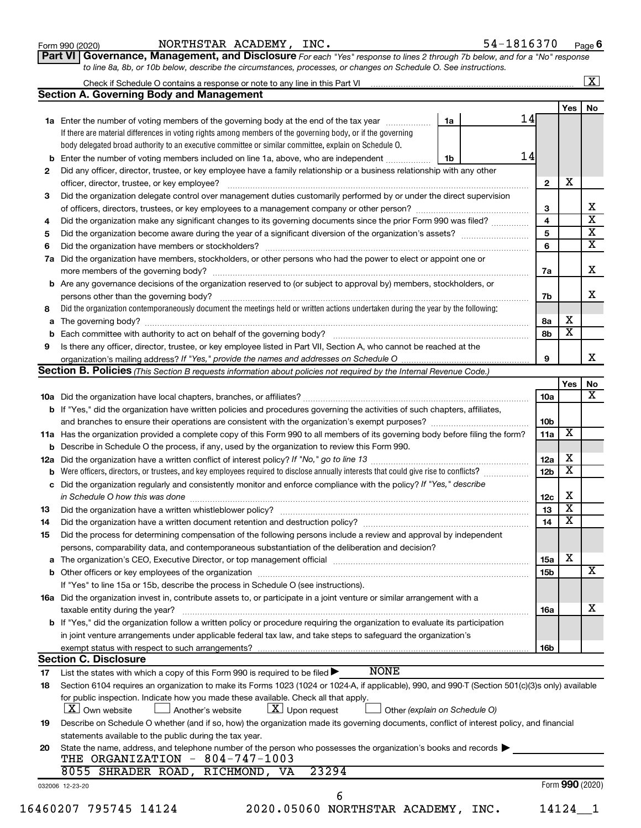| Form 990 (2020) |  |
|-----------------|--|
|-----------------|--|

Form 990 (2020) Page NORTHSTAR ACADEMY, INC. 54-1816370

| Part VI   Governance, Management, and Disclosure For each "Yes" response to lines 2 through 7b below, and for a "No" response |  |
|-------------------------------------------------------------------------------------------------------------------------------|--|
| to line 8a, 8b, or 10b below, describe the circumstances, processes, or changes on Schedule O. See instructions.              |  |

|     | Check if Schedule O contains a response or note to any line in this Part VI [11] [11] [11] [11] [11] [11] Check if Schedule O contains a response or note to any line in this Part VI                                          |    |    |                 |                         | $\lfloor x \rfloor$          |  |  |  |  |
|-----|--------------------------------------------------------------------------------------------------------------------------------------------------------------------------------------------------------------------------------|----|----|-----------------|-------------------------|------------------------------|--|--|--|--|
|     | <b>Section A. Governing Body and Management</b>                                                                                                                                                                                |    |    |                 |                         |                              |  |  |  |  |
|     |                                                                                                                                                                                                                                |    |    |                 | Yes                     | No                           |  |  |  |  |
|     | <b>1a</b> Enter the number of voting members of the governing body at the end of the tax year                                                                                                                                  | 1a | 14 |                 |                         |                              |  |  |  |  |
|     | If there are material differences in voting rights among members of the governing body, or if the governing                                                                                                                    |    |    |                 |                         |                              |  |  |  |  |
|     | body delegated broad authority to an executive committee or similar committee, explain on Schedule O.                                                                                                                          |    |    |                 |                         |                              |  |  |  |  |
| b   | Enter the number of voting members included on line 1a, above, who are independent                                                                                                                                             | 1b | 14 |                 |                         |                              |  |  |  |  |
| 2   | Did any officer, director, trustee, or key employee have a family relationship or a business relationship with any other                                                                                                       |    |    |                 |                         |                              |  |  |  |  |
|     | officer, director, trustee, or key employee?                                                                                                                                                                                   |    |    | 2               | X                       |                              |  |  |  |  |
| 3   | Did the organization delegate control over management duties customarily performed by or under the direct supervision                                                                                                          |    |    |                 |                         |                              |  |  |  |  |
|     |                                                                                                                                                                                                                                |    |    | З               |                         | x<br>$\overline{\mathbf{x}}$ |  |  |  |  |
| 4   | Did the organization make any significant changes to its governing documents since the prior Form 990 was filed?                                                                                                               |    |    |                 |                         |                              |  |  |  |  |
| 5   |                                                                                                                                                                                                                                |    |    |                 |                         |                              |  |  |  |  |
| 6   |                                                                                                                                                                                                                                |    |    |                 |                         |                              |  |  |  |  |
| 7a  | Did the organization have members, stockholders, or other persons who had the power to elect or appoint one or                                                                                                                 |    |    |                 |                         |                              |  |  |  |  |
|     |                                                                                                                                                                                                                                |    |    | 7а              |                         | X                            |  |  |  |  |
|     | <b>b</b> Are any governance decisions of the organization reserved to (or subject to approval by) members, stockholders, or                                                                                                    |    |    |                 |                         |                              |  |  |  |  |
|     |                                                                                                                                                                                                                                |    |    | 7b              |                         | x                            |  |  |  |  |
| 8   | Did the organization contemporaneously document the meetings held or written actions undertaken during the year by the following:                                                                                              |    |    |                 |                         |                              |  |  |  |  |
| a   |                                                                                                                                                                                                                                |    |    | 8а              | х                       |                              |  |  |  |  |
| b   |                                                                                                                                                                                                                                |    |    | 8b              | $\overline{\textbf{x}}$ |                              |  |  |  |  |
| 9   | Is there any officer, director, trustee, or key employee listed in Part VII, Section A, who cannot be reached at the                                                                                                           |    |    |                 |                         |                              |  |  |  |  |
|     |                                                                                                                                                                                                                                |    |    | 9               |                         | X                            |  |  |  |  |
|     | <b>Section B. Policies</b> (This Section B requests information about policies not required by the Internal Revenue Code.)                                                                                                     |    |    |                 |                         |                              |  |  |  |  |
|     |                                                                                                                                                                                                                                |    |    |                 | Yes                     | No                           |  |  |  |  |
|     |                                                                                                                                                                                                                                |    |    | 10a             |                         | X                            |  |  |  |  |
|     | <b>b</b> If "Yes," did the organization have written policies and procedures governing the activities of such chapters, affiliates,                                                                                            |    |    |                 |                         |                              |  |  |  |  |
|     |                                                                                                                                                                                                                                |    |    |                 |                         |                              |  |  |  |  |
|     | 11a Has the organization provided a complete copy of this Form 990 to all members of its governing body before filing the form?                                                                                                |    |    |                 |                         |                              |  |  |  |  |
| b   | Describe in Schedule O the process, if any, used by the organization to review this Form 990.                                                                                                                                  |    |    |                 |                         |                              |  |  |  |  |
| 12a |                                                                                                                                                                                                                                |    |    |                 |                         |                              |  |  |  |  |
| b   | Were officers, directors, or trustees, and key employees required to disclose annually interests that could give rise to conflicts?                                                                                            |    |    | 12 <sub>b</sub> | $\overline{\textbf{X}}$ |                              |  |  |  |  |
| с   | Did the organization regularly and consistently monitor and enforce compliance with the policy? If "Yes," describe                                                                                                             |    |    |                 |                         |                              |  |  |  |  |
|     | in Schedule O how this was done                                                                                                                                                                                                |    |    | 12c             | х                       |                              |  |  |  |  |
| 13  | Did the organization have a written whistleblower policy?                                                                                                                                                                      |    |    | 13              | $\overline{\mathbf{X}}$ |                              |  |  |  |  |
| 14  | Did the organization have a written document retention and destruction policy? [11] manuscription materials and destruction policy? [11] manuscription materials and the organization have a written document retention and de |    |    | 14              | $\overline{\mathbf{X}}$ |                              |  |  |  |  |
| 15  | Did the process for determining compensation of the following persons include a review and approval by independent                                                                                                             |    |    |                 |                         |                              |  |  |  |  |
|     | persons, comparability data, and contemporaneous substantiation of the deliberation and decision?                                                                                                                              |    |    |                 |                         |                              |  |  |  |  |
| а   |                                                                                                                                                                                                                                |    |    | 15a             | х                       |                              |  |  |  |  |
|     |                                                                                                                                                                                                                                |    |    | 15 <sub>b</sub> |                         | X                            |  |  |  |  |
|     | If "Yes" to line 15a or 15b, describe the process in Schedule O (see instructions).                                                                                                                                            |    |    |                 |                         |                              |  |  |  |  |
|     | 16a Did the organization invest in, contribute assets to, or participate in a joint venture or similar arrangement with a                                                                                                      |    |    |                 |                         |                              |  |  |  |  |
|     | taxable entity during the year?                                                                                                                                                                                                |    |    | 16a             |                         | х                            |  |  |  |  |
|     | <b>b</b> If "Yes," did the organization follow a written policy or procedure requiring the organization to evaluate its participation                                                                                          |    |    |                 |                         |                              |  |  |  |  |
|     | in joint venture arrangements under applicable federal tax law, and take steps to safeguard the organization's                                                                                                                 |    |    |                 |                         |                              |  |  |  |  |
|     | exempt status with respect to such arrangements?                                                                                                                                                                               |    |    | 16b             |                         |                              |  |  |  |  |
|     | <b>Section C. Disclosure</b>                                                                                                                                                                                                   |    |    |                 |                         |                              |  |  |  |  |
| 17  | <b>NONE</b><br>List the states with which a copy of this Form 990 is required to be filed $\blacktriangleright$                                                                                                                |    |    |                 |                         |                              |  |  |  |  |
| 18  | Section 6104 requires an organization to make its Forms 1023 (1024 or 1024-A, if applicable), 990, and 990-T (Section 501(c)(3)s only) available                                                                               |    |    |                 |                         |                              |  |  |  |  |
|     | for public inspection. Indicate how you made these available. Check all that apply.<br>Other (explain on Schedule O)                                                                                                           |    |    |                 |                         |                              |  |  |  |  |
|     | X   Own website<br>$\lfloor x \rfloor$ Upon request<br>Another's website                                                                                                                                                       |    |    |                 |                         |                              |  |  |  |  |
| 19  | Describe on Schedule O whether (and if so, how) the organization made its governing documents, conflict of interest policy, and financial<br>statements available to the public during the tax year.                           |    |    |                 |                         |                              |  |  |  |  |
| 20  | State the name, address, and telephone number of the person who possesses the organization's books and records<br>THE ORGANIZATION - 804-747-1003                                                                              |    |    |                 |                         |                              |  |  |  |  |
|     | 8055 SHRADER ROAD, RICHMOND, VA<br>23294                                                                                                                                                                                       |    |    |                 |                         |                              |  |  |  |  |
|     | 032006 12-23-20                                                                                                                                                                                                                |    |    |                 |                         | Form 990 (2020)              |  |  |  |  |
|     | 6                                                                                                                                                                                                                              |    |    |                 |                         |                              |  |  |  |  |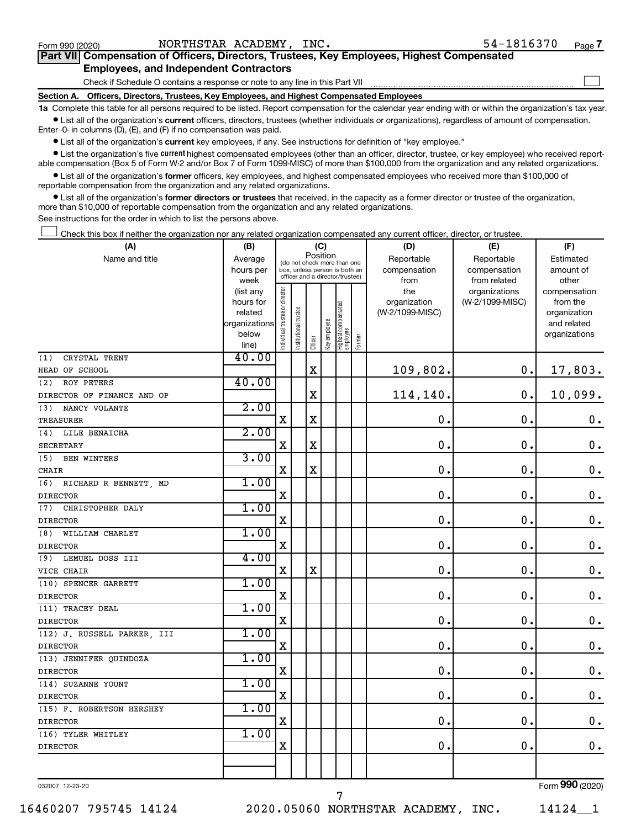$\Box$ 

| Part VII Compensation of Officers, Directors, Trustees, Key Employees, Highest Compensated |  |  |
|--------------------------------------------------------------------------------------------|--|--|
| <b>Employees, and Independent Contractors</b>                                              |  |  |

Check if Schedule O contains a response or note to any line in this Part VII

**Section A. Officers, Directors, Trustees, Key Employees, and Highest Compensated Employees**

**1a**  Complete this table for all persons required to be listed. Report compensation for the calendar year ending with or within the organization's tax year.  $\bullet$  List all of the organization's current officers, directors, trustees (whether individuals or organizations), regardless of amount of compensation.

Enter -0- in columns (D), (E), and (F) if no compensation was paid.

**•** List all of the organization's current key employees, if any. See instructions for definition of "key employee."

• List the organization's five *current* highest compensated employees (other than an officer, director, trustee, or key employee) who received reportable compensation (Box 5 of Form W-2 and/or Box 7 of Form 1099-MISC) of more than \$100,000 from the organization and any related organizations.

 $\bullet$  List all of the organization's former officers, key employees, and highest compensated employees who received more than \$100,000 of reportable compensation from the organization and any related organizations.

**•** List all of the organization's former directors or trustees that received, in the capacity as a former director or trustee of the organization, more than \$10,000 of reportable compensation from the organization and any related organizations.

See instructions for the order in which to list the persons above.

Check this box if neither the organization nor any related organization compensated any current officer, director, or trustee.  $\Box$ 

| (A)                         | (B)                  | (C)                                     |                                                                  |             |              |                                   |        | (D)                             | (E)             | (F)                      |  |  |
|-----------------------------|----------------------|-----------------------------------------|------------------------------------------------------------------|-------------|--------------|-----------------------------------|--------|---------------------------------|-----------------|--------------------------|--|--|
| Name and title              | Average              | Position<br>(do not check more than one |                                                                  |             |              |                                   |        | Reportable                      | Reportable      | Estimated                |  |  |
|                             | hours per            |                                         | box, unless person is both an<br>officer and a director/trustee) |             |              |                                   |        | compensation                    | compensation    | amount of                |  |  |
|                             | week                 |                                         |                                                                  |             |              |                                   |        | from                            | from related    | other                    |  |  |
|                             | (list any            |                                         |                                                                  |             |              |                                   |        | the                             | organizations   | compensation             |  |  |
|                             | hours for<br>related |                                         |                                                                  |             |              |                                   |        | organization<br>(W-2/1099-MISC) | (W-2/1099-MISC) | from the<br>organization |  |  |
|                             | organizations        |                                         |                                                                  |             |              |                                   |        |                                 |                 | and related              |  |  |
|                             | below                |                                         |                                                                  |             |              |                                   |        |                                 |                 | organizations            |  |  |
|                             | line)                | Individual trustee or director          | Institutional trustee                                            | Officer     | Key employee | Highest compensated<br>  employee | Former |                                 |                 |                          |  |  |
| CRYSTAL TRENT<br>(1)        | 40.00                |                                         |                                                                  |             |              |                                   |        |                                 |                 |                          |  |  |
| HEAD OF SCHOOL              |                      |                                         |                                                                  | $\mathbf X$ |              |                                   |        | 109,802.                        | 0.              | 17,803.                  |  |  |
| (2)<br>ROY PETERS           | 40.00                |                                         |                                                                  |             |              |                                   |        |                                 |                 |                          |  |  |
| DIRECTOR OF FINANCE AND OP  |                      |                                         |                                                                  | X           |              |                                   |        | 114,140.                        | $\mathbf 0$ .   | 10,099.                  |  |  |
| (3)<br>NANCY VOLANTE        | 2.00                 |                                         |                                                                  |             |              |                                   |        |                                 |                 |                          |  |  |
| <b>TREASURER</b>            |                      | X                                       |                                                                  | $\mathbf X$ |              |                                   |        | $\mathbf 0$ .                   | $\mathbf 0$ .   | $\boldsymbol{0}$ .       |  |  |
| (4) LILE BENAICHA           | 2.00                 |                                         |                                                                  |             |              |                                   |        |                                 |                 |                          |  |  |
| <b>SECRETARY</b>            |                      | $\mathbf x$                             |                                                                  | X           |              |                                   |        | $\mathbf 0$ .                   | $\mathbf 0$ .   | $\mathbf 0$ .            |  |  |
| (5) BEN WINTERS             | 3.00                 |                                         |                                                                  |             |              |                                   |        |                                 |                 |                          |  |  |
| <b>CHAIR</b>                |                      | $\mathbf X$                             |                                                                  | $\mathbf X$ |              |                                   |        | 0.                              | $\mathbf 0$ .   | $\mathbf 0$ .            |  |  |
| (6) RICHARD R BENNETT, MD   | 1.00                 |                                         |                                                                  |             |              |                                   |        |                                 |                 |                          |  |  |
| <b>DIRECTOR</b>             |                      | $\mathbf X$                             |                                                                  |             |              |                                   |        | $\mathbf 0$ .                   | О.              | $\boldsymbol{0}$ .       |  |  |
| (7) CHRISTOPHER DALY        | 1.00                 |                                         |                                                                  |             |              |                                   |        |                                 |                 |                          |  |  |
| <b>DIRECTOR</b>             |                      | $\mathbf X$                             |                                                                  |             |              |                                   |        | $\mathbf 0$ .                   | $\mathbf 0$ .   | $\mathbf 0$ .            |  |  |
| (8)<br>WILLIAM CHARLET      | 1.00                 |                                         |                                                                  |             |              |                                   |        |                                 |                 |                          |  |  |
| <b>DIRECTOR</b>             |                      | $\mathbf x$                             |                                                                  |             |              |                                   |        | $\mathbf 0$ .                   | $\mathbf 0$ .   | $\mathbf 0$ .            |  |  |
| (9) LEMUEL DOSS III         | 4.00                 |                                         |                                                                  |             |              |                                   |        |                                 |                 |                          |  |  |
| VICE CHAIR                  |                      | $\mathbf X$                             |                                                                  | $\mathbf X$ |              |                                   |        | $\mathbf 0$ .                   | $\mathbf 0$ .   | $\boldsymbol{0}$ .       |  |  |
| (10) SPENCER GARRETT        | 1.00                 |                                         |                                                                  |             |              |                                   |        |                                 |                 |                          |  |  |
| <b>DIRECTOR</b>             |                      | $\mathbf X$                             |                                                                  |             |              |                                   |        | $\mathbf 0$ .                   | $\mathbf 0$ .   | $\mathbf 0$ .            |  |  |
| (11) TRACEY DEAL            | 1.00                 |                                         |                                                                  |             |              |                                   |        |                                 |                 |                          |  |  |
| <b>DIRECTOR</b>             |                      | $\mathbf X$                             |                                                                  |             |              |                                   |        | $\mathbf 0$ .                   | $\mathbf 0$ .   | $\mathbf 0$ .            |  |  |
| (12) J. RUSSELL PARKER, III | 1.00                 |                                         |                                                                  |             |              |                                   |        |                                 |                 |                          |  |  |
| <b>DIRECTOR</b>             |                      | $\mathbf X$                             |                                                                  |             |              |                                   |        | $\mathbf 0$ .                   | $\mathbf 0$ .   | $\mathbf 0$ .            |  |  |
| (13) JENNIFER QUINDOZA      | 1.00                 |                                         |                                                                  |             |              |                                   |        |                                 |                 |                          |  |  |
| <b>DIRECTOR</b>             |                      | $\mathbf X$                             |                                                                  |             |              |                                   |        | $\mathbf 0$ .                   | $\mathbf 0$ .   | $\boldsymbol{0}$ .       |  |  |
| (14) SUZANNE YOUNT          | 1.00                 |                                         |                                                                  |             |              |                                   |        |                                 |                 |                          |  |  |
| <b>DIRECTOR</b>             |                      | $\overline{\mathbf{X}}$                 |                                                                  |             |              |                                   |        | 0.                              | $\mathbf 0$ .   | $\mathbf 0$ .            |  |  |
| (15) F. ROBERTSON HERSHEY   | 1.00                 |                                         |                                                                  |             |              |                                   |        |                                 |                 |                          |  |  |
| <b>DIRECTOR</b>             |                      | $\mathbf X$                             |                                                                  |             |              |                                   |        | 0.                              | $\mathbf 0$ .   | $\mathbf 0$ .            |  |  |
| (16) TYLER WHITLEY          | 1.00                 |                                         |                                                                  |             |              |                                   |        |                                 |                 |                          |  |  |
| <b>DIRECTOR</b>             |                      | $\mathbf X$                             |                                                                  |             |              |                                   |        | $\mathbf 0$ .                   | $\mathbf 0$ .   | $0$ .                    |  |  |
|                             |                      |                                         |                                                                  |             |              |                                   |        |                                 |                 |                          |  |  |
|                             |                      |                                         |                                                                  |             |              |                                   |        |                                 |                 |                          |  |  |

032007 12-23-20

16460207 795745 14124 2020.05060 NORTHSTAR ACADEMY, INC. 14124\_\_1

7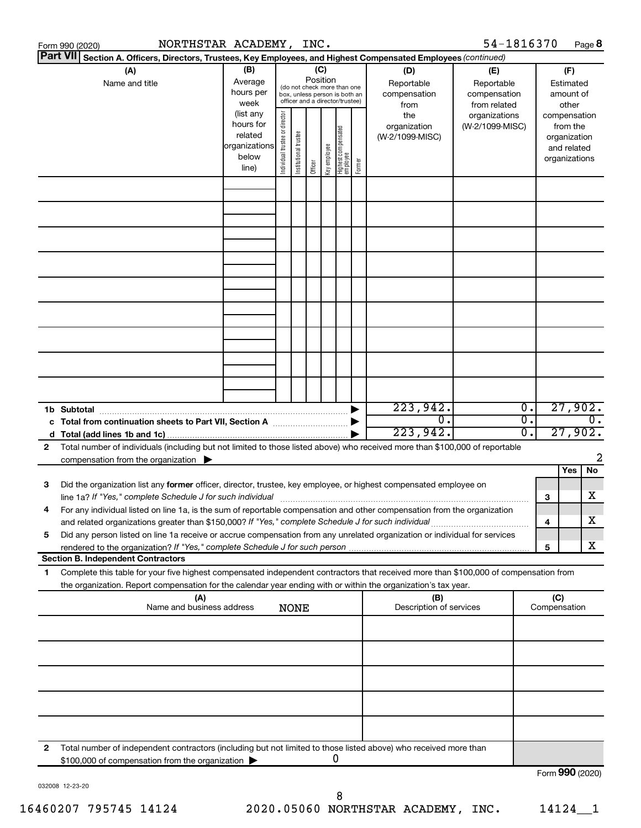|                 | NORTHSTAR ACADEMY, INC.<br>Form 990 (2020)                                                                                                                                                                                                                  |                                     |                                |                       |                 |              |                                                                                                 |                     |                                           | 54-1816370                                        |                        |                 |                                                                          | Page 8           |
|-----------------|-------------------------------------------------------------------------------------------------------------------------------------------------------------------------------------------------------------------------------------------------------------|-------------------------------------|--------------------------------|-----------------------|-----------------|--------------|-------------------------------------------------------------------------------------------------|---------------------|-------------------------------------------|---------------------------------------------------|------------------------|-----------------|--------------------------------------------------------------------------|------------------|
| <b>Part VII</b> | Section A. Officers, Directors, Trustees, Key Employees, and Highest Compensated Employees (continued)                                                                                                                                                      |                                     |                                |                       |                 |              |                                                                                                 |                     |                                           |                                                   |                        |                 |                                                                          |                  |
|                 | (A)<br>Name and title                                                                                                                                                                                                                                       | (B)<br>Average<br>hours per<br>week | Individual trustee or director |                       | (C)<br>Position |              | (do not check more than one<br>box, unless person is both an<br>officer and a director/trustee) |                     | (D)<br>Reportable<br>compensation<br>from | (E)<br>Reportable<br>compensation<br>from related |                        |                 | (F)<br>Estimated<br>amount of<br>other                                   |                  |
|                 | (list any<br>hours for<br>related<br>organizations<br>below<br>line)                                                                                                                                                                                        |                                     |                                | Institutional trustee | Officer         | Key employee | Highest compensated<br>  employee                                                               | Former              | the<br>organization<br>(W-2/1099-MISC)    | organizations<br>(W-2/1099-MISC)                  |                        |                 | compensation<br>from the<br>organization<br>and related<br>organizations |                  |
|                 |                                                                                                                                                                                                                                                             |                                     |                                |                       |                 |              |                                                                                                 |                     |                                           |                                                   |                        |                 |                                                                          |                  |
|                 |                                                                                                                                                                                                                                                             |                                     |                                |                       |                 |              |                                                                                                 |                     |                                           |                                                   |                        |                 |                                                                          |                  |
|                 |                                                                                                                                                                                                                                                             |                                     |                                |                       |                 |              |                                                                                                 |                     |                                           |                                                   |                        |                 |                                                                          |                  |
|                 |                                                                                                                                                                                                                                                             |                                     |                                |                       |                 |              |                                                                                                 |                     |                                           |                                                   |                        |                 |                                                                          |                  |
|                 |                                                                                                                                                                                                                                                             |                                     |                                |                       |                 |              |                                                                                                 |                     |                                           |                                                   |                        |                 |                                                                          |                  |
|                 |                                                                                                                                                                                                                                                             |                                     |                                |                       |                 |              |                                                                                                 |                     |                                           |                                                   |                        |                 |                                                                          |                  |
|                 |                                                                                                                                                                                                                                                             |                                     |                                |                       |                 |              |                                                                                                 |                     |                                           |                                                   |                        |                 |                                                                          |                  |
|                 | 1b Subtotal                                                                                                                                                                                                                                                 |                                     |                                |                       |                 |              |                                                                                                 |                     | 223,942.<br>$\overline{0}$ .              |                                                   | $\overline{0}$ .<br>σ. |                 | 27,902.                                                                  | $\overline{0}$ . |
| 2               | Total number of individuals (including but not limited to those listed above) who received more than \$100,000 of reportable                                                                                                                                |                                     |                                |                       |                 |              |                                                                                                 |                     | 223,942.                                  |                                                   | σ.                     |                 | 27,902.                                                                  |                  |
|                 | compensation from the organization $\blacktriangleright$                                                                                                                                                                                                    |                                     |                                |                       |                 |              |                                                                                                 |                     |                                           |                                                   |                        |                 | Yes                                                                      | 2<br>No.         |
| 3               | Did the organization list any former officer, director, trustee, key employee, or highest compensated employee on<br>line 1a? If "Yes," complete Schedule J for such individual [11] [12] manufacture 1a? If "Yes," complete Schedule J for such individual |                                     |                                |                       |                 |              |                                                                                                 |                     |                                           |                                                   |                        | 3               |                                                                          | x                |
|                 | For any individual listed on line 1a, is the sum of reportable compensation and other compensation from the organization<br>and related organizations greater than \$150,000? If "Yes," complete Schedule J for such individual                             |                                     |                                |                       |                 |              |                                                                                                 |                     |                                           |                                                   |                        | 4               |                                                                          | x                |
| 5               | Did any person listed on line 1a receive or accrue compensation from any unrelated organization or individual for services<br>rendered to the organization? If "Yes," complete Schedule J for such person.<br><b>Section B. Independent Contractors</b>     |                                     |                                |                       |                 |              |                                                                                                 |                     |                                           |                                                   |                        | 5               |                                                                          | x                |
| 1               | Complete this table for your five highest compensated independent contractors that received more than \$100,000 of compensation from<br>the organization. Report compensation for the calendar year ending with or within the organization's tax year.      |                                     |                                |                       |                 |              |                                                                                                 |                     |                                           |                                                   |                        |                 |                                                                          |                  |
|                 | (A)<br>(B)<br>Name and business address<br>Description of services<br><b>NONE</b>                                                                                                                                                                           |                                     |                                |                       |                 |              |                                                                                                 | (C)<br>Compensation |                                           |                                                   |                        |                 |                                                                          |                  |
|                 |                                                                                                                                                                                                                                                             |                                     |                                |                       |                 |              |                                                                                                 |                     |                                           |                                                   |                        |                 |                                                                          |                  |
|                 |                                                                                                                                                                                                                                                             |                                     |                                |                       |                 |              |                                                                                                 |                     |                                           |                                                   |                        |                 |                                                                          |                  |
|                 |                                                                                                                                                                                                                                                             |                                     |                                |                       |                 |              |                                                                                                 |                     |                                           |                                                   |                        |                 |                                                                          |                  |
|                 |                                                                                                                                                                                                                                                             |                                     |                                |                       |                 |              |                                                                                                 |                     |                                           |                                                   |                        |                 |                                                                          |                  |
| $\mathbf{2}$    | Total number of independent contractors (including but not limited to those listed above) who received more than<br>\$100,000 of compensation from the organization                                                                                         |                                     |                                |                       |                 |              | 0                                                                                               |                     |                                           |                                                   |                        |                 |                                                                          |                  |
|                 |                                                                                                                                                                                                                                                             |                                     |                                |                       |                 |              |                                                                                                 |                     |                                           |                                                   |                        | Form 990 (2020) |                                                                          |                  |

032008 12-23-20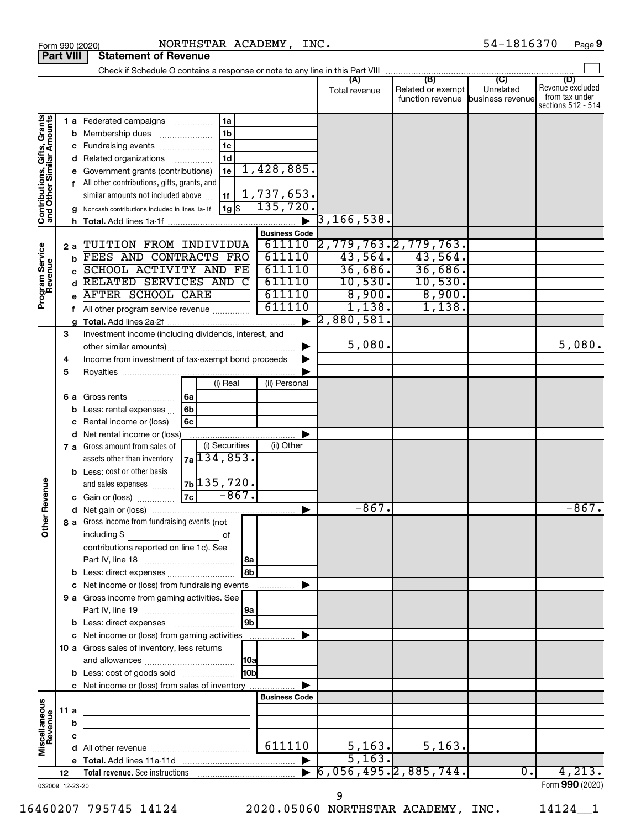| <b>Part VIII</b>                                          |      |    | <b>Statement of Revenue</b>                                                                                                                                                                            |                                     |                              |                                                               |                           |                                                                 |
|-----------------------------------------------------------|------|----|--------------------------------------------------------------------------------------------------------------------------------------------------------------------------------------------------------|-------------------------------------|------------------------------|---------------------------------------------------------------|---------------------------|-----------------------------------------------------------------|
|                                                           |      |    | Check if Schedule O contains a response or note to any line in this Part VIII                                                                                                                          |                                     |                              |                                                               |                           |                                                                 |
|                                                           |      |    |                                                                                                                                                                                                        |                                     | (A)<br>Total revenue         | (B)<br>Related or exempt<br>function revenue business revenue | $\mathbf{C}$<br>Unrelated | (D)<br>Revenue excluded<br>from tax under<br>sections 512 - 514 |
|                                                           |      |    | 1a<br><b>1 a</b> Federated campaigns <i>manument</i><br>1 <sub>b</sub><br><b>b</b> Membership dues<br>1 <sub>c</sub><br>c Fundraising events<br>1 <sub>d</sub><br>d Related organizations              |                                     |                              |                                                               |                           |                                                                 |
| Contributions, Gifts, Grants<br>and Other Similar Amounts |      |    | 1e<br>e Government grants (contributions)<br>f All other contributions, gifts, grants, and<br>similar amounts not included above<br>1f<br>  1g   \$<br>g Noncash contributions included in lines 1a-1f | 1,428,885.<br>1,737,653.<br>135,720 |                              |                                                               |                           |                                                                 |
|                                                           |      |    |                                                                                                                                                                                                        |                                     | 3, 166, 538.                 |                                                               |                           |                                                                 |
|                                                           |      |    |                                                                                                                                                                                                        | <b>Business Code</b>                |                              |                                                               |                           |                                                                 |
|                                                           |      | 2a | TUITION FROM INDIVIDUA                                                                                                                                                                                 |                                     | 611110 2,779,763. 2,779,763. |                                                               |                           |                                                                 |
|                                                           |      |    | FEES AND CONTRACTS FRO                                                                                                                                                                                 | 611110                              | 43,564.                      | 43,564.                                                       |                           |                                                                 |
| Program Service<br>Revenue                                |      |    | SCHOOL ACTIVITY AND FE                                                                                                                                                                                 | 611110                              | 36,686.                      |                                                               |                           |                                                                 |
|                                                           |      |    | RELATED SERVICES AND C                                                                                                                                                                                 | 611110                              | 10,530.                      | $\frac{36,686}{10,530}$ .                                     |                           |                                                                 |
|                                                           |      |    | <b>AFTER SCHOOL CARE</b>                                                                                                                                                                               | 611110                              | 8,900.                       | 8,900.                                                        |                           |                                                                 |
|                                                           |      |    |                                                                                                                                                                                                        | 611110                              | 1,138.                       | 1,138.                                                        |                           |                                                                 |
|                                                           |      |    | f All other program service revenue                                                                                                                                                                    |                                     |                              |                                                               |                           |                                                                 |
|                                                           |      | g  |                                                                                                                                                                                                        |                                     | 2,880,581.                   |                                                               |                           |                                                                 |
|                                                           | 3    |    | Investment income (including dividends, interest, and                                                                                                                                                  |                                     |                              |                                                               |                           |                                                                 |
|                                                           |      |    |                                                                                                                                                                                                        |                                     | 5,080.                       |                                                               |                           | 5,080.                                                          |
|                                                           | 4    |    | Income from investment of tax-exempt bond proceeds                                                                                                                                                     |                                     |                              |                                                               |                           |                                                                 |
|                                                           | 5    |    |                                                                                                                                                                                                        |                                     |                              |                                                               |                           |                                                                 |
|                                                           |      |    | (i) Real                                                                                                                                                                                               | (ii) Personal                       |                              |                                                               |                           |                                                                 |
|                                                           |      |    | 6 a Gross rents<br>6a<br>.                                                                                                                                                                             |                                     |                              |                                                               |                           |                                                                 |
|                                                           |      |    | 6 <sub>b</sub><br>Less: rental expenses                                                                                                                                                                |                                     |                              |                                                               |                           |                                                                 |
|                                                           |      |    | 6c<br>Rental income or (loss)                                                                                                                                                                          |                                     |                              |                                                               |                           |                                                                 |
|                                                           |      |    | d Net rental income or (loss)                                                                                                                                                                          |                                     |                              |                                                               |                           |                                                                 |
|                                                           |      |    | (i) Securities<br>7 a Gross amount from sales of                                                                                                                                                       | (ii) Other                          |                              |                                                               |                           |                                                                 |
|                                                           |      |    | 7a 134, 853.<br>assets other than inventory                                                                                                                                                            |                                     |                              |                                                               |                           |                                                                 |
|                                                           |      |    |                                                                                                                                                                                                        |                                     |                              |                                                               |                           |                                                                 |
|                                                           |      |    | <b>b</b> Less: cost or other basis                                                                                                                                                                     |                                     |                              |                                                               |                           |                                                                 |
|                                                           |      |    | $7b$ 135,720.<br>and sales expenses<br>$-867.$                                                                                                                                                         |                                     |                              |                                                               |                           |                                                                 |
| Revenue                                                   |      |    |                                                                                                                                                                                                        |                                     |                              |                                                               |                           |                                                                 |
|                                                           |      |    |                                                                                                                                                                                                        |                                     | $-867.$                      |                                                               |                           | $-867.$                                                         |
| ሕ<br>$\check{\epsilon}$                                   |      |    | 8 a Gross income from fundraising events (not                                                                                                                                                          |                                     |                              |                                                               |                           |                                                                 |
|                                                           |      |    | including \$<br>οf                                                                                                                                                                                     |                                     |                              |                                                               |                           |                                                                 |
|                                                           |      |    | contributions reported on line 1c). See                                                                                                                                                                |                                     |                              |                                                               |                           |                                                                 |
|                                                           |      |    | l 8a                                                                                                                                                                                                   |                                     |                              |                                                               |                           |                                                                 |
|                                                           |      |    | 8 <sub>b</sub><br><b>b</b> Less: direct expenses                                                                                                                                                       |                                     |                              |                                                               |                           |                                                                 |
|                                                           |      |    | c Net income or (loss) from fundraising events                                                                                                                                                         |                                     |                              |                                                               |                           |                                                                 |
|                                                           |      |    | 9 a Gross income from gaming activities. See                                                                                                                                                           |                                     |                              |                                                               |                           |                                                                 |
|                                                           |      |    | 9a                                                                                                                                                                                                     |                                     |                              |                                                               |                           |                                                                 |
|                                                           |      |    | 9 <sub>b</sub><br><b>b</b> Less: direct expenses <b>manually</b>                                                                                                                                       |                                     |                              |                                                               |                           |                                                                 |
|                                                           |      |    |                                                                                                                                                                                                        |                                     |                              |                                                               |                           |                                                                 |
|                                                           |      |    | c Net income or (loss) from gaming activities                                                                                                                                                          |                                     |                              |                                                               |                           |                                                                 |
|                                                           |      |    | 10 a Gross sales of inventory, less returns                                                                                                                                                            |                                     |                              |                                                               |                           |                                                                 |
|                                                           |      |    |                                                                                                                                                                                                        |                                     |                              |                                                               |                           |                                                                 |
|                                                           |      |    | 10bl<br><b>b</b> Less: cost of goods sold                                                                                                                                                              |                                     |                              |                                                               |                           |                                                                 |
|                                                           |      |    | c Net income or (loss) from sales of inventory                                                                                                                                                         |                                     |                              |                                                               |                           |                                                                 |
|                                                           |      |    |                                                                                                                                                                                                        | <b>Business Code</b>                |                              |                                                               |                           |                                                                 |
|                                                           | 11 a |    |                                                                                                                                                                                                        |                                     |                              |                                                               |                           |                                                                 |
|                                                           |      | b  |                                                                                                                                                                                                        |                                     |                              |                                                               |                           |                                                                 |
|                                                           |      | с  |                                                                                                                                                                                                        |                                     |                              |                                                               |                           |                                                                 |
| Miscellaneous<br>Revenue                                  |      |    |                                                                                                                                                                                                        | 611110                              | 5,163.                       | 5,163.                                                        |                           |                                                                 |
|                                                           |      |    |                                                                                                                                                                                                        |                                     | 5,163.                       |                                                               |                           |                                                                 |
|                                                           | 12   |    | Total revenue. See instructions                                                                                                                                                                        |                                     | 6,056,495.2,885,744.         |                                                               | 0.                        | 4,213.                                                          |
| 032009 12-23-20                                           |      |    |                                                                                                                                                                                                        |                                     |                              |                                                               |                           | Form 990 (2020)                                                 |

9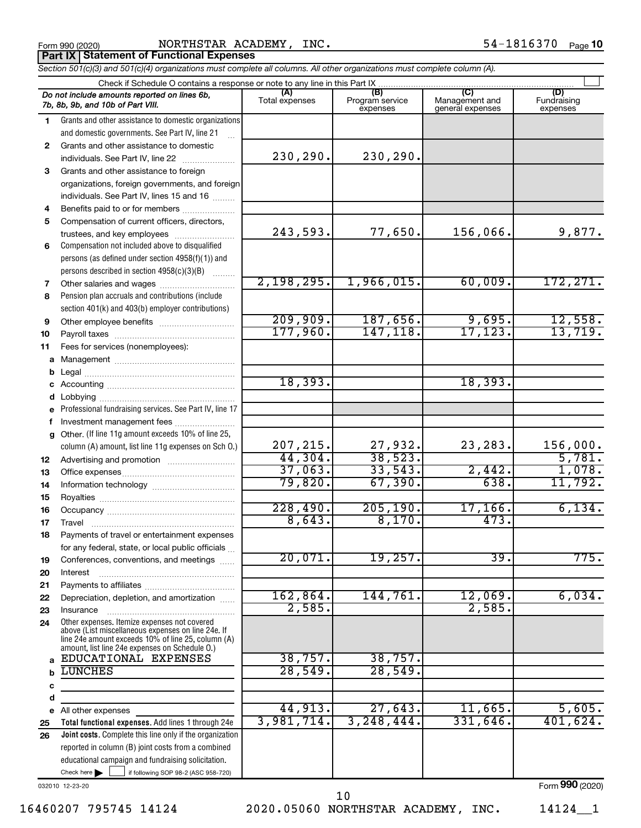| Form 990 (2020 |
|----------------|
|----------------|

Form 990 (2020) Page NORTHSTAR ACADEMY, INC. 54-1816370

*Section 501(c)(3) and 501(c)(4) organizations must complete all columns. All other organizations must complete column (A).* **Part IX Statement of Functional Expenses**

| Check if Schedule O contains a response or note to any line in this Part IX |                                                                                                                                                                                                            |                       |                                    |                                           |                                |  |  |
|-----------------------------------------------------------------------------|------------------------------------------------------------------------------------------------------------------------------------------------------------------------------------------------------------|-----------------------|------------------------------------|-------------------------------------------|--------------------------------|--|--|
|                                                                             | Do not include amounts reported on lines 6b,<br>7b, 8b, 9b, and 10b of Part VIII.                                                                                                                          | (A)<br>Total expenses | (B)<br>Program service<br>expenses | (C)<br>Management and<br>general expenses | (D)<br>Fundraising<br>expenses |  |  |
| 1.                                                                          | Grants and other assistance to domestic organizations                                                                                                                                                      |                       |                                    |                                           |                                |  |  |
|                                                                             | and domestic governments. See Part IV, line 21                                                                                                                                                             |                       |                                    |                                           |                                |  |  |
| $\mathbf{2}$                                                                | Grants and other assistance to domestic                                                                                                                                                                    |                       |                                    |                                           |                                |  |  |
|                                                                             | individuals. See Part IV, line 22                                                                                                                                                                          | 230,290.              | 230,290.                           |                                           |                                |  |  |
| 3                                                                           | Grants and other assistance to foreign                                                                                                                                                                     |                       |                                    |                                           |                                |  |  |
|                                                                             | organizations, foreign governments, and foreign                                                                                                                                                            |                       |                                    |                                           |                                |  |  |
|                                                                             | individuals. See Part IV, lines 15 and 16                                                                                                                                                                  |                       |                                    |                                           |                                |  |  |
| 4                                                                           | Benefits paid to or for members                                                                                                                                                                            |                       |                                    |                                           |                                |  |  |
| 5                                                                           | Compensation of current officers, directors,                                                                                                                                                               |                       |                                    |                                           |                                |  |  |
|                                                                             | trustees, and key employees                                                                                                                                                                                | 243,593.              | 77,650.                            | 156,066.                                  | 9,877.                         |  |  |
| 6                                                                           | Compensation not included above to disqualified                                                                                                                                                            |                       |                                    |                                           |                                |  |  |
|                                                                             | persons (as defined under section 4958(f)(1)) and                                                                                                                                                          |                       |                                    |                                           |                                |  |  |
|                                                                             | persons described in section 4958(c)(3)(B)                                                                                                                                                                 |                       |                                    |                                           |                                |  |  |
| 7                                                                           | Other salaries and wages                                                                                                                                                                                   | 2,198,295.            | 1,966,015.                         | 60,009.                                   | 172, 271.                      |  |  |
| 8                                                                           | Pension plan accruals and contributions (include                                                                                                                                                           |                       |                                    |                                           |                                |  |  |
|                                                                             | section 401(k) and 403(b) employer contributions)                                                                                                                                                          |                       |                                    |                                           |                                |  |  |
| 9                                                                           | Other employee benefits                                                                                                                                                                                    | 209,909.              | 187,656.<br>147, 118.              | 9,695.                                    | 12,558.<br>13,719.             |  |  |
| 10                                                                          |                                                                                                                                                                                                            | 177,960.              |                                    | 17, 123.                                  |                                |  |  |
| 11                                                                          | Fees for services (nonemployees):                                                                                                                                                                          |                       |                                    |                                           |                                |  |  |
| a                                                                           |                                                                                                                                                                                                            |                       |                                    |                                           |                                |  |  |
| b                                                                           |                                                                                                                                                                                                            | 18,393.               |                                    | 18,393.                                   |                                |  |  |
| с                                                                           |                                                                                                                                                                                                            |                       |                                    |                                           |                                |  |  |
| d                                                                           |                                                                                                                                                                                                            |                       |                                    |                                           |                                |  |  |
| е                                                                           | Professional fundraising services. See Part IV, line 17                                                                                                                                                    |                       |                                    |                                           |                                |  |  |
| f                                                                           | Investment management fees<br>Other. (If line 11g amount exceeds 10% of line 25,                                                                                                                           |                       |                                    |                                           |                                |  |  |
| g                                                                           | column (A) amount, list line 11g expenses on Sch O.)                                                                                                                                                       | 207, 215.             | 27,932.                            | 23,283.                                   | 156,000.                       |  |  |
| 12                                                                          |                                                                                                                                                                                                            | 44,304.               | 38,523.                            |                                           | 5,781.                         |  |  |
| 13                                                                          |                                                                                                                                                                                                            | 37,063.               | 33,543                             | 2,442.                                    | 1,078.                         |  |  |
| 14                                                                          |                                                                                                                                                                                                            | 79,820.               | 67,390.                            | 638.                                      | 11,792.                        |  |  |
| 15                                                                          |                                                                                                                                                                                                            |                       |                                    |                                           |                                |  |  |
| 16                                                                          |                                                                                                                                                                                                            | 228,490.              | 205, 190.                          | 17, 166.                                  | 6,134.                         |  |  |
| 17                                                                          |                                                                                                                                                                                                            | 8,643.                | 8,170.                             | 473.                                      |                                |  |  |
| 18                                                                          | Payments of travel or entertainment expenses                                                                                                                                                               |                       |                                    |                                           |                                |  |  |
|                                                                             | for any federal, state, or local public officials                                                                                                                                                          |                       |                                    |                                           |                                |  |  |
| 19                                                                          | Conferences, conventions, and meetings                                                                                                                                                                     | 20,071.               | 19,257.                            | $\overline{39}$                           | 775.                           |  |  |
| 20                                                                          | Interest                                                                                                                                                                                                   |                       |                                    |                                           |                                |  |  |
| 21                                                                          |                                                                                                                                                                                                            |                       |                                    |                                           |                                |  |  |
| 22                                                                          | Depreciation, depletion, and amortization                                                                                                                                                                  | 162,864.              | 144,761.                           | 12,069.                                   | 6,034.                         |  |  |
| 23                                                                          | Insurance                                                                                                                                                                                                  | 2,585.                |                                    | 2,585                                     |                                |  |  |
| 24                                                                          | Other expenses. Itemize expenses not covered<br>above (List miscellaneous expenses on line 24e. If<br>line 24e amount exceeds 10% of line 25, column (A)<br>amount, list line 24e expenses on Schedule O.) |                       |                                    |                                           |                                |  |  |
| a                                                                           | EDUCATIONAL EXPENSES                                                                                                                                                                                       | 38,757.               | 38,757.                            |                                           |                                |  |  |
| b                                                                           | <b>LUNCHES</b>                                                                                                                                                                                             | 28,549.               | 28,549.                            |                                           |                                |  |  |
| с                                                                           |                                                                                                                                                                                                            |                       |                                    |                                           |                                |  |  |
| d                                                                           |                                                                                                                                                                                                            |                       |                                    |                                           |                                |  |  |
|                                                                             | e All other expenses                                                                                                                                                                                       | 44,913.               | 27,643.                            | 11,665.                                   | 5,605.                         |  |  |
| 25                                                                          | Total functional expenses. Add lines 1 through 24e                                                                                                                                                         | 3,981,714.            | 3, 248, 444.                       | 331,646.                                  | 401,624.                       |  |  |
| 26                                                                          | <b>Joint costs.</b> Complete this line only if the organization                                                                                                                                            |                       |                                    |                                           |                                |  |  |
|                                                                             | reported in column (B) joint costs from a combined                                                                                                                                                         |                       |                                    |                                           |                                |  |  |
|                                                                             | educational campaign and fundraising solicitation.                                                                                                                                                         |                       |                                    |                                           |                                |  |  |
|                                                                             | Check here $\blacktriangleright$<br>if following SOP 98-2 (ASC 958-720)                                                                                                                                    |                       |                                    |                                           |                                |  |  |

032010 12-23-20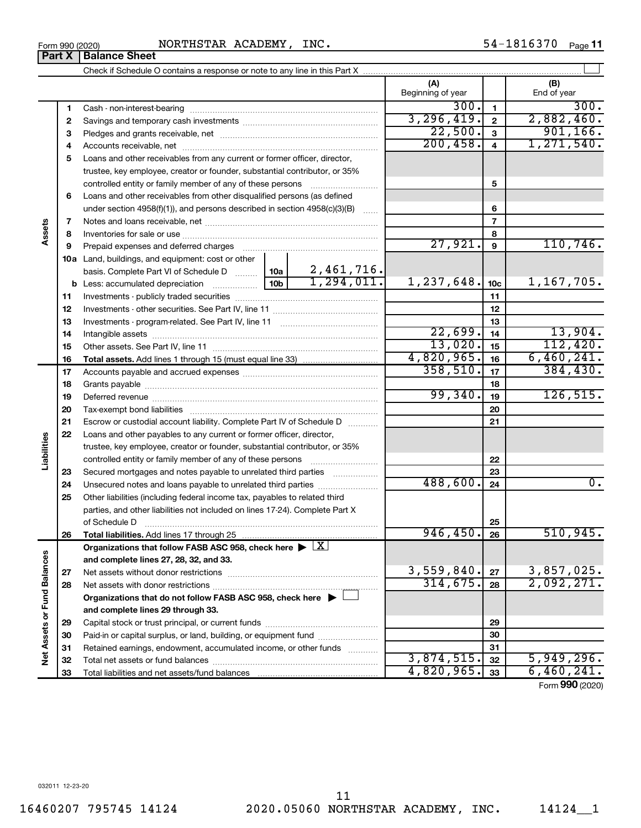**23 24 25**

**Liabilities**

**26**

**27 28**

**Net Assets or Fund Balances**

Net Assets or Fund Balances

**and complete lines 27, 28, 32, and 33. Organizations that do not follow FASB ASC 958, check here** | † **and complete lines 29 through 33.** Net assets without donor restrictions ~~~~~~~~~~~~~~~~~~~~ Net assets with donor restrictions ~~~~~~~~~~~~~~~~~~~~~~ Capital stock or trust principal, or current funds ~~~~~~~~~~~~~~~ Paid-in or capital surplus, or land, building, or equipment fund ....................... Retained earnings, endowment, accumulated income, or other funds ............ Total net assets or fund balances ~~~~~~~~~~~~~~~~~~~~~~ Total liabilities and net assets/fund balances  $3,559,840.$   $\sqrt{27}$  3,857,025.  $314,675.$  28 2,092,271. 3,874,515. 5,949,296.  $4,820,965.$   $33$  6,460,241.

|        |        | NORTHSTAR ACADEMY, INC.<br>Form 990 (2020)                                                                                                                                                                                     |         |                |                          |                         | 54-1816370<br>Page 11 |
|--------|--------|--------------------------------------------------------------------------------------------------------------------------------------------------------------------------------------------------------------------------------|---------|----------------|--------------------------|-------------------------|-----------------------|
|        | Part X | <b>Balance Sheet</b>                                                                                                                                                                                                           |         |                |                          |                         |                       |
|        |        |                                                                                                                                                                                                                                |         |                |                          |                         |                       |
|        |        |                                                                                                                                                                                                                                |         |                | (A)<br>Beginning of year |                         | (B)<br>End of year    |
|        | 1      | Cash - non-interest-bearing                                                                                                                                                                                                    |         |                | 300.                     | $\mathbf{1}$            | 300.                  |
|        | 2      |                                                                                                                                                                                                                                |         |                | 3, 296, 419.             | $\overline{2}$          | 2,882,460.            |
|        | з      |                                                                                                                                                                                                                                |         |                | 22,500.                  | $\mathbf{a}$            | 901, 166.             |
|        | 4      |                                                                                                                                                                                                                                |         |                | 200, 458.                | $\overline{\mathbf{4}}$ | 1,271,540.            |
|        | 5      | Loans and other receivables from any current or former officer, director,<br>trustee, key employee, creator or founder, substantial contributor, or 35%                                                                        |         |                |                          |                         |                       |
|        |        | controlled entity or family member of any of these persons                                                                                                                                                                     |         |                |                          | 5                       |                       |
|        | 6      | Loans and other receivables from other disqualified persons (as defined                                                                                                                                                        |         |                |                          |                         |                       |
|        |        | under section $4958(f)(1)$ , and persons described in section $4958(c)(3)(B)$                                                                                                                                                  |         | 6              |                          |                         |                       |
|        | 7      |                                                                                                                                                                                                                                |         | $\overline{7}$ |                          |                         |                       |
| Assets | 8      |                                                                                                                                                                                                                                |         | 8              |                          |                         |                       |
|        | 9      | Prepaid expenses and deferred charges [11] [11] prepaid expenses and deferred charges [11] [11] minimum and the Prepaid expenses and deferred charges [11] minimum and the Prepaid experiment of Prepaid experiment and the Pr | 27,921. | 9              | 110, 746.                |                         |                       |
|        | 10a    | Land, buildings, and equipment: cost or other<br>basis. Complete Part VI of Schedule D                                                                                                                                         | 10a     | 2,461,716.     |                          |                         |                       |
|        |        | <b>b</b> Less: accumulated depreciation <i>mimimimini</i>                                                                                                                                                                      | 10b     | 1, 294, 011.   | 1, 237, 648.             | 10 <sub>c</sub>         | 1,167,705.            |
|        | 11     |                                                                                                                                                                                                                                |         |                |                          | 11                      |                       |
|        | 12     |                                                                                                                                                                                                                                |         |                |                          | 12                      |                       |
|        | 13     |                                                                                                                                                                                                                                |         | 13             |                          |                         |                       |
|        | 14     |                                                                                                                                                                                                                                | 22,699. | 14             | 13,904.                  |                         |                       |
|        | 15     |                                                                                                                                                                                                                                |         | 13,020.        | 15                       | 112,420.                |                       |
|        | 16     |                                                                                                                                                                                                                                |         |                | $4,820,965.$ 16          |                         | 6,460,241.            |
|        | 17     |                                                                                                                                                                                                                                |         |                | $358, 510.$   17         |                         | 384, 430.             |

 Grants payable ~~~~~~~~~~~~~~~~~~~~~~~~~~~~~~~ Deferred revenue ~~~~~~~~~~~~~~~~~~~~~~~~~~~~~~ Tax-exempt bond liabilities ~~~~~~~~~~~~~~~~~~~~~~~~~ Escrow or custodial account liability. Complete Part IV of Schedule D  $\ldots$ 

trustee, key employee, creator or founder, substantial contributor, or 35% controlled entity or family member of any of these persons ~~~~~~~~~ Secured mortgages and notes payable to unrelated third parties  $\ldots$ ................. Unsecured notes and loans payable to unrelated third parties ......................... Other liabilities (including federal income tax, payables to related third parties, and other liabilities not included on lines 17-24). Complete Part X of Schedule D  $~\dots$   $~\dots$   $~\dots$   $~\dots$   $~\dots$   $~\dots$   $~\dots$   $~\dots$   $~\dots$   $~\dots$   $~\dots$ 

**Total liabilities.**  Add lines 17 through 25

Organizations that follow FASB ASC 958, check here  $\blacktriangleright \boxed{\text{X}}$ 

**22** Loans and other payables to any current or former officer, director,

Form (2020) **990**

 $\overline{99,340.}$  19 126,515.

 $488,600.$  24  $\overline{)$ 

946,450. 26 510,945.

**22 23 24**

**25 26**

**27 28**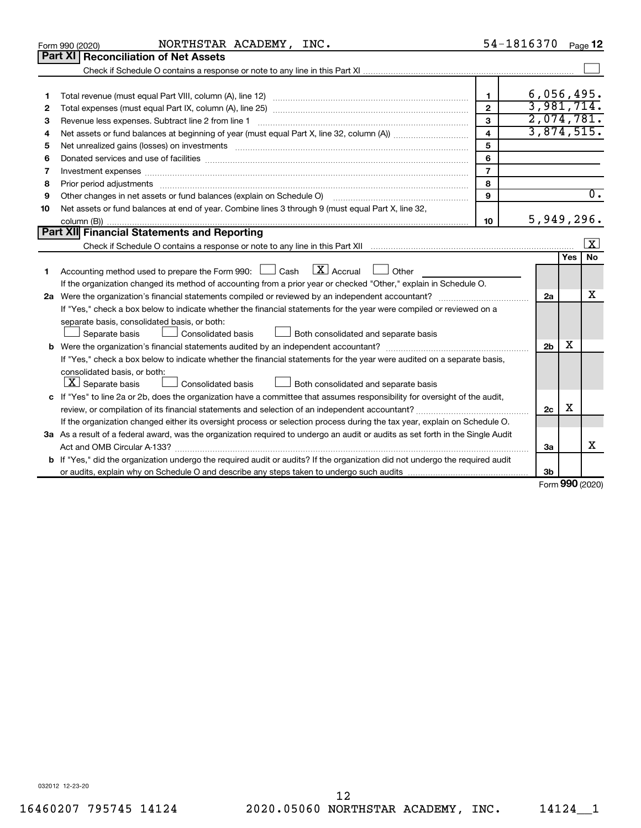|    | NORTHSTAR ACADEMY, INC.<br>Form 990 (2020)                                                                                                                                                                                     |                         | 54-1816370               |            | Page 12          |  |  |  |  |
|----|--------------------------------------------------------------------------------------------------------------------------------------------------------------------------------------------------------------------------------|-------------------------|--------------------------|------------|------------------|--|--|--|--|
|    | Part XI   Reconciliation of Net Assets                                                                                                                                                                                         |                         |                          |            |                  |  |  |  |  |
|    |                                                                                                                                                                                                                                |                         |                          |            |                  |  |  |  |  |
|    |                                                                                                                                                                                                                                |                         |                          |            |                  |  |  |  |  |
| 1  |                                                                                                                                                                                                                                | $\mathbf{1}$            | 6,056,495.               |            |                  |  |  |  |  |
| 2  |                                                                                                                                                                                                                                | $\overline{2}$          | 3,981,714.<br>2,074,781. |            |                  |  |  |  |  |
| З  | $\mathbf{3}$<br>Revenue less expenses. Subtract line 2 from line 1                                                                                                                                                             |                         |                          |            |                  |  |  |  |  |
| 4  |                                                                                                                                                                                                                                | $\overline{\mathbf{4}}$ | 3,874,515.               |            |                  |  |  |  |  |
| 5  |                                                                                                                                                                                                                                | 5                       |                          |            |                  |  |  |  |  |
| 6  |                                                                                                                                                                                                                                | 6                       |                          |            |                  |  |  |  |  |
| 7  | Investment expenses www.communication.com/www.communication.com/www.communication.com/www.com                                                                                                                                  | $\overline{7}$          |                          |            |                  |  |  |  |  |
| 8  | Prior period adjustments material contents and content and content and content and content and content and content and content and content and content and content and content and content and content and content and content | 8                       |                          |            |                  |  |  |  |  |
| 9  | Other changes in net assets or fund balances (explain on Schedule O) manual content content of the content of                                                                                                                  | 9                       |                          |            | $\overline{0}$ . |  |  |  |  |
| 10 | Net assets or fund balances at end of year. Combine lines 3 through 9 (must equal Part X, line 32,                                                                                                                             |                         |                          |            |                  |  |  |  |  |
|    |                                                                                                                                                                                                                                | 10                      | 5,949,296.               |            |                  |  |  |  |  |
|    | Part XII Financial Statements and Reporting<br>$\overline{\mathbf{x}}$                                                                                                                                                         |                         |                          |            |                  |  |  |  |  |
|    |                                                                                                                                                                                                                                |                         |                          |            |                  |  |  |  |  |
|    |                                                                                                                                                                                                                                |                         |                          | <b>Yes</b> | <b>No</b>        |  |  |  |  |
| 1  | Accounting method used to prepare the Form 990: $\Box$ Cash $\Box X$ Accrual<br>$\Box$ Other                                                                                                                                   |                         |                          |            |                  |  |  |  |  |
|    | If the organization changed its method of accounting from a prior year or checked "Other," explain in Schedule O.                                                                                                              |                         |                          |            |                  |  |  |  |  |
|    |                                                                                                                                                                                                                                |                         |                          |            |                  |  |  |  |  |
|    | If "Yes," check a box below to indicate whether the financial statements for the year were compiled or reviewed on a                                                                                                           |                         |                          |            |                  |  |  |  |  |
|    | separate basis, consolidated basis, or both:                                                                                                                                                                                   |                         |                          |            |                  |  |  |  |  |
|    | Both consolidated and separate basis<br>Separate basis<br>Consolidated basis                                                                                                                                                   |                         |                          |            |                  |  |  |  |  |
| b  |                                                                                                                                                                                                                                |                         | 2 <sub>b</sub>           | х          |                  |  |  |  |  |
|    | If "Yes," check a box below to indicate whether the financial statements for the year were audited on a separate basis,                                                                                                        |                         |                          |            |                  |  |  |  |  |
|    | consolidated basis, or both:                                                                                                                                                                                                   |                         |                          |            |                  |  |  |  |  |
|    | $ \mathbf{X} $ Separate basis<br><b>Consolidated basis</b><br>Both consolidated and separate basis                                                                                                                             |                         |                          |            |                  |  |  |  |  |
|    | c If "Yes" to line 2a or 2b, does the organization have a committee that assumes responsibility for oversight of the audit,                                                                                                    |                         |                          |            |                  |  |  |  |  |
|    | review, or compilation of its financial statements and selection of an independent accountant?                                                                                                                                 |                         | 2c                       | х          |                  |  |  |  |  |
|    | If the organization changed either its oversight process or selection process during the tax year, explain on Schedule O.                                                                                                      |                         |                          |            |                  |  |  |  |  |
|    | 3a As a result of a federal award, was the organization required to undergo an audit or audits as set forth in the Single Audit                                                                                                |                         |                          |            |                  |  |  |  |  |
|    |                                                                                                                                                                                                                                |                         | За                       |            | X                |  |  |  |  |
| b  | If "Yes," did the organization undergo the required audit or audits? If the organization did not undergo the required audit                                                                                                    |                         |                          |            |                  |  |  |  |  |
|    |                                                                                                                                                                                                                                |                         | 3b                       |            |                  |  |  |  |  |

Form (2020) **990**

032012 12-23-20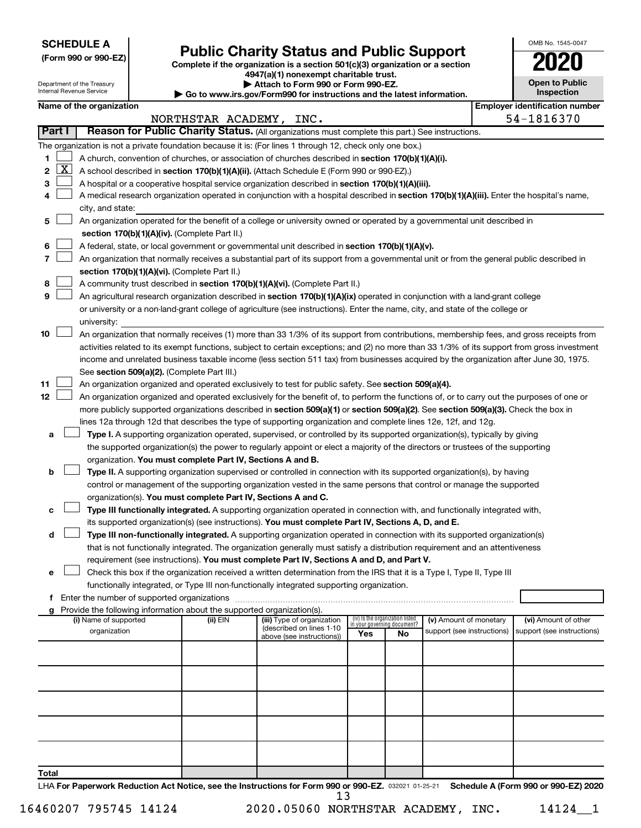**SCHEDULE A**

Department of the Treasury Internal Revenue Service

# Form 990 or 990-EZ) **Public Charity Status and Public Support**<br>
Complete if the organization is a section 501(c)(3) organization or a section<br> **2020**

**4947(a)(1) nonexempt charitable trust. | Attach to Form 990 or Form 990-EZ.** 

**| Go to www.irs.gov/Form990 for instructions and the latest information.**

|   | OMB No. 1545-0047                   |
|---|-------------------------------------|
|   | U21                                 |
|   | <b>Open to Public</b><br>Inspection |
| ۹ | lentification num                   |

|              |          |                                                                                                                                              |                         | $\sim$ Go to www.ii s.gov/Lorm330 for msu actions and the latest imormation. |     |                                   |                            |  |                                                     |  |
|--------------|----------|----------------------------------------------------------------------------------------------------------------------------------------------|-------------------------|------------------------------------------------------------------------------|-----|-----------------------------------|----------------------------|--|-----------------------------------------------------|--|
|              |          | Name of the organization                                                                                                                     | NORTHSTAR ACADEMY, INC. |                                                                              |     |                                   |                            |  | <b>Employer identification number</b><br>54-1816370 |  |
| Part I       |          | Reason for Public Charity Status. (All organizations must complete this part.) See instructions.                                             |                         |                                                                              |     |                                   |                            |  |                                                     |  |
|              |          | The organization is not a private foundation because it is: (For lines 1 through 12, check only one box.)                                    |                         |                                                                              |     |                                   |                            |  |                                                     |  |
| 1.           |          | A church, convention of churches, or association of churches described in section 170(b)(1)(A)(i).                                           |                         |                                                                              |     |                                   |                            |  |                                                     |  |
| $\mathbf{2}$ | <u>x</u> |                                                                                                                                              |                         |                                                                              |     |                                   |                            |  |                                                     |  |
|              |          | A school described in section 170(b)(1)(A)(ii). (Attach Schedule E (Form 990 or 990-EZ).)                                                    |                         |                                                                              |     |                                   |                            |  |                                                     |  |
| 3            |          | A hospital or a cooperative hospital service organization described in section 170(b)(1)(A)(iii).                                            |                         |                                                                              |     |                                   |                            |  |                                                     |  |
| 4            |          | A medical research organization operated in conjunction with a hospital described in section 170(b)(1)(A)(iii). Enter the hospital's name,   |                         |                                                                              |     |                                   |                            |  |                                                     |  |
|              |          | city, and state:                                                                                                                             |                         |                                                                              |     |                                   |                            |  |                                                     |  |
| 5.           |          | An organization operated for the benefit of a college or university owned or operated by a governmental unit described in                    |                         |                                                                              |     |                                   |                            |  |                                                     |  |
|              |          | section 170(b)(1)(A)(iv). (Complete Part II.)                                                                                                |                         |                                                                              |     |                                   |                            |  |                                                     |  |
| 6            |          | A federal, state, or local government or governmental unit described in section 170(b)(1)(A)(v).                                             |                         |                                                                              |     |                                   |                            |  |                                                     |  |
|              |          | An organization that normally receives a substantial part of its support from a governmental unit or from the general public described in    |                         |                                                                              |     |                                   |                            |  |                                                     |  |
|              |          | section 170(b)(1)(A)(vi). (Complete Part II.)                                                                                                |                         |                                                                              |     |                                   |                            |  |                                                     |  |
| 8            |          | A community trust described in section 170(b)(1)(A)(vi). (Complete Part II.)                                                                 |                         |                                                                              |     |                                   |                            |  |                                                     |  |
| 9            |          | An agricultural research organization described in section 170(b)(1)(A)(ix) operated in conjunction with a land-grant college                |                         |                                                                              |     |                                   |                            |  |                                                     |  |
|              |          | or university or a non-land-grant college of agriculture (see instructions). Enter the name, city, and state of the college or               |                         |                                                                              |     |                                   |                            |  |                                                     |  |
|              |          | university:                                                                                                                                  |                         |                                                                              |     |                                   |                            |  |                                                     |  |
| 10           |          | An organization that normally receives (1) more than 33 1/3% of its support from contributions, membership fees, and gross receipts from     |                         |                                                                              |     |                                   |                            |  |                                                     |  |
|              |          | activities related to its exempt functions, subject to certain exceptions; and (2) no more than 33 1/3% of its support from gross investment |                         |                                                                              |     |                                   |                            |  |                                                     |  |
|              |          | income and unrelated business taxable income (less section 511 tax) from businesses acquired by the organization after June 30, 1975.        |                         |                                                                              |     |                                   |                            |  |                                                     |  |
|              |          | See section 509(a)(2). (Complete Part III.)                                                                                                  |                         |                                                                              |     |                                   |                            |  |                                                     |  |
| 11           |          | An organization organized and operated exclusively to test for public safety. See section 509(a)(4).                                         |                         |                                                                              |     |                                   |                            |  |                                                     |  |
| 12           |          | An organization organized and operated exclusively for the benefit of, to perform the functions of, or to carry out the purposes of one or   |                         |                                                                              |     |                                   |                            |  |                                                     |  |
|              |          | more publicly supported organizations described in section 509(a)(1) or section 509(a)(2). See section 509(a)(3). Check the box in           |                         |                                                                              |     |                                   |                            |  |                                                     |  |
|              |          | lines 12a through 12d that describes the type of supporting organization and complete lines 12e, 12f, and 12g.                               |                         |                                                                              |     |                                   |                            |  |                                                     |  |
| а            |          | Type I. A supporting organization operated, supervised, or controlled by its supported organization(s), typically by giving                  |                         |                                                                              |     |                                   |                            |  |                                                     |  |
|              |          | the supported organization(s) the power to regularly appoint or elect a majority of the directors or trustees of the supporting              |                         |                                                                              |     |                                   |                            |  |                                                     |  |
|              |          | organization. You must complete Part IV, Sections A and B.                                                                                   |                         |                                                                              |     |                                   |                            |  |                                                     |  |
| b            |          | Type II. A supporting organization supervised or controlled in connection with its supported organization(s), by having                      |                         |                                                                              |     |                                   |                            |  |                                                     |  |
|              |          | control or management of the supporting organization vested in the same persons that control or manage the supported                         |                         |                                                                              |     |                                   |                            |  |                                                     |  |
|              |          | organization(s). You must complete Part IV, Sections A and C.                                                                                |                         |                                                                              |     |                                   |                            |  |                                                     |  |
|              |          | Type III functionally integrated. A supporting organization operated in connection with, and functionally integrated with,                   |                         |                                                                              |     |                                   |                            |  |                                                     |  |
|              |          | its supported organization(s) (see instructions). You must complete Part IV, Sections A, D, and E.                                           |                         |                                                                              |     |                                   |                            |  |                                                     |  |
| d            |          | Type III non-functionally integrated. A supporting organization operated in connection with its supported organization(s)                    |                         |                                                                              |     |                                   |                            |  |                                                     |  |
|              |          | that is not functionally integrated. The organization generally must satisfy a distribution requirement and an attentiveness                 |                         |                                                                              |     |                                   |                            |  |                                                     |  |
|              |          | requirement (see instructions). You must complete Part IV, Sections A and D, and Part V.                                                     |                         |                                                                              |     |                                   |                            |  |                                                     |  |
| е            |          | Check this box if the organization received a written determination from the IRS that it is a Type I, Type II, Type III                      |                         |                                                                              |     |                                   |                            |  |                                                     |  |
| f            |          | functionally integrated, or Type III non-functionally integrated supporting organization.<br>Enter the number of supported organizations     |                         |                                                                              |     |                                   |                            |  |                                                     |  |
|              |          | Provide the following information about the supported organization(s).                                                                       |                         |                                                                              |     |                                   |                            |  |                                                     |  |
|              |          | (i) Name of supported                                                                                                                        | (ii) EIN                | (iii) Type of organization                                                   |     | (iv) Is the organization listed   | (v) Amount of monetary     |  | (vi) Amount of other                                |  |
|              |          | organization                                                                                                                                 |                         | (described on lines 1-10<br>above (see instructions))                        | Yes | in your governing document?<br>No | support (see instructions) |  | support (see instructions)                          |  |
|              |          |                                                                                                                                              |                         |                                                                              |     |                                   |                            |  |                                                     |  |
|              |          |                                                                                                                                              |                         |                                                                              |     |                                   |                            |  |                                                     |  |
|              |          |                                                                                                                                              |                         |                                                                              |     |                                   |                            |  |                                                     |  |
|              |          |                                                                                                                                              |                         |                                                                              |     |                                   |                            |  |                                                     |  |
|              |          |                                                                                                                                              |                         |                                                                              |     |                                   |                            |  |                                                     |  |
|              |          |                                                                                                                                              |                         |                                                                              |     |                                   |                            |  |                                                     |  |
|              |          |                                                                                                                                              |                         |                                                                              |     |                                   |                            |  |                                                     |  |
|              |          |                                                                                                                                              |                         |                                                                              |     |                                   |                            |  |                                                     |  |
|              |          |                                                                                                                                              |                         |                                                                              |     |                                   |                            |  |                                                     |  |

LHA For Paperwork Reduction Act Notice, see the Instructions for Form 990 or 990-EZ. 032021 01-25-21 Schedule A (Form 990 or 990-EZ) 2020 13

**Total**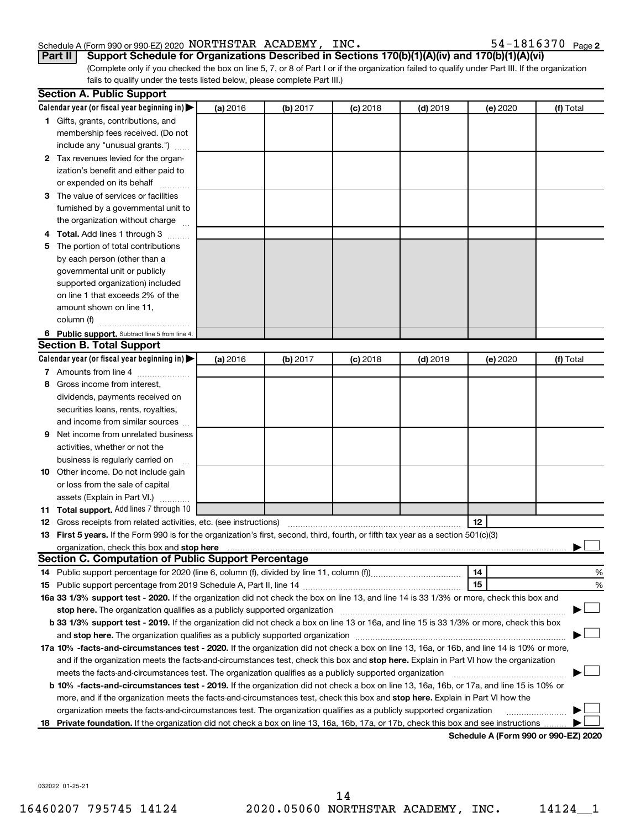#### Schedule A (Form 990 or 990-EZ) 2020 NORTHSTAR ACADEMY, INC.  $54-1816370$   $_{\rm Page}$

(Complete only if you checked the box on line 5, 7, or 8 of Part I or if the organization failed to qualify under Part III. If the organization fails to qualify under the tests listed below, please complete Part III.) **Part II Support Schedule for Organizations Described in Sections 170(b)(1)(A)(iv) and 170(b)(1)(A)(vi)**

|    | <b>Section A. Public Support</b>                                                                                                                                                                             |          |          |            |            |                                      |           |
|----|--------------------------------------------------------------------------------------------------------------------------------------------------------------------------------------------------------------|----------|----------|------------|------------|--------------------------------------|-----------|
|    | Calendar year (or fiscal year beginning in) $\blacktriangleright$                                                                                                                                            | (a) 2016 | (b) 2017 | $(c)$ 2018 | $(d)$ 2019 | (e) 2020                             | (f) Total |
|    | 1 Gifts, grants, contributions, and                                                                                                                                                                          |          |          |            |            |                                      |           |
|    | membership fees received. (Do not                                                                                                                                                                            |          |          |            |            |                                      |           |
|    | include any "unusual grants.")                                                                                                                                                                               |          |          |            |            |                                      |           |
|    | 2 Tax revenues levied for the organ-                                                                                                                                                                         |          |          |            |            |                                      |           |
|    | ization's benefit and either paid to                                                                                                                                                                         |          |          |            |            |                                      |           |
|    | or expended on its behalf                                                                                                                                                                                    |          |          |            |            |                                      |           |
|    | 3 The value of services or facilities                                                                                                                                                                        |          |          |            |            |                                      |           |
|    | furnished by a governmental unit to                                                                                                                                                                          |          |          |            |            |                                      |           |
|    | the organization without charge                                                                                                                                                                              |          |          |            |            |                                      |           |
|    | <b>Total.</b> Add lines 1 through 3                                                                                                                                                                          |          |          |            |            |                                      |           |
| 5. | The portion of total contributions                                                                                                                                                                           |          |          |            |            |                                      |           |
|    | by each person (other than a                                                                                                                                                                                 |          |          |            |            |                                      |           |
|    | governmental unit or publicly                                                                                                                                                                                |          |          |            |            |                                      |           |
|    | supported organization) included                                                                                                                                                                             |          |          |            |            |                                      |           |
|    | on line 1 that exceeds 2% of the                                                                                                                                                                             |          |          |            |            |                                      |           |
|    | amount shown on line 11,                                                                                                                                                                                     |          |          |            |            |                                      |           |
|    | column (f)                                                                                                                                                                                                   |          |          |            |            |                                      |           |
|    | 6 Public support. Subtract line 5 from line 4.                                                                                                                                                               |          |          |            |            |                                      |           |
|    | <b>Section B. Total Support</b>                                                                                                                                                                              |          |          |            |            |                                      |           |
|    | Calendar year (or fiscal year beginning in) $\blacktriangleright$                                                                                                                                            | (a) 2016 | (b) 2017 | $(c)$ 2018 | $(d)$ 2019 | (e) 2020                             | (f) Total |
|    | 7 Amounts from line 4                                                                                                                                                                                        |          |          |            |            |                                      |           |
| 8  | Gross income from interest,                                                                                                                                                                                  |          |          |            |            |                                      |           |
|    | dividends, payments received on                                                                                                                                                                              |          |          |            |            |                                      |           |
|    | securities loans, rents, royalties,                                                                                                                                                                          |          |          |            |            |                                      |           |
|    | and income from similar sources                                                                                                                                                                              |          |          |            |            |                                      |           |
| 9  | Net income from unrelated business                                                                                                                                                                           |          |          |            |            |                                      |           |
|    | activities, whether or not the                                                                                                                                                                               |          |          |            |            |                                      |           |
|    | business is regularly carried on                                                                                                                                                                             |          |          |            |            |                                      |           |
|    | 10 Other income. Do not include gain                                                                                                                                                                         |          |          |            |            |                                      |           |
|    | or loss from the sale of capital                                                                                                                                                                             |          |          |            |            |                                      |           |
|    | assets (Explain in Part VI.)                                                                                                                                                                                 |          |          |            |            |                                      |           |
|    | 11 Total support. Add lines 7 through 10                                                                                                                                                                     |          |          |            |            |                                      |           |
|    | <b>12</b> Gross receipts from related activities, etc. (see instructions)                                                                                                                                    |          |          |            |            | 12                                   |           |
|    | 13 First 5 years. If the Form 990 is for the organization's first, second, third, fourth, or fifth tax year as a section 501(c)(3)                                                                           |          |          |            |            |                                      |           |
|    | organization, check this box and stop here                                                                                                                                                                   |          |          |            |            |                                      |           |
|    | <b>Section C. Computation of Public Support Percentage</b>                                                                                                                                                   |          |          |            |            |                                      |           |
|    |                                                                                                                                                                                                              |          |          |            |            | 14                                   | %         |
|    |                                                                                                                                                                                                              |          |          |            |            | 15                                   | %         |
|    | 16a 33 1/3% support test - 2020. If the organization did not check the box on line 13, and line 14 is 33 1/3% or more, check this box and                                                                    |          |          |            |            |                                      |           |
|    | stop here. The organization qualifies as a publicly supported organization                                                                                                                                   |          |          |            |            |                                      |           |
|    | b 33 1/3% support test - 2019. If the organization did not check a box on line 13 or 16a, and line 15 is 33 1/3% or more, check this box                                                                     |          |          |            |            |                                      |           |
|    | and stop here. The organization qualifies as a publicly supported organization [11] manuscription manuscription manuscription and stop here. The organization qualifies as a publicly supported organization |          |          |            |            |                                      |           |
|    | 17a 10% -facts-and-circumstances test - 2020. If the organization did not check a box on line 13, 16a, or 16b, and line 14 is 10% or more,                                                                   |          |          |            |            |                                      |           |
|    | and if the organization meets the facts-and-circumstances test, check this box and stop here. Explain in Part VI how the organization                                                                        |          |          |            |            |                                      |           |
|    | meets the facts-and-circumstances test. The organization qualifies as a publicly supported organization                                                                                                      |          |          |            |            |                                      |           |
|    | b 10% -facts-and-circumstances test - 2019. If the organization did not check a box on line 13, 16a, 16b, or 17a, and line 15 is 10% or                                                                      |          |          |            |            |                                      |           |
|    | more, and if the organization meets the facts-and-circumstances test, check this box and stop here. Explain in Part VI how the                                                                               |          |          |            |            |                                      |           |
|    | organization meets the facts-and-circumstances test. The organization qualifies as a publicly supported organization                                                                                         |          |          |            |            |                                      |           |
| 18 | Private foundation. If the organization did not check a box on line 13, 16a, 16b, 17a, or 17b, check this box and see instructions                                                                           |          |          |            |            |                                      |           |
|    |                                                                                                                                                                                                              |          |          |            |            | Schedule A (Form 990 or 990-F7) 2020 |           |

**Schedule A (Form 990 or 990-EZ) 2020**

032022 01-25-21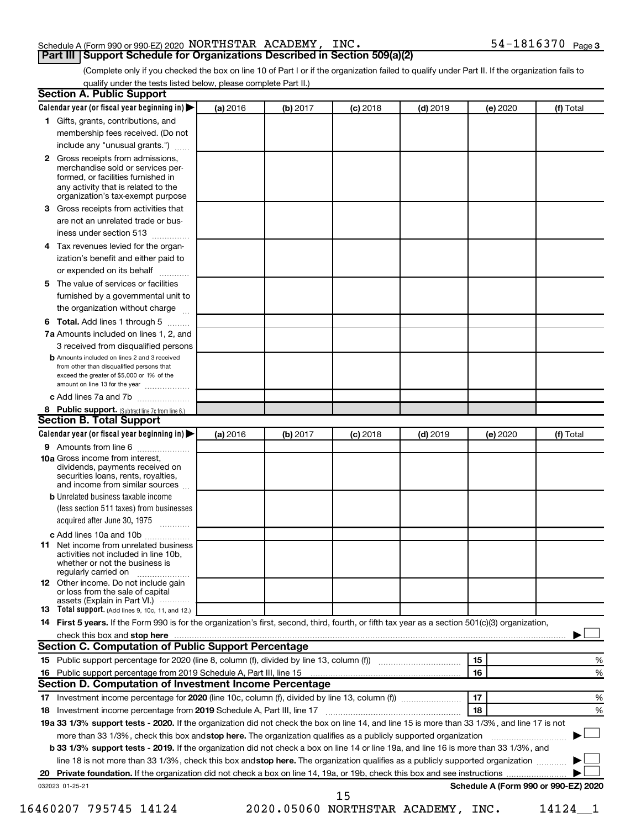#### Schedule A (Form 990 or 990-EZ) 2020 NORTHSTAR ACADEMY, INC.  $54-1816370$   $_{\rm Page}$

#### **Part III Support Schedule for Organizations Described in Section 509(a)(2)**

54-1816370 Page 3

(Complete only if you checked the box on line 10 of Part I or if the organization failed to qualify under Part II. If the organization fails to qualify under the tests listed below, please complete Part II.)

|              | Calendar year (or fiscal year beginning in)                                                                                                                                            | (a) 2016 | (b) 2017 | $(c)$ 2018                         | $(d)$ 2019 |    | (e) 2020 | (f) Total                            |   |
|--------------|----------------------------------------------------------------------------------------------------------------------------------------------------------------------------------------|----------|----------|------------------------------------|------------|----|----------|--------------------------------------|---|
|              | 1 Gifts, grants, contributions, and                                                                                                                                                    |          |          |                                    |            |    |          |                                      |   |
|              | membership fees received. (Do not                                                                                                                                                      |          |          |                                    |            |    |          |                                      |   |
|              | include any "unusual grants.")                                                                                                                                                         |          |          |                                    |            |    |          |                                      |   |
| $\mathbf{2}$ | Gross receipts from admissions,<br>merchandise sold or services per-<br>formed, or facilities furnished in<br>any activity that is related to the<br>organization's tax-exempt purpose |          |          |                                    |            |    |          |                                      |   |
| 3            | Gross receipts from activities that                                                                                                                                                    |          |          |                                    |            |    |          |                                      |   |
|              | are not an unrelated trade or bus-                                                                                                                                                     |          |          |                                    |            |    |          |                                      |   |
|              | iness under section 513                                                                                                                                                                |          |          |                                    |            |    |          |                                      |   |
| 4            | Tax revenues levied for the organ-                                                                                                                                                     |          |          |                                    |            |    |          |                                      |   |
|              | ization's benefit and either paid to<br>or expended on its behalf<br>.                                                                                                                 |          |          |                                    |            |    |          |                                      |   |
| 5            | The value of services or facilities                                                                                                                                                    |          |          |                                    |            |    |          |                                      |   |
|              | furnished by a governmental unit to<br>the organization without charge                                                                                                                 |          |          |                                    |            |    |          |                                      |   |
|              | Total. Add lines 1 through 5                                                                                                                                                           |          |          |                                    |            |    |          |                                      |   |
| 6            |                                                                                                                                                                                        |          |          |                                    |            |    |          |                                      |   |
|              | 7a Amounts included on lines 1, 2, and<br>3 received from disqualified persons                                                                                                         |          |          |                                    |            |    |          |                                      |   |
|              | <b>b</b> Amounts included on lines 2 and 3 received                                                                                                                                    |          |          |                                    |            |    |          |                                      |   |
|              | from other than disqualified persons that<br>exceed the greater of \$5,000 or 1% of the<br>amount on line 13 for the year                                                              |          |          |                                    |            |    |          |                                      |   |
|              | c Add lines 7a and 7b                                                                                                                                                                  |          |          |                                    |            |    |          |                                      |   |
|              | 8 Public support. (Subtract line 7c from line 6.)                                                                                                                                      |          |          |                                    |            |    |          |                                      |   |
|              | <b>Section B. Total Support</b>                                                                                                                                                        |          |          |                                    |            |    |          |                                      |   |
|              | Calendar year (or fiscal year beginning in)                                                                                                                                            | (a) 2016 | (b) 2017 | $(c)$ 2018                         | $(d)$ 2019 |    | (e) 2020 | (f) Total                            |   |
|              | 9 Amounts from line 6                                                                                                                                                                  |          |          |                                    |            |    |          |                                      |   |
|              | <b>10a</b> Gross income from interest,<br>dividends, payments received on<br>securities loans, rents, royalties,<br>and income from similar sources                                    |          |          |                                    |            |    |          |                                      |   |
|              | <b>b</b> Unrelated business taxable income                                                                                                                                             |          |          |                                    |            |    |          |                                      |   |
|              | (less section 511 taxes) from businesses<br>acquired after June 30, 1975                                                                                                               |          |          |                                    |            |    |          |                                      |   |
|              | c Add lines 10a and 10b                                                                                                                                                                |          |          |                                    |            |    |          |                                      |   |
| 11           | Net income from unrelated business<br>activities not included in line 10b.<br>whether or not the business is<br>regularly carried on                                                   |          |          |                                    |            |    |          |                                      |   |
|              | <b>12</b> Other income. Do not include gain<br>or loss from the sale of capital<br>assets (Explain in Part VI.)                                                                        |          |          |                                    |            |    |          |                                      |   |
|              | 13 Total support. (Add lines 9, 10c, 11, and 12.)                                                                                                                                      |          |          |                                    |            |    |          |                                      |   |
|              | 14 First 5 years. If the Form 990 is for the organization's first, second, third, fourth, or fifth tax year as a section 501(c)(3) organization,                                       |          |          |                                    |            |    |          |                                      |   |
|              |                                                                                                                                                                                        |          |          |                                    |            |    |          |                                      |   |
|              | <b>Section C. Computation of Public Support Percentage</b>                                                                                                                             |          |          |                                    |            |    |          |                                      |   |
|              |                                                                                                                                                                                        |          |          |                                    |            | 15 |          |                                      | % |
|              |                                                                                                                                                                                        |          |          |                                    |            | 16 |          |                                      | % |
|              | Section D. Computation of Investment Income Percentage                                                                                                                                 |          |          |                                    |            |    |          |                                      |   |
|              |                                                                                                                                                                                        |          |          |                                    |            | 17 |          |                                      | % |
|              |                                                                                                                                                                                        |          |          |                                    |            | 18 |          |                                      | % |
|              | 19a 33 1/3% support tests - 2020. If the organization did not check the box on line 14, and line 15 is more than 33 1/3%, and line 17 is not                                           |          |          |                                    |            |    |          |                                      |   |
|              | more than 33 1/3%, check this box and stop here. The organization qualifies as a publicly supported organization                                                                       |          |          |                                    |            |    |          |                                      |   |
|              | <b>b 33 1/3% support tests - 2019.</b> If the organization did not check a box on line 14 or line 19a, and line 16 is more than 33 1/3%, and                                           |          |          |                                    |            |    |          |                                      |   |
|              | line 18 is not more than 33 1/3%, check this box and stop here. The organization qualifies as a publicly supported organization                                                        |          |          |                                    |            |    |          |                                      |   |
|              |                                                                                                                                                                                        |          |          |                                    |            |    |          |                                      |   |
|              | 032023 01-25-21                                                                                                                                                                        |          |          |                                    |            |    |          | Schedule A (Form 990 or 990-EZ) 2020 |   |
|              |                                                                                                                                                                                        |          |          | 15                                 |            |    |          |                                      |   |
|              | 16460207 795745 14124                                                                                                                                                                  |          |          | 2020.05060 NORTHSTAR ACADEMY, INC. |            |    |          | 14124                                |   |
|              |                                                                                                                                                                                        |          |          |                                    |            |    |          |                                      |   |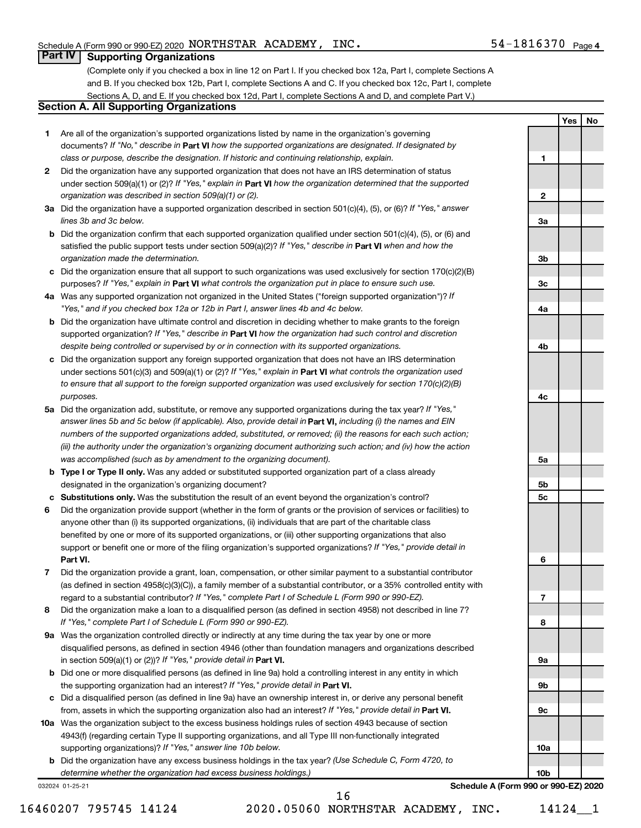**1**

**2**

**3a**

**Yes No**

#### **Part IV Supporting Organizations**

(Complete only if you checked a box in line 12 on Part I. If you checked box 12a, Part I, complete Sections A and B. If you checked box 12b, Part I, complete Sections A and C. If you checked box 12c, Part I, complete Sections A, D, and E. If you checked box 12d, Part I, complete Sections A and D, and complete Part V.)

#### **Section A. All Supporting Organizations**

- **1** Are all of the organization's supported organizations listed by name in the organization's governing documents? If "No," describe in Part VI how the supported organizations are designated. If designated by *class or purpose, describe the designation. If historic and continuing relationship, explain.*
- **2** Did the organization have any supported organization that does not have an IRS determination of status under section 509(a)(1) or (2)? If "Yes," explain in Part **VI** how the organization determined that the supported *organization was described in section 509(a)(1) or (2).*
- **3a** Did the organization have a supported organization described in section 501(c)(4), (5), or (6)? If "Yes," answer *lines 3b and 3c below.*
- **b** Did the organization confirm that each supported organization qualified under section 501(c)(4), (5), or (6) and satisfied the public support tests under section 509(a)(2)? If "Yes," describe in Part VI when and how the *organization made the determination.*
- **c** Did the organization ensure that all support to such organizations was used exclusively for section 170(c)(2)(B) purposes? If "Yes," explain in Part VI what controls the organization put in place to ensure such use.
- **4 a** *If* Was any supported organization not organized in the United States ("foreign supported organization")? *"Yes," and if you checked box 12a or 12b in Part I, answer lines 4b and 4c below.*
- **b** Did the organization have ultimate control and discretion in deciding whether to make grants to the foreign supported organization? If "Yes," describe in Part VI how the organization had such control and discretion *despite being controlled or supervised by or in connection with its supported organizations.*
- **c** Did the organization support any foreign supported organization that does not have an IRS determination under sections 501(c)(3) and 509(a)(1) or (2)? If "Yes," explain in Part VI what controls the organization used *to ensure that all support to the foreign supported organization was used exclusively for section 170(c)(2)(B) purposes.*
- **5a** Did the organization add, substitute, or remove any supported organizations during the tax year? If "Yes," answer lines 5b and 5c below (if applicable). Also, provide detail in **Part VI,** including (i) the names and EIN *numbers of the supported organizations added, substituted, or removed; (ii) the reasons for each such action; (iii) the authority under the organization's organizing document authorizing such action; and (iv) how the action was accomplished (such as by amendment to the organizing document).*
- **b** Type I or Type II only. Was any added or substituted supported organization part of a class already designated in the organization's organizing document?
- **c Substitutions only.**  Was the substitution the result of an event beyond the organization's control?
- **6** Did the organization provide support (whether in the form of grants or the provision of services or facilities) to **Part VI.** support or benefit one or more of the filing organization's supported organizations? If "Yes," provide detail in anyone other than (i) its supported organizations, (ii) individuals that are part of the charitable class benefited by one or more of its supported organizations, or (iii) other supporting organizations that also
- **7** Did the organization provide a grant, loan, compensation, or other similar payment to a substantial contributor regard to a substantial contributor? If "Yes," complete Part I of Schedule L (Form 990 or 990-EZ). (as defined in section 4958(c)(3)(C)), a family member of a substantial contributor, or a 35% controlled entity with
- **8** Did the organization make a loan to a disqualified person (as defined in section 4958) not described in line 7? *If "Yes," complete Part I of Schedule L (Form 990 or 990-EZ).*
- **9 a** Was the organization controlled directly or indirectly at any time during the tax year by one or more in section 509(a)(1) or (2))? If "Yes," provide detail in **Part VI.** disqualified persons, as defined in section 4946 (other than foundation managers and organizations described
- **b** Did one or more disqualified persons (as defined in line 9a) hold a controlling interest in any entity in which the supporting organization had an interest? If "Yes," provide detail in Part VI.
- **c** Did a disqualified person (as defined in line 9a) have an ownership interest in, or derive any personal benefit from, assets in which the supporting organization also had an interest? If "Yes," provide detail in Part VI.
- **10 a** Was the organization subject to the excess business holdings rules of section 4943 because of section supporting organizations)? If "Yes," answer line 10b below. 4943(f) (regarding certain Type II supporting organizations, and all Type III non-functionally integrated
	- **b** Did the organization have any excess business holdings in the tax year? (Use Schedule C, Form 4720, to *determine whether the organization had excess business holdings.)*

032024 01-25-21

**3b 3c 4a 4b 4c 5a 5b 5c 6 7 8 9a 9b 9c 10a 10b**

**Schedule A (Form 990 or 990-EZ) 2020**

16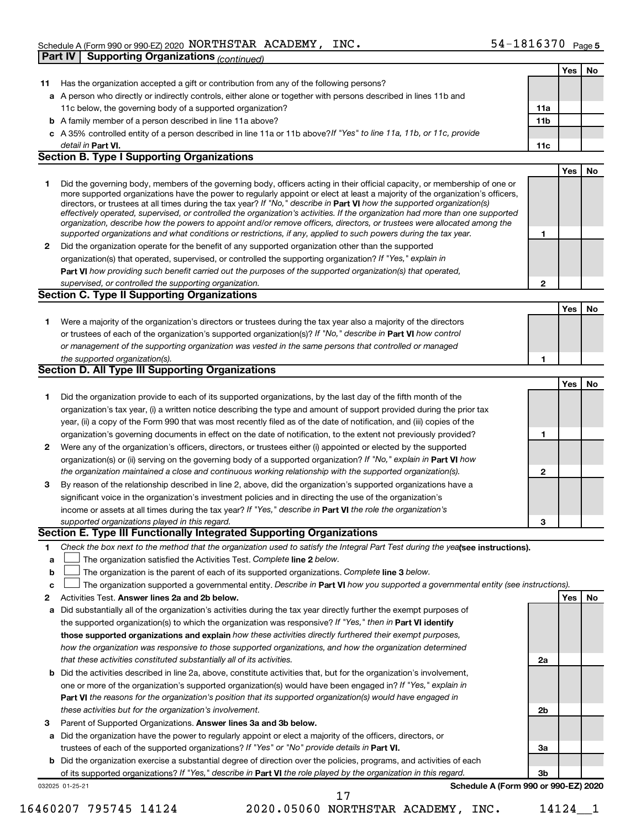|              |                                                                                                                                                                                                                                              |              | Yes        | No  |
|--------------|----------------------------------------------------------------------------------------------------------------------------------------------------------------------------------------------------------------------------------------------|--------------|------------|-----|
| 11           | Has the organization accepted a gift or contribution from any of the following persons?                                                                                                                                                      |              |            |     |
|              | a A person who directly or indirectly controls, either alone or together with persons described in lines 11b and                                                                                                                             |              |            |     |
|              | 11c below, the governing body of a supported organization?                                                                                                                                                                                   | 11a          |            |     |
|              | <b>b</b> A family member of a person described in line 11a above?                                                                                                                                                                            | 11b          |            |     |
|              | c A 35% controlled entity of a person described in line 11a or 11b above?If "Yes" to line 11a, 11b, or 11c, provide                                                                                                                          |              |            |     |
|              | detail in Part VI.                                                                                                                                                                                                                           | 11c          |            |     |
|              | <b>Section B. Type I Supporting Organizations</b>                                                                                                                                                                                            |              |            |     |
|              |                                                                                                                                                                                                                                              |              | Yes        | No  |
| 1            | Did the governing body, members of the governing body, officers acting in their official capacity, or membership of one or                                                                                                                   |              |            |     |
|              | more supported organizations have the power to regularly appoint or elect at least a majority of the organization's officers,                                                                                                                |              |            |     |
|              | directors, or trustees at all times during the tax year? If "No," describe in Part VI how the supported organization(s)                                                                                                                      |              |            |     |
|              | effectively operated, supervised, or controlled the organization's activities. If the organization had more than one supported                                                                                                               |              |            |     |
|              | organization, describe how the powers to appoint and/or remove officers, directors, or trustees were allocated among the<br>supported organizations and what conditions or restrictions, if any, applied to such powers during the tax year. | 1            |            |     |
| $\mathbf{2}$ | Did the organization operate for the benefit of any supported organization other than the supported                                                                                                                                          |              |            |     |
|              | organization(s) that operated, supervised, or controlled the supporting organization? If "Yes," explain in                                                                                                                                   |              |            |     |
|              | Part VI how providing such benefit carried out the purposes of the supported organization(s) that operated,                                                                                                                                  |              |            |     |
|              | supervised, or controlled the supporting organization.                                                                                                                                                                                       | $\mathbf{2}$ |            |     |
|              | <b>Section C. Type II Supporting Organizations</b>                                                                                                                                                                                           |              |            |     |
|              |                                                                                                                                                                                                                                              |              | Yes        | No. |
|              |                                                                                                                                                                                                                                              |              |            |     |
| 1.           | Were a majority of the organization's directors or trustees during the tax year also a majority of the directors                                                                                                                             |              |            |     |
|              | or trustees of each of the organization's supported organization(s)? If "No," describe in Part VI how control<br>or management of the supporting organization was vested in the same persons that controlled or managed                      |              |            |     |
|              | the supported organization(s).                                                                                                                                                                                                               | 1            |            |     |
|              | <b>Section D. All Type III Supporting Organizations</b>                                                                                                                                                                                      |              |            |     |
|              |                                                                                                                                                                                                                                              |              | <b>Yes</b> | No  |
| 1            | Did the organization provide to each of its supported organizations, by the last day of the fifth month of the                                                                                                                               |              |            |     |
|              | organization's tax year, (i) a written notice describing the type and amount of support provided during the prior tax                                                                                                                        |              |            |     |
|              | year, (ii) a copy of the Form 990 that was most recently filed as of the date of notification, and (iii) copies of the                                                                                                                       |              |            |     |
|              | organization's governing documents in effect on the date of notification, to the extent not previously provided?                                                                                                                             | 1            |            |     |
| $\mathbf{2}$ | Were any of the organization's officers, directors, or trustees either (i) appointed or elected by the supported                                                                                                                             |              |            |     |
|              | organization(s) or (ii) serving on the governing body of a supported organization? If "No," explain in Part VI how                                                                                                                           |              |            |     |
|              | the organization maintained a close and continuous working relationship with the supported organization(s).                                                                                                                                  | 2            |            |     |
| 3            | By reason of the relationship described in line 2, above, did the organization's supported organizations have a                                                                                                                              |              |            |     |
|              | significant voice in the organization's investment policies and in directing the use of the organization's                                                                                                                                   |              |            |     |
|              | income or assets at all times during the tax year? If "Yes," describe in Part VI the role the organization's                                                                                                                                 |              |            |     |
|              | supported organizations played in this regard.                                                                                                                                                                                               | 3            |            |     |
|              | Section E. Type III Functionally Integrated Supporting Organizations                                                                                                                                                                         |              |            |     |
| 1            | Check the box next to the method that the organization used to satisfy the Integral Part Test during the yealsee instructions).                                                                                                              |              |            |     |
| а            | The organization satisfied the Activities Test. Complete line 2 below.                                                                                                                                                                       |              |            |     |
| b            | The organization is the parent of each of its supported organizations. Complete line 3 below.                                                                                                                                                |              |            |     |
| с            | The organization supported a governmental entity. Describe in Part VI how you supported a governmental entity (see instructions).                                                                                                            |              |            |     |
| 2            | Activities Test. Answer lines 2a and 2b below.                                                                                                                                                                                               |              | Yes        | No  |
| а            | Did substantially all of the organization's activities during the tax year directly further the exempt purposes of                                                                                                                           |              |            |     |
|              | the supported organization(s) to which the organization was responsive? If "Yes," then in Part VI identify                                                                                                                                   |              |            |     |
|              | those supported organizations and explain how these activities directly furthered their exempt purposes,                                                                                                                                     |              |            |     |
|              | how the organization was responsive to those supported organizations, and how the organization determined                                                                                                                                    |              |            |     |
|              | that these activities constituted substantially all of its activities.                                                                                                                                                                       | 2a           |            |     |
|              | <b>b</b> Did the activities described in line 2a, above, constitute activities that, but for the organization's involvement,                                                                                                                 |              |            |     |
|              | one or more of the organization's supported organization(s) would have been engaged in? If "Yes," explain in                                                                                                                                 |              |            |     |
|              | Part VI the reasons for the organization's position that its supported organization(s) would have engaged in                                                                                                                                 |              |            |     |
|              | these activities but for the organization's involvement.                                                                                                                                                                                     | 2b           |            |     |
| 3            | Parent of Supported Organizations. Answer lines 3a and 3b below.                                                                                                                                                                             |              |            |     |
|              | a Did the organization have the power to regularly appoint or elect a majority of the officers, directors, or                                                                                                                                |              |            |     |
|              | trustees of each of the supported organizations? If "Yes" or "No" provide details in Part VI.                                                                                                                                                | За           |            |     |
|              | <b>b</b> Did the organization exercise a substantial degree of direction over the policies, programs, and activities of each                                                                                                                 |              |            |     |
|              | of its supported organizations? If "Yes," describe in Part VI the role played by the organization in this regard.                                                                                                                            | Зb           |            |     |
|              | Schedule A (Form 990 or 990-EZ) 2020<br>032025 01-25-21                                                                                                                                                                                      |              |            |     |
|              | 17                                                                                                                                                                                                                                           |              |            |     |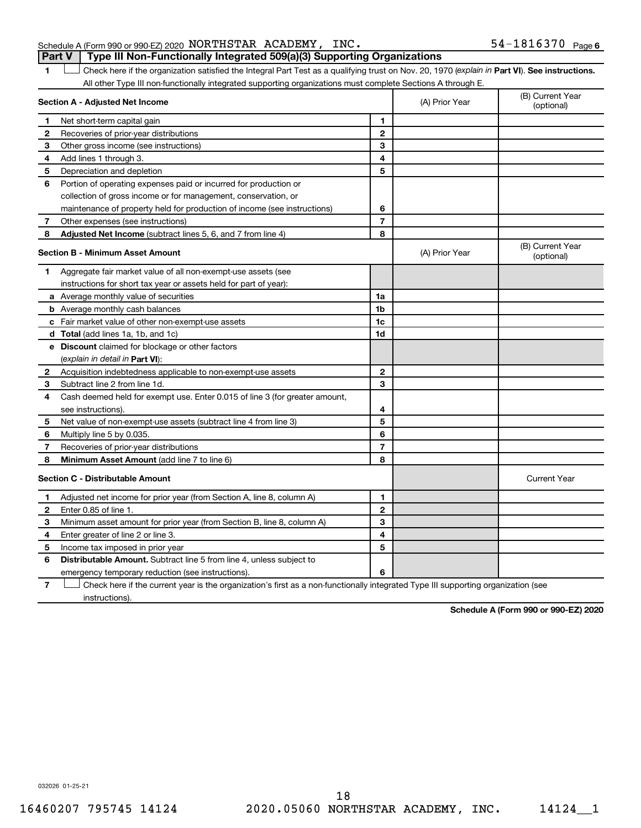#### Schedule A (Form 990 or 990-EZ) 2020 NORTHSTAR ACADEMY, INC.  $54-1816370$   $_{\rm Page}$ **Part V Type III Non-Functionally Integrated 509(a)(3) Supporting Organizations**

1 **Letter See instructions.** Check here if the organization satisfied the Integral Part Test as a qualifying trust on Nov. 20, 1970 (*explain in* Part **VI**). See instructions. All other Type III non-functionally integrated supporting organizations must complete Sections A through E.

|              | Section A - Adjusted Net Income                                             |                | (A) Prior Year | (B) Current Year<br>(optional) |
|--------------|-----------------------------------------------------------------------------|----------------|----------------|--------------------------------|
| 1.           | Net short-term capital gain                                                 | 1              |                |                                |
| 2            | Recoveries of prior-year distributions                                      | $\mathbf{2}$   |                |                                |
| 3            | Other gross income (see instructions)                                       | 3              |                |                                |
| 4            | Add lines 1 through 3.                                                      | 4              |                |                                |
| 5            | Depreciation and depletion                                                  | 5              |                |                                |
| 6            | Portion of operating expenses paid or incurred for production or            |                |                |                                |
|              | collection of gross income or for management, conservation, or              |                |                |                                |
|              | maintenance of property held for production of income (see instructions)    | 6              |                |                                |
| 7            | Other expenses (see instructions)                                           | $\overline{7}$ |                |                                |
| 8            | Adjusted Net Income (subtract lines 5, 6, and 7 from line 4)                | 8              |                |                                |
|              | <b>Section B - Minimum Asset Amount</b>                                     |                | (A) Prior Year | (B) Current Year<br>(optional) |
| 1.           | Aggregate fair market value of all non-exempt-use assets (see               |                |                |                                |
|              | instructions for short tax year or assets held for part of year):           |                |                |                                |
|              | a Average monthly value of securities                                       | 1a             |                |                                |
|              | <b>b</b> Average monthly cash balances                                      | 1 <sub>b</sub> |                |                                |
|              | c Fair market value of other non-exempt-use assets                          | 1 <sub>c</sub> |                |                                |
|              | d Total (add lines 1a, 1b, and 1c)                                          | 1d             |                |                                |
|              | <b>e</b> Discount claimed for blockage or other factors                     |                |                |                                |
|              | (explain in detail in Part VI):                                             |                |                |                                |
| 2            | Acquisition indebtedness applicable to non-exempt-use assets                | $\mathbf{2}$   |                |                                |
| 3            | Subtract line 2 from line 1d.                                               | 3              |                |                                |
| 4            | Cash deemed held for exempt use. Enter 0.015 of line 3 (for greater amount, |                |                |                                |
|              | see instructions).                                                          | 4              |                |                                |
| 5            | Net value of non-exempt-use assets (subtract line 4 from line 3)            | 5              |                |                                |
| 6            | Multiply line 5 by 0.035.                                                   | 6              |                |                                |
| 7            | Recoveries of prior-year distributions                                      | $\overline{7}$ |                |                                |
| 8            | Minimum Asset Amount (add line 7 to line 6)                                 | 8              |                |                                |
|              | <b>Section C - Distributable Amount</b>                                     |                |                | <b>Current Year</b>            |
| 1            | Adjusted net income for prior year (from Section A, line 8, column A)       | 1              |                |                                |
| $\mathbf{2}$ | Enter 0.85 of line 1.                                                       | $\mathbf{2}$   |                |                                |
| З            | Minimum asset amount for prior year (from Section B, line 8, column A)      | 3              |                |                                |
| 4            | Enter greater of line 2 or line 3.                                          | 4              |                |                                |
| 5            | Income tax imposed in prior year                                            | 5              |                |                                |
| 6            | <b>Distributable Amount.</b> Subtract line 5 from line 4, unless subject to |                |                |                                |
|              | emergency temporary reduction (see instructions).                           | 6              |                |                                |
|              |                                                                             |                |                |                                |

**7** Check here if the current year is the organization's first as a non-functionally integrated Type III supporting organization (see † instructions).

**Schedule A (Form 990 or 990-EZ) 2020**

032026 01-25-21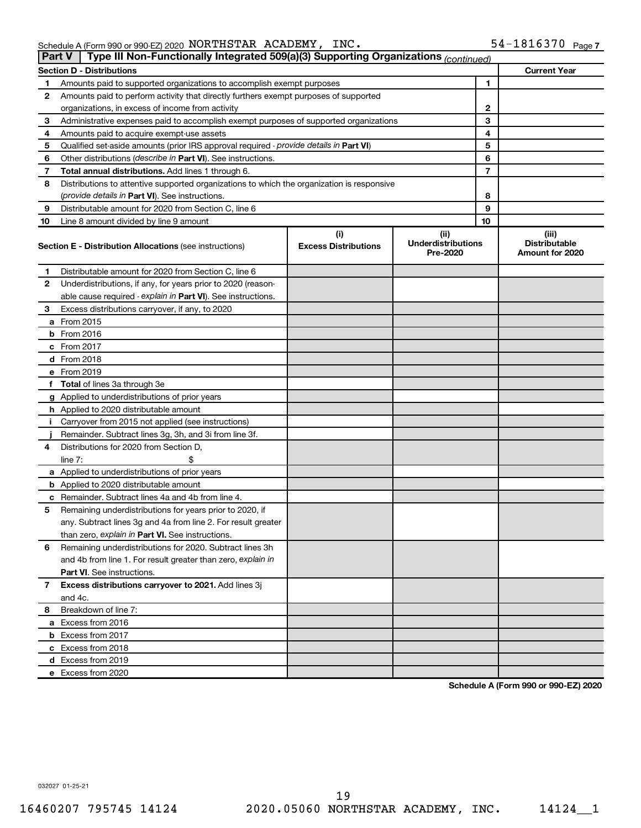Schedule A (Form 990 or 990-EZ) 2020 NORTHSTAR ACADEMY, INC.  $54-1816370$  Page NORTHSTAR ACADEMY, INC. 54-1816370

|    | Type III Non-Functionally Integrated 509(a)(3) Supporting Organizations (continued)<br>Part V |                                    |                                               |                                                  |  |  |
|----|-----------------------------------------------------------------------------------------------|------------------------------------|-----------------------------------------------|--------------------------------------------------|--|--|
|    | <b>Current Year</b><br><b>Section D - Distributions</b>                                       |                                    |                                               |                                                  |  |  |
| 1  | Amounts paid to supported organizations to accomplish exempt purposes                         |                                    |                                               |                                                  |  |  |
| 2  | Amounts paid to perform activity that directly furthers exempt purposes of supported          |                                    |                                               |                                                  |  |  |
|    | organizations, in excess of income from activity                                              |                                    |                                               |                                                  |  |  |
| 3  | Administrative expenses paid to accomplish exempt purposes of supported organizations         |                                    | 3                                             |                                                  |  |  |
| 4  | Amounts paid to acquire exempt-use assets                                                     |                                    | 4                                             |                                                  |  |  |
| 5  | Qualified set-aside amounts (prior IRS approval required - provide details in Part VI)        |                                    | 5                                             |                                                  |  |  |
| 6  | Other distributions ( <i>describe in Part VI</i> ). See instructions.                         |                                    | 6                                             |                                                  |  |  |
| 7  | Total annual distributions. Add lines 1 through 6.                                            |                                    | 7                                             |                                                  |  |  |
| 8  | Distributions to attentive supported organizations to which the organization is responsive    |                                    |                                               |                                                  |  |  |
|    | ( <i>provide details in Part VI</i> ). See instructions.                                      |                                    | 8                                             |                                                  |  |  |
| 9  | Distributable amount for 2020 from Section C, line 6                                          |                                    | 9                                             |                                                  |  |  |
| 10 | Line 8 amount divided by line 9 amount                                                        |                                    | 10                                            |                                                  |  |  |
|    | <b>Section E - Distribution Allocations (see instructions)</b>                                | (i)<br><b>Excess Distributions</b> | (ii)<br><b>Underdistributions</b><br>Pre-2020 | (iii)<br><b>Distributable</b><br>Amount for 2020 |  |  |
| 1  | Distributable amount for 2020 from Section C, line 6                                          |                                    |                                               |                                                  |  |  |
| 2  | Underdistributions, if any, for years prior to 2020 (reason-                                  |                                    |                                               |                                                  |  |  |
|    | able cause required - explain in Part VI). See instructions.                                  |                                    |                                               |                                                  |  |  |
| 3  | Excess distributions carryover, if any, to 2020                                               |                                    |                                               |                                                  |  |  |
|    | a From 2015                                                                                   |                                    |                                               |                                                  |  |  |
|    | $b$ From 2016                                                                                 |                                    |                                               |                                                  |  |  |
|    | c From 2017                                                                                   |                                    |                                               |                                                  |  |  |
|    | <b>d</b> From 2018                                                                            |                                    |                                               |                                                  |  |  |
|    | e From 2019                                                                                   |                                    |                                               |                                                  |  |  |
|    | f Total of lines 3a through 3e                                                                |                                    |                                               |                                                  |  |  |
|    | g Applied to underdistributions of prior years                                                |                                    |                                               |                                                  |  |  |
|    | h Applied to 2020 distributable amount                                                        |                                    |                                               |                                                  |  |  |
| Ť. | Carryover from 2015 not applied (see instructions)                                            |                                    |                                               |                                                  |  |  |
|    | Remainder. Subtract lines 3g, 3h, and 3i from line 3f.                                        |                                    |                                               |                                                  |  |  |
| 4  | Distributions for 2020 from Section D,                                                        |                                    |                                               |                                                  |  |  |
|    | line $7:$                                                                                     |                                    |                                               |                                                  |  |  |
|    | a Applied to underdistributions of prior years                                                |                                    |                                               |                                                  |  |  |
|    | <b>b</b> Applied to 2020 distributable amount                                                 |                                    |                                               |                                                  |  |  |
|    | c Remainder. Subtract lines 4a and 4b from line 4.                                            |                                    |                                               |                                                  |  |  |
| 5  | Remaining underdistributions for years prior to 2020, if                                      |                                    |                                               |                                                  |  |  |
|    | any. Subtract lines 3g and 4a from line 2. For result greater                                 |                                    |                                               |                                                  |  |  |
|    | than zero, explain in Part VI. See instructions.                                              |                                    |                                               |                                                  |  |  |
| 6  | Remaining underdistributions for 2020. Subtract lines 3h                                      |                                    |                                               |                                                  |  |  |
|    | and 4b from line 1. For result greater than zero, explain in                                  |                                    |                                               |                                                  |  |  |
|    | <b>Part VI.</b> See instructions.                                                             |                                    |                                               |                                                  |  |  |
| 7  | Excess distributions carryover to 2021. Add lines 3j                                          |                                    |                                               |                                                  |  |  |
|    | and 4c.                                                                                       |                                    |                                               |                                                  |  |  |
| 8  | Breakdown of line 7:                                                                          |                                    |                                               |                                                  |  |  |
|    | a Excess from 2016                                                                            |                                    |                                               |                                                  |  |  |
|    | <b>b</b> Excess from 2017                                                                     |                                    |                                               |                                                  |  |  |
|    | c Excess from 2018                                                                            |                                    |                                               |                                                  |  |  |
|    | d Excess from 2019                                                                            |                                    |                                               |                                                  |  |  |
|    | e Excess from 2020                                                                            |                                    |                                               |                                                  |  |  |

**Schedule A (Form 990 or 990-EZ) 2020**

032027 01-25-21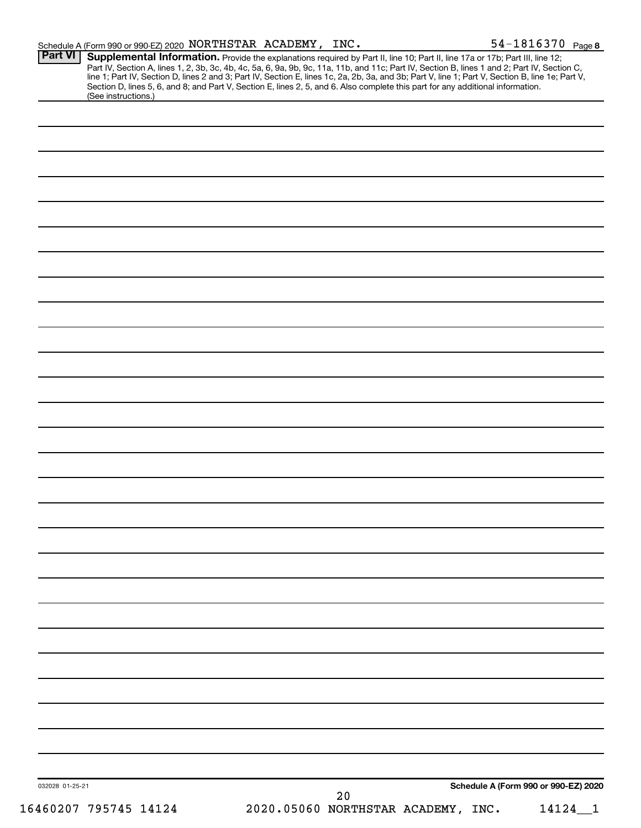| <b>Part VI</b>  | Schedule A (Form 990 or 990-EZ) 2020 NORTHSTAR ACADEMY, INC.                                                                                                                                                                                                                  |  |    |                                    | 54-1816370 Page 8                    |  |
|-----------------|-------------------------------------------------------------------------------------------------------------------------------------------------------------------------------------------------------------------------------------------------------------------------------|--|----|------------------------------------|--------------------------------------|--|
|                 | Supplemental Information. Provide the explanations required by Part II, line 10; Part II, line 17a or 17b; Part III, line 12;<br>Part IV, Section A, lines 1, 2, 3b, 3c, 4b, 4c, 5a, 6, 9a, 9b, 9c, 11a, 11b, and 11c; Part IV, Section B, lines 1 and 2; Part IV, Section C, |  |    |                                    |                                      |  |
|                 | line 1; Part IV, Section D, lines 2 and 3; Part IV, Section E, lines 1c, 2a, 2b, 3a, and 3b; Part V, line 1; Part V, Section B, line 1e; Part V,                                                                                                                              |  |    |                                    |                                      |  |
|                 | Section D, lines 5, 6, and 8; and Part V, Section E, lines 2, 5, and 6. Also complete this part for any additional information.                                                                                                                                               |  |    |                                    |                                      |  |
|                 | (See instructions.)                                                                                                                                                                                                                                                           |  |    |                                    |                                      |  |
|                 |                                                                                                                                                                                                                                                                               |  |    |                                    |                                      |  |
|                 |                                                                                                                                                                                                                                                                               |  |    |                                    |                                      |  |
|                 |                                                                                                                                                                                                                                                                               |  |    |                                    |                                      |  |
|                 |                                                                                                                                                                                                                                                                               |  |    |                                    |                                      |  |
|                 |                                                                                                                                                                                                                                                                               |  |    |                                    |                                      |  |
|                 |                                                                                                                                                                                                                                                                               |  |    |                                    |                                      |  |
|                 |                                                                                                                                                                                                                                                                               |  |    |                                    |                                      |  |
|                 |                                                                                                                                                                                                                                                                               |  |    |                                    |                                      |  |
|                 |                                                                                                                                                                                                                                                                               |  |    |                                    |                                      |  |
|                 |                                                                                                                                                                                                                                                                               |  |    |                                    |                                      |  |
|                 |                                                                                                                                                                                                                                                                               |  |    |                                    |                                      |  |
|                 |                                                                                                                                                                                                                                                                               |  |    |                                    |                                      |  |
|                 |                                                                                                                                                                                                                                                                               |  |    |                                    |                                      |  |
|                 |                                                                                                                                                                                                                                                                               |  |    |                                    |                                      |  |
|                 |                                                                                                                                                                                                                                                                               |  |    |                                    |                                      |  |
|                 |                                                                                                                                                                                                                                                                               |  |    |                                    |                                      |  |
|                 |                                                                                                                                                                                                                                                                               |  |    |                                    |                                      |  |
|                 |                                                                                                                                                                                                                                                                               |  |    |                                    |                                      |  |
|                 |                                                                                                                                                                                                                                                                               |  |    |                                    |                                      |  |
|                 |                                                                                                                                                                                                                                                                               |  |    |                                    |                                      |  |
|                 |                                                                                                                                                                                                                                                                               |  |    |                                    |                                      |  |
|                 |                                                                                                                                                                                                                                                                               |  |    |                                    |                                      |  |
|                 |                                                                                                                                                                                                                                                                               |  |    |                                    |                                      |  |
|                 |                                                                                                                                                                                                                                                                               |  |    |                                    |                                      |  |
|                 |                                                                                                                                                                                                                                                                               |  |    |                                    |                                      |  |
|                 |                                                                                                                                                                                                                                                                               |  |    |                                    |                                      |  |
|                 |                                                                                                                                                                                                                                                                               |  |    |                                    |                                      |  |
|                 |                                                                                                                                                                                                                                                                               |  |    |                                    |                                      |  |
|                 |                                                                                                                                                                                                                                                                               |  |    |                                    |                                      |  |
|                 |                                                                                                                                                                                                                                                                               |  |    |                                    |                                      |  |
|                 |                                                                                                                                                                                                                                                                               |  |    |                                    |                                      |  |
|                 |                                                                                                                                                                                                                                                                               |  |    |                                    |                                      |  |
|                 |                                                                                                                                                                                                                                                                               |  |    |                                    |                                      |  |
|                 |                                                                                                                                                                                                                                                                               |  |    |                                    |                                      |  |
|                 |                                                                                                                                                                                                                                                                               |  |    |                                    |                                      |  |
|                 |                                                                                                                                                                                                                                                                               |  |    |                                    |                                      |  |
|                 |                                                                                                                                                                                                                                                                               |  |    |                                    |                                      |  |
|                 |                                                                                                                                                                                                                                                                               |  |    |                                    |                                      |  |
|                 |                                                                                                                                                                                                                                                                               |  |    |                                    |                                      |  |
|                 |                                                                                                                                                                                                                                                                               |  |    |                                    |                                      |  |
|                 |                                                                                                                                                                                                                                                                               |  |    |                                    |                                      |  |
|                 |                                                                                                                                                                                                                                                                               |  |    |                                    |                                      |  |
|                 |                                                                                                                                                                                                                                                                               |  |    |                                    |                                      |  |
|                 |                                                                                                                                                                                                                                                                               |  |    |                                    |                                      |  |
|                 |                                                                                                                                                                                                                                                                               |  |    |                                    |                                      |  |
|                 |                                                                                                                                                                                                                                                                               |  |    |                                    |                                      |  |
|                 |                                                                                                                                                                                                                                                                               |  |    |                                    |                                      |  |
|                 |                                                                                                                                                                                                                                                                               |  |    |                                    |                                      |  |
|                 |                                                                                                                                                                                                                                                                               |  |    |                                    |                                      |  |
|                 |                                                                                                                                                                                                                                                                               |  |    |                                    |                                      |  |
|                 |                                                                                                                                                                                                                                                                               |  |    |                                    |                                      |  |
|                 |                                                                                                                                                                                                                                                                               |  |    |                                    |                                      |  |
|                 |                                                                                                                                                                                                                                                                               |  |    |                                    |                                      |  |
|                 |                                                                                                                                                                                                                                                                               |  |    |                                    |                                      |  |
| 032028 01-25-21 |                                                                                                                                                                                                                                                                               |  |    |                                    | Schedule A (Form 990 or 990-EZ) 2020 |  |
|                 |                                                                                                                                                                                                                                                                               |  | 20 |                                    |                                      |  |
|                 | 16460207 795745 14124                                                                                                                                                                                                                                                         |  |    | 2020.05060 NORTHSTAR ACADEMY, INC. | 14124                                |  |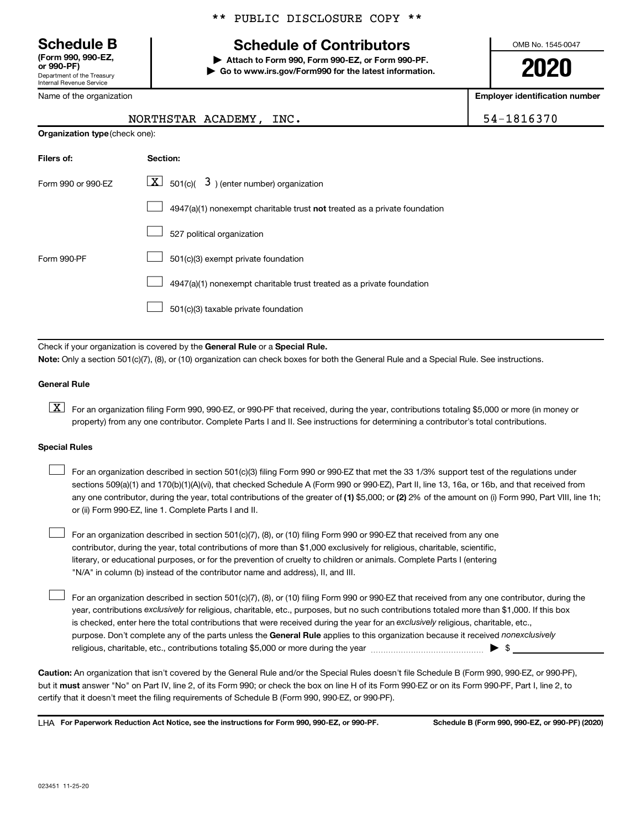Department of the Treasury Internal Revenue Service **(Form 990, 990-EZ,**

Name of the organization

#### \*\* PUBLIC DISCLOSURE COPY \*\*

## **Schedule B Schedule of Contributors**

**or 990-PF) | Attach to Form 990, Form 990-EZ, or Form 990-PF. | Go to www.irs.gov/Form990 for the latest information.** OMB No. 1545-0047

**2020**

**Employer identification number**

| NORTHSTAR ACADEMY, INC. | 54-1816370 |
|-------------------------|------------|
|                         |            |

| <b>Organization type (check one):</b> |                                                                           |  |  |
|---------------------------------------|---------------------------------------------------------------------------|--|--|
| Filers of:                            | Section:                                                                  |  |  |
| Form 990 or 990-EZ                    | $\lfloor x \rfloor$ 501(c)( 3) (enter number) organization                |  |  |
|                                       | 4947(a)(1) nonexempt charitable trust not treated as a private foundation |  |  |
|                                       | 527 political organization                                                |  |  |
| Form 990-PF                           | 501(c)(3) exempt private foundation                                       |  |  |
|                                       | 4947(a)(1) nonexempt charitable trust treated as a private foundation     |  |  |
|                                       | 501(c)(3) taxable private foundation                                      |  |  |

Check if your organization is covered by the General Rule or a Special Rule. **Note:**  Only a section 501(c)(7), (8), or (10) organization can check boxes for both the General Rule and a Special Rule. See instructions.

#### **General Rule**

**K** For an organization filing Form 990, 990-EZ, or 990-PF that received, during the year, contributions totaling \$5,000 or more (in money or property) from any one contributor. Complete Parts I and II. See instructions for determining a contributor's total contributions.

#### **Special Rules**

 $\Box$ 

any one contributor, during the year, total contributions of the greater of (1) \$5,000; or (2) 2% of the amount on (i) Form 990, Part VIII, line 1h; For an organization described in section 501(c)(3) filing Form 990 or 990-EZ that met the 33 1/3% support test of the regulations under sections 509(a)(1) and 170(b)(1)(A)(vi), that checked Schedule A (Form 990 or 990-EZ), Part II, line 13, 16a, or 16b, and that received from or (ii) Form 990-EZ, line 1. Complete Parts I and II.  $\Box$ 

For an organization described in section 501(c)(7), (8), or (10) filing Form 990 or 990-EZ that received from any one contributor, during the year, total contributions of more than \$1,000 exclusively for religious, charitable, scientific, literary, or educational purposes, or for the prevention of cruelty to children or animals. Complete Parts I (entering "N/A" in column (b) instead of the contributor name and address), II, and III.  $\Box$ 

purpose. Don't complete any of the parts unless the General Rule applies to this organization because it received nonexclusively year, contributions exclusively for religious, charitable, etc., purposes, but no such contributions totaled more than \$1,000. If this box is checked, enter here the total contributions that were received during the year for an exclusively religious, charitable, etc., For an organization described in section 501(c)(7), (8), or (10) filing Form 990 or 990-EZ that received from any one contributor, during the religious, charitable, etc., contributions totaling \$5,000 or more during the year  $~\ldots\ldots\ldots\ldots\ldots\ldots\ldots\ldots\blacktriangleright~$ \$

**Caution:**  An organization that isn't covered by the General Rule and/or the Special Rules doesn't file Schedule B (Form 990, 990-EZ, or 990-PF),  **must** but it answer "No" on Part IV, line 2, of its Form 990; or check the box on line H of its Form 990-EZ or on its Form 990-PF, Part I, line 2, to certify that it doesn't meet the filing requirements of Schedule B (Form 990, 990-EZ, or 990-PF).

**For Paperwork Reduction Act Notice, see the instructions for Form 990, 990-EZ, or 990-PF. Schedule B (Form 990, 990-EZ, or 990-PF) (2020)** LHA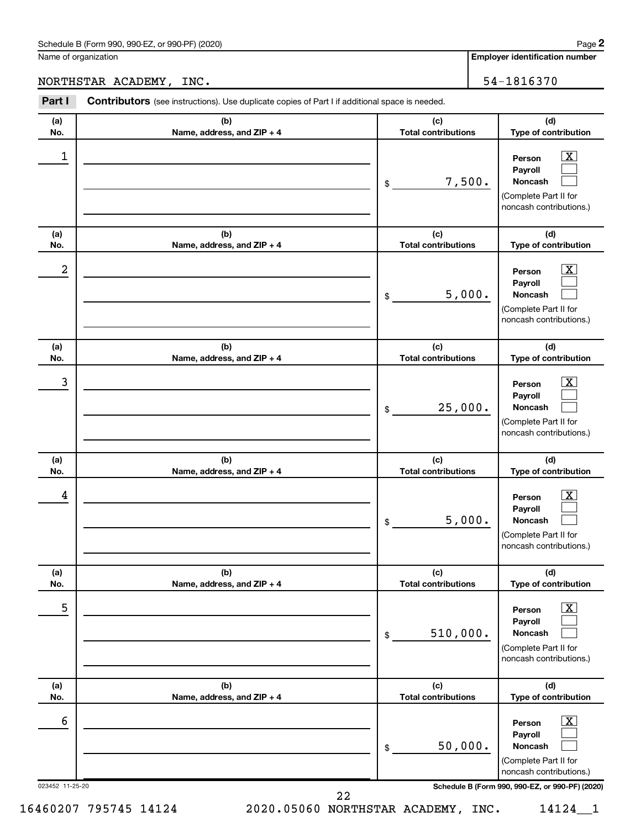**Employer identification number**

NORTHSTAR ACADEMY, INC. 54-1816370

| Part I          | Contributors (see instructions). Use duplicate copies of Part I if additional space is needed. |                                                                                                                               |
|-----------------|------------------------------------------------------------------------------------------------|-------------------------------------------------------------------------------------------------------------------------------|
| (a)             | (b)                                                                                            | (c)<br>(d)                                                                                                                    |
| No.             | Name, address, and ZIP + 4                                                                     | <b>Total contributions</b><br>Type of contribution                                                                            |
| 1               |                                                                                                | $\overline{\mathbf{X}}$<br>Person<br>Payroll<br>7,500.<br>Noncash<br>\$<br>(Complete Part II for<br>noncash contributions.)   |
| (a)<br>No.      | (b)<br>Name, address, and ZIP + 4                                                              | (d)<br>(c)<br><b>Total contributions</b><br>Type of contribution                                                              |
| 2               |                                                                                                | $\overline{\mathbf{X}}$<br>Person<br>Payroll<br>5,000.<br>Noncash<br>\$<br>(Complete Part II for<br>noncash contributions.)   |
| (a)<br>No.      | (b)<br>Name, address, and ZIP + 4                                                              | (d)<br>(c)<br><b>Total contributions</b><br>Type of contribution                                                              |
| 3               |                                                                                                | $\overline{\text{X}}$<br>Person<br>Payroll<br>25,000.<br>Noncash<br>\$<br>(Complete Part II for<br>noncash contributions.)    |
| (a)<br>No.      | (b)<br>Name, address, and ZIP + 4                                                              | (c)<br>(d)<br><b>Total contributions</b><br>Type of contribution                                                              |
| 4               |                                                                                                | $\overline{\mathbf{X}}$<br>Person<br>Payroll<br>5,000.<br>Noncash<br>\$<br>(Complete Part II for<br>noncash contributions.)   |
| (a)<br>No.      | (b)<br>Name, address, and ZIP + 4                                                              | (d)<br>(c)<br><b>Total contributions</b><br>Type of contribution                                                              |
| 5               |                                                                                                | $\overline{\text{X}}$<br>Person<br>Payroll<br>510,000.<br>Noncash<br>$\$$<br>(Complete Part II for<br>noncash contributions.) |
| (a)<br>No.      | (b)<br>Name, address, and ZIP + 4                                                              | (d)<br>(c)<br><b>Total contributions</b><br>Type of contribution                                                              |
| 6               |                                                                                                | $\overline{\text{X}}$<br>Person<br>Payroll<br>50,000.<br>Noncash<br>\$<br>(Complete Part II for<br>noncash contributions.)    |
| 023452 11-25-20 |                                                                                                | Schedule B (Form 990, 990-EZ, or 990-PF) (2020)                                                                               |

22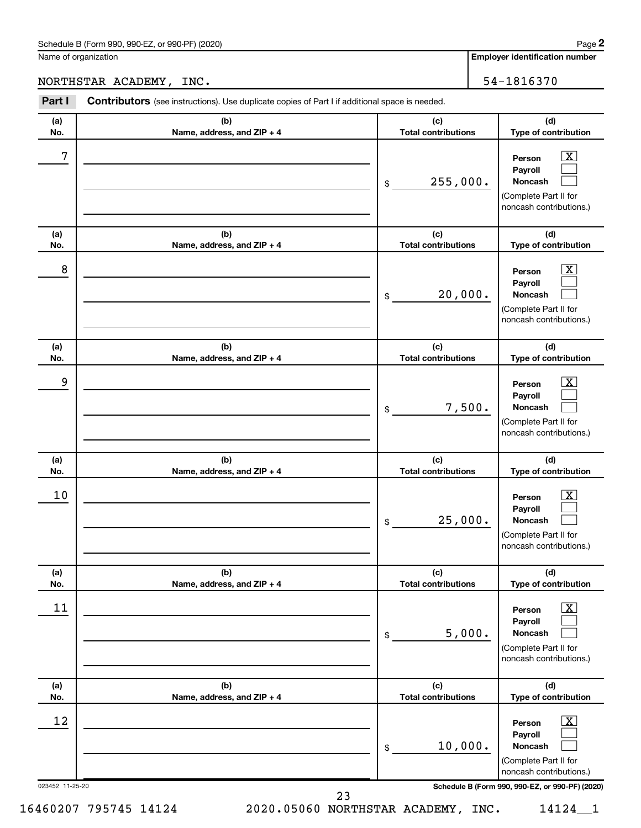**Employer identification number**

#### NORTHSTAR ACADEMY, INC. 54-1816370

| Part I          | <b>Contributors</b> (see instructions). Use duplicate copies of Part I if additional space is needed. |                                   |                                                                                                         |
|-----------------|-------------------------------------------------------------------------------------------------------|-----------------------------------|---------------------------------------------------------------------------------------------------------|
| (a)<br>No.      | (b)<br>Name, address, and ZIP + 4                                                                     | (c)<br><b>Total contributions</b> | (d)<br>Type of contribution                                                                             |
| 7               |                                                                                                       | 255,000.<br>\$                    | $\mathbf{X}$<br>Person<br>Payroll<br><b>Noncash</b><br>(Complete Part II for<br>noncash contributions.) |
| (a)<br>No.      | (b)<br>Name, address, and ZIP + 4                                                                     | (c)<br><b>Total contributions</b> | (d)<br>Type of contribution                                                                             |
| 8               |                                                                                                       | 20,000.<br>\$                     | $\mathbf{X}$<br>Person<br>Payroll<br><b>Noncash</b><br>(Complete Part II for<br>noncash contributions.) |
| (a)<br>No.      | (b)<br>Name, address, and ZIP + 4                                                                     | (c)<br><b>Total contributions</b> | (d)<br>Type of contribution                                                                             |
| 9               |                                                                                                       | 7,500.<br>\$                      | $\mathbf{X}$<br>Person<br>Payroll<br><b>Noncash</b><br>(Complete Part II for<br>noncash contributions.) |
| (a)<br>No.      | (b)<br>Name, address, and ZIP + 4                                                                     | (c)<br><b>Total contributions</b> | (d)<br>Type of contribution                                                                             |
| 10              |                                                                                                       | 25,000.<br>\$                     | $\mathbf{X}$<br>Person<br>Payroll<br><b>Noncash</b><br>(Complete Part II for<br>noncash contributions.) |
| (a)<br>No.      | (b)<br>Name, address, and ZIP + 4                                                                     | (c)<br><b>Total contributions</b> | (d)<br>Type of contribution                                                                             |
| 11              |                                                                                                       | 5,000.<br>\$                      | $\mathbf{X}$<br>Person<br>Payroll<br>Noncash<br>(Complete Part II for<br>noncash contributions.)        |
| (a)<br>No.      | (b)<br>Name, address, and ZIP + 4                                                                     | (c)<br><b>Total contributions</b> | (d)<br>Type of contribution                                                                             |
| 12              |                                                                                                       | 10,000.<br>\$                     | $\mathbf{X}$<br>Person<br>Payroll<br>Noncash<br>(Complete Part II for<br>noncash contributions.)        |
| 023452 11-25-20 |                                                                                                       |                                   | Schedule B (Form 990, 990-EZ, or 990-PF) (2020)                                                         |

16460207 795745 14124 2020.05060 NORTHSTAR ACADEMY, INC. 14124\_\_1

23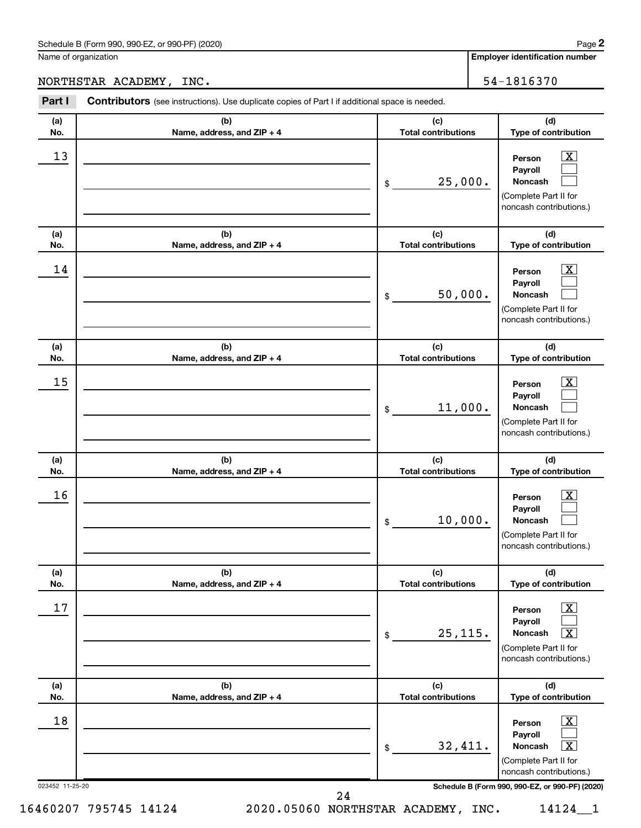**Employer identification number**

#### NORTHSTAR ACADEMY, INC. 54-1816370

| Part I          | <b>Contributors</b> (see instructions). Use duplicate copies of Part I if additional space is needed. |                                   |                                                                                                                  |  |
|-----------------|-------------------------------------------------------------------------------------------------------|-----------------------------------|------------------------------------------------------------------------------------------------------------------|--|
| (a)<br>No.      | (b)<br>Name, address, and ZIP + 4                                                                     | (c)<br><b>Total contributions</b> | (d)<br>Type of contribution                                                                                      |  |
| 13              |                                                                                                       | 25,000.<br>\$                     | $\mathbf{X}$<br>Person<br>Payroll<br>Noncash<br>(Complete Part II for<br>noncash contributions.)                 |  |
| (a)<br>No.      | (b)<br>Name, address, and ZIP + 4                                                                     | (c)<br><b>Total contributions</b> | (d)<br>Type of contribution                                                                                      |  |
| 14              |                                                                                                       | 50,000.<br>\$                     | $\mathbf{X}$<br>Person<br>Payroll<br>Noncash<br>(Complete Part II for<br>noncash contributions.)                 |  |
| (a)<br>No.      | (b)<br>Name, address, and ZIP + 4                                                                     | (c)<br><b>Total contributions</b> | (d)<br>Type of contribution                                                                                      |  |
| 15              |                                                                                                       | 11,000.<br>\$                     | $\mathbf{X}$<br>Person<br>Payroll<br>Noncash<br>(Complete Part II for<br>noncash contributions.)                 |  |
| (a)<br>No.      | (b)<br>Name, address, and ZIP + 4                                                                     | (c)<br><b>Total contributions</b> | (d)<br>Type of contribution                                                                                      |  |
| 16              |                                                                                                       | 10,000.<br>\$                     | $\mathbf{X}$<br>Person<br>Payroll<br>Noncash<br>(Complete Part II for<br>noncash contributions.)                 |  |
| (a)<br>No.      | (b)<br>Name, address, and ZIP + 4                                                                     | (c)<br><b>Total contributions</b> | (d)<br>Type of contribution                                                                                      |  |
| 17              |                                                                                                       | 25, 115.<br>\$                    | $\mathbf{X}$<br>Person<br>Payroll<br>Noncash<br>$\mathbf{x}$<br>(Complete Part II for<br>noncash contributions.) |  |
| (a)<br>No.      | (b)<br>Name, address, and ZIP + 4                                                                     | (c)<br><b>Total contributions</b> | (d)<br>Type of contribution                                                                                      |  |
| 18              |                                                                                                       | 32,411.<br>\$                     | $\mathbf{X}$<br>Person<br>Payroll<br>Noncash<br>$\mathbf{X}$<br>(Complete Part II for<br>noncash contributions.) |  |
| 023452 11-25-20 |                                                                                                       |                                   | Schedule B (Form 990, 990-EZ, or 990-PF) (2020)                                                                  |  |

24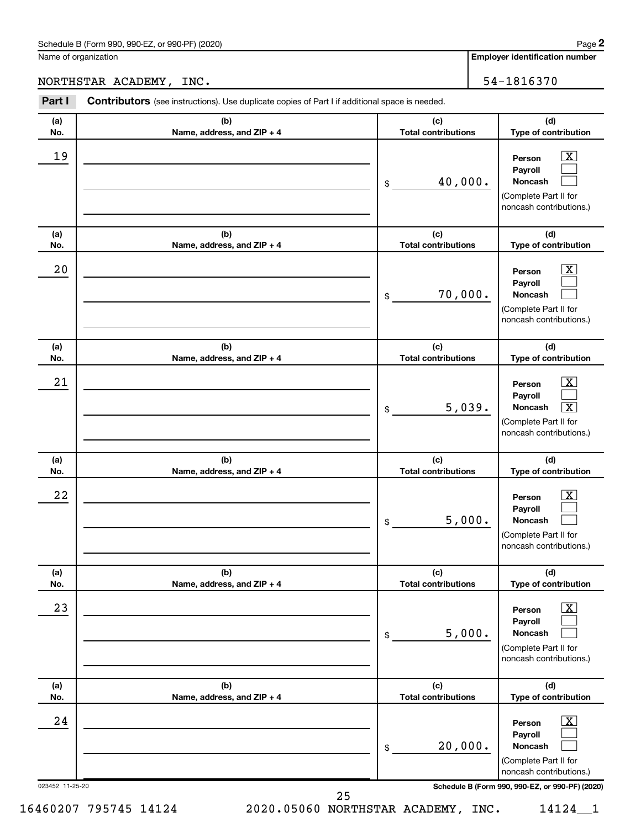#### NORTHSTAR ACADEMY, INC. 54-1816370

| Part I                | <b>Contributors</b> (see instructions). Use duplicate copies of Part I if additional space is needed. |                                   |                                                                                                                                                                    |
|-----------------------|-------------------------------------------------------------------------------------------------------|-----------------------------------|--------------------------------------------------------------------------------------------------------------------------------------------------------------------|
| (a)<br>No.            | (b)<br>Name, address, and ZIP + 4                                                                     | (c)<br><b>Total contributions</b> | (d)<br>Type of contribution                                                                                                                                        |
| 19                    |                                                                                                       | 40,000.<br>\$                     | $\mathbf{X}$<br>Person<br>Payroll<br>Noncash<br>(Complete Part II for<br>noncash contributions.)                                                                   |
| (a)<br>No.            | (b)<br>Name, address, and ZIP + 4                                                                     | (c)<br><b>Total contributions</b> | (d)<br>Type of contribution                                                                                                                                        |
| 20                    |                                                                                                       | 70,000.<br>\$                     | $\boxed{\mathbf{X}}$<br>Person<br>Payroll<br>Noncash<br>(Complete Part II for<br>noncash contributions.)                                                           |
| (a)<br>No.            | (b)<br>Name, address, and ZIP + 4                                                                     | (c)<br><b>Total contributions</b> | (d)<br>Type of contribution                                                                                                                                        |
| 21                    |                                                                                                       | 5,039.<br>\$                      | $\boxed{\mathbf{X}}$<br>Person<br>Payroll<br>$\overline{\mathbf{X}}$<br>Noncash<br>(Complete Part II for<br>noncash contributions.)                                |
| (a)<br>No.            | (b)<br>Name, address, and ZIP + 4                                                                     | (c)<br><b>Total contributions</b> | (d)<br>Type of contribution                                                                                                                                        |
| 22                    |                                                                                                       | 5,000.<br>\$                      | $\mathbf{X}$<br>Person<br>Payroll<br>Noncash<br>(Complete Part II for<br>noncash contributions.)                                                                   |
| (a)<br>No.            | (b)<br>Name, address, and ZIP + 4                                                                     | (c)<br><b>Total contributions</b> | (d)<br>Type of contribution                                                                                                                                        |
| 23                    |                                                                                                       | 5,000.<br>\$                      | $\boxed{\mathbf{X}}$<br>Person<br>Payroll<br><b>Noncash</b><br>(Complete Part II for<br>noncash contributions.)                                                    |
| (a)<br>No.            | (b)<br>Name, address, and ZIP + 4                                                                     | (c)<br><b>Total contributions</b> | (d)<br>Type of contribution                                                                                                                                        |
| 24<br>023452 11-25-20 |                                                                                                       | 20,000.<br>\$                     | $\boxed{\mathbf{X}}$<br>Person<br>Payroll<br><b>Noncash</b><br>(Complete Part II for<br>noncash contributions.)<br>Schedule B (Form 990, 990-EZ, or 990-PF) (2020) |
|                       |                                                                                                       | 25                                |                                                                                                                                                                    |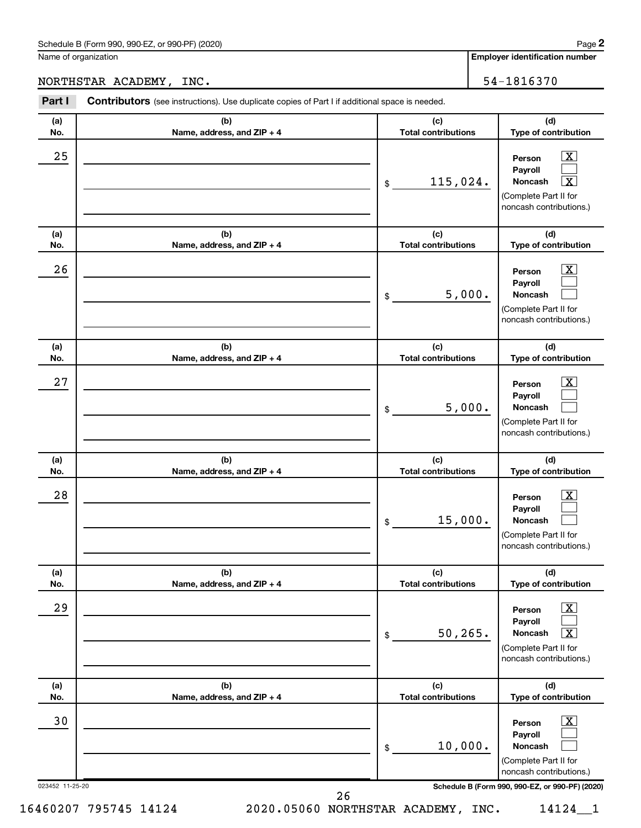### NORTHSTAR ACADEMY, INC. 54-1816370

| Part I                | Contributors (see instructions). Use duplicate copies of Part I if additional space is needed. |                                   |                                                                                                                                          |
|-----------------------|------------------------------------------------------------------------------------------------|-----------------------------------|------------------------------------------------------------------------------------------------------------------------------------------|
| (a)<br>No.            | (b)<br>Name, address, and ZIP + 4                                                              | (c)<br><b>Total contributions</b> | (d)<br>Type of contribution                                                                                                              |
| 25                    |                                                                                                | 115,024.<br>\$                    | $\mathbf{X}$<br>Person<br>Payroll<br>Noncash<br>X<br>(Complete Part II for<br>noncash contributions.)                                    |
| (a)<br>No.            | (b)<br>Name, address, and ZIP + 4                                                              | (c)<br><b>Total contributions</b> | (d)<br>Type of contribution                                                                                                              |
| 26                    |                                                                                                | 5,000.<br>\$                      | $\overline{\mathbf{X}}$<br>Person<br>Payroll<br>Noncash<br>(Complete Part II for<br>noncash contributions.)                              |
| (a)<br>No.            | (b)<br>Name, address, and ZIP + 4                                                              | (c)<br><b>Total contributions</b> | (d)<br>Type of contribution                                                                                                              |
| 27                    |                                                                                                | 5,000.<br>\$                      | $\overline{\mathbf{X}}$<br>Person<br>Payroll<br>Noncash<br>(Complete Part II for<br>noncash contributions.)                              |
| (a)<br>No.            | (b)<br>Name, address, and ZIP + 4                                                              | (c)<br><b>Total contributions</b> | (d)<br>Type of contribution                                                                                                              |
| 28                    |                                                                                                | 15,000.<br>\$                     | X<br>Person<br>Payroll<br>Noncash<br>(Complete Part II for<br>noncash contributions.)                                                    |
| (a)<br>No.            | (b)<br>Name, address, and ZIP + 4                                                              | (c)<br><b>Total contributions</b> | (d)<br>Type of contribution                                                                                                              |
| 29                    |                                                                                                | 50, 265.<br>\$                    | x<br>Person<br>Pavroll<br>Noncash<br>x<br>(Complete Part II for<br>noncash contributions.)                                               |
| (a)<br>No.            | (b)<br>Name, address, and ZIP + 4                                                              | (c)<br><b>Total contributions</b> | (d)<br>Type of contribution                                                                                                              |
| 30<br>023452 11-25-20 |                                                                                                | 10,000.<br>\$                     | X<br>Person<br>Payroll<br>Noncash<br>(Complete Part II for<br>noncash contributions.)<br>Schedule B (Form 990, 990-EZ, or 990-PF) (2020) |
|                       | 26                                                                                             |                                   |                                                                                                                                          |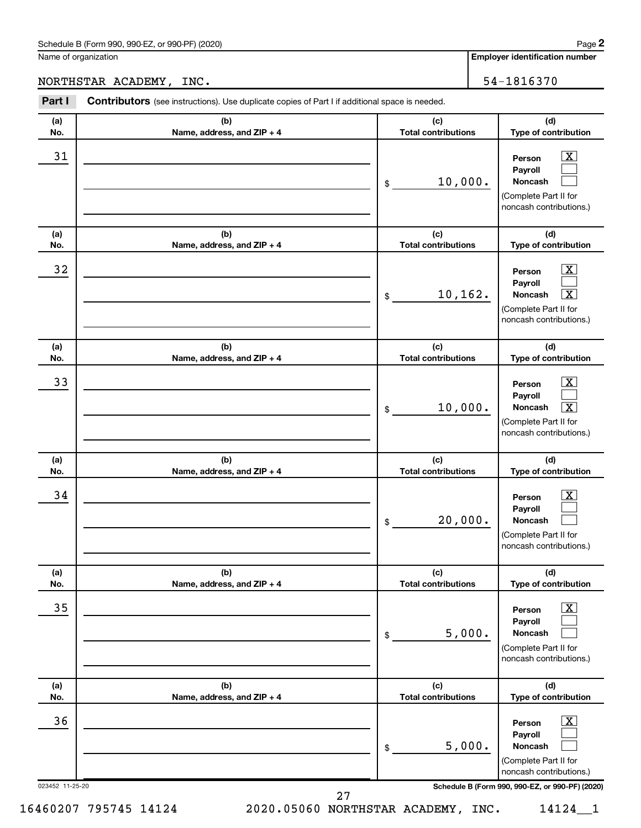#### NORTHSTAR ACADEMY, INC. 54-1816370

| Part I                | <b>Contributors</b> (see instructions). Use duplicate copies of Part I if additional space is needed. |                                   |                                                                                                                                                            |
|-----------------------|-------------------------------------------------------------------------------------------------------|-----------------------------------|------------------------------------------------------------------------------------------------------------------------------------------------------------|
| (a)<br>No.            | (b)<br>Name, address, and ZIP + 4                                                                     | (c)<br><b>Total contributions</b> | (d)<br>Type of contribution                                                                                                                                |
| 31                    |                                                                                                       | 10,000.<br>\$                     | $\mathbf{X}$<br>Person<br>Payroll<br><b>Noncash</b><br>(Complete Part II for<br>noncash contributions.)                                                    |
| (a)<br>No.            | (b)<br>Name, address, and ZIP + 4                                                                     | (c)<br><b>Total contributions</b> | (d)<br>Type of contribution                                                                                                                                |
| 32                    |                                                                                                       | 10,162.<br>\$                     | $\mathbf{X}$<br>Person<br>Payroll<br>$\overline{\mathbf{x}}$<br><b>Noncash</b><br>(Complete Part II for<br>noncash contributions.)                         |
| (a)<br>No.            | (b)<br>Name, address, and ZIP + 4                                                                     | (c)<br><b>Total contributions</b> | (d)<br>Type of contribution                                                                                                                                |
| 33                    |                                                                                                       | 10,000.<br>\$                     | $\overline{\mathbf{x}}$<br>Person<br>Payroll<br>$\overline{\mathbf{x}}$<br><b>Noncash</b><br>(Complete Part II for<br>noncash contributions.)              |
| (a)<br>No.            | (b)<br>Name, address, and ZIP + 4                                                                     | (c)<br><b>Total contributions</b> | (d)<br>Type of contribution                                                                                                                                |
| 34                    |                                                                                                       | 20,000.<br>\$                     | $\overline{\mathbf{x}}$<br>Person<br>Payroll<br>Noncash<br>(Complete Part II for<br>noncash contributions.)                                                |
| (a)<br>No.            | (b)<br>Name, address, and ZIP + 4                                                                     | (c)<br><b>Total contributions</b> | (d)<br>Type of contribution                                                                                                                                |
| 35                    |                                                                                                       | 5,000.<br>\$                      | $\overline{\mathbf{X}}$<br>Person<br>Payroll<br><b>Noncash</b><br>(Complete Part II for<br>noncash contributions.)                                         |
| (a)<br>No.            | (b)<br>Name, address, and ZIP + 4                                                                     | (c)<br><b>Total contributions</b> | (d)<br>Type of contribution                                                                                                                                |
| 36<br>023452 11-25-20 |                                                                                                       | 5,000.<br>\$                      | $\mathbf{X}$<br>Person<br>Payroll<br><b>Noncash</b><br>(Complete Part II for<br>noncash contributions.)<br>Schedule B (Form 990, 990-EZ, or 990-PF) (2020) |
|                       |                                                                                                       | 27                                |                                                                                                                                                            |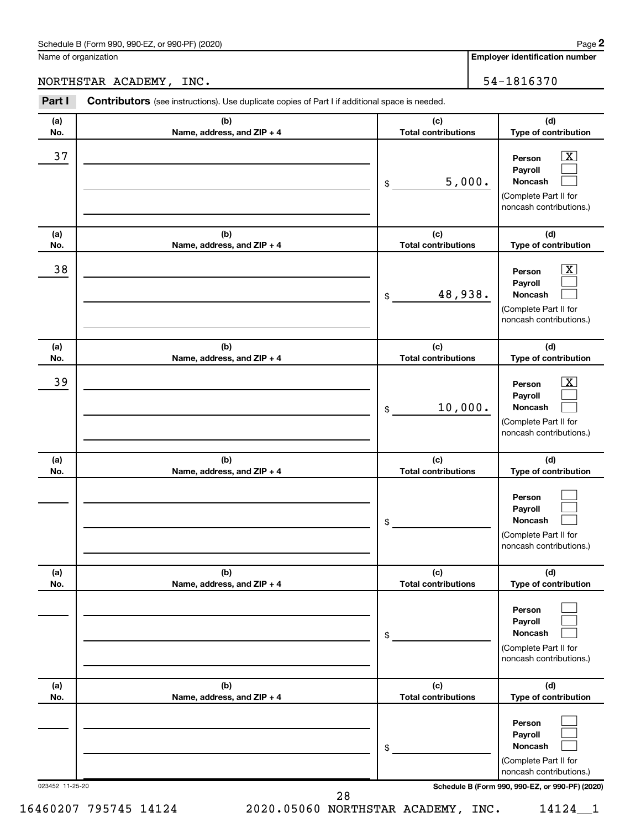### NORTHSTAR ACADEMY, INC. 54-1816370

| Part I          | <b>Contributors</b> (see instructions). Use duplicate copies of Part I if additional space is needed. |                                   |                                                                                                             |
|-----------------|-------------------------------------------------------------------------------------------------------|-----------------------------------|-------------------------------------------------------------------------------------------------------------|
| (a)<br>No.      | (b)<br>Name, address, and ZIP + 4                                                                     | (c)<br><b>Total contributions</b> | (d)<br>Type of contribution                                                                                 |
| 37              |                                                                                                       | 5,000.<br>\$                      | $\overline{\mathbf{X}}$<br>Person<br>Payroll<br>Noncash<br>(Complete Part II for<br>noncash contributions.) |
| (a)<br>No.      | (b)<br>Name, address, and ZIP + 4                                                                     | (c)<br><b>Total contributions</b> | (d)<br>Type of contribution                                                                                 |
| 38              |                                                                                                       | 48,938.<br>\$                     | $\boxed{\mathbf{X}}$<br>Person<br>Payroll<br>Noncash<br>(Complete Part II for<br>noncash contributions.)    |
| (a)<br>No.      | (b)<br>Name, address, and ZIP + 4                                                                     | (c)<br><b>Total contributions</b> | (d)<br>Type of contribution                                                                                 |
| 39              |                                                                                                       | 10,000.<br>\$                     | $\overline{\mathbf{X}}$<br>Person<br>Payroll<br>Noncash<br>(Complete Part II for<br>noncash contributions.) |
| (a)<br>No.      | (b)<br>Name, address, and ZIP + 4                                                                     | (c)<br><b>Total contributions</b> | (d)<br>Type of contribution                                                                                 |
|                 |                                                                                                       | \$                                | Person<br>Payroll<br>Noncash<br>(Complete Part II for<br>noncash contributions.)                            |
| (a)<br>No.      | (b)<br>Name, address, and ZIP + 4                                                                     | (c)<br><b>Total contributions</b> | (d)<br>Type of contribution                                                                                 |
|                 |                                                                                                       | \$                                | Person<br>Payroll<br>Noncash<br>(Complete Part II for<br>noncash contributions.)                            |
| (a)<br>No.      | (b)<br>Name, address, and ZIP + 4                                                                     | (c)<br><b>Total contributions</b> | (d)<br>Type of contribution                                                                                 |
|                 |                                                                                                       | \$                                | Person<br>Payroll<br><b>Noncash</b><br>(Complete Part II for<br>noncash contributions.)                     |
| 023452 11-25-20 |                                                                                                       | 28                                | Schedule B (Form 990, 990-EZ, or 990-PF) (2020)                                                             |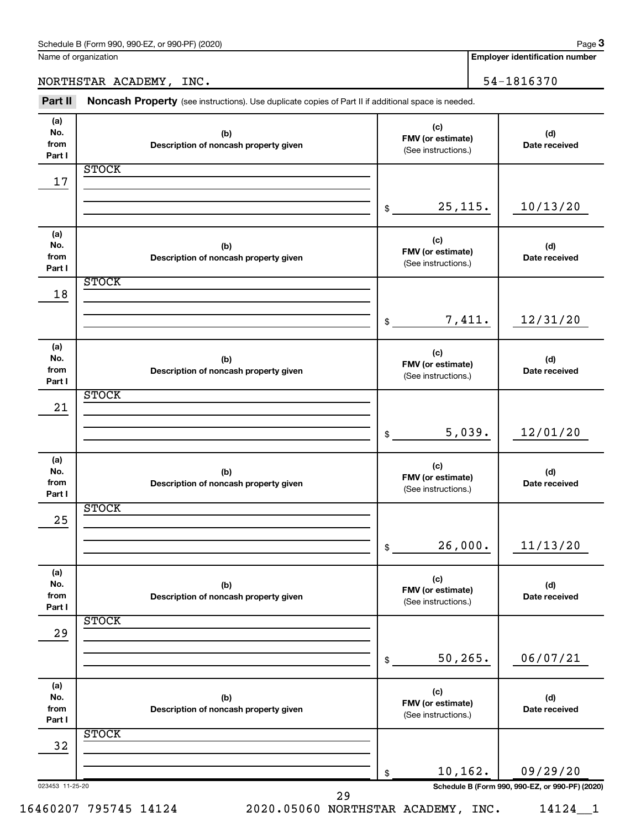**Employer identification number**

NORTHSTAR ACADEMY, INC. 54-1816370

Part II Noncash Property (see instructions). Use duplicate copies of Part II if additional space is needed.

| (a)<br>No.<br>from<br>Part I | (b)<br>Description of noncash property given | (c)<br>FMV (or estimate)<br>(See instructions.) | (d)<br>Date received                            |
|------------------------------|----------------------------------------------|-------------------------------------------------|-------------------------------------------------|
|                              | <b>STOCK</b>                                 |                                                 |                                                 |
| 17                           |                                              |                                                 |                                                 |
|                              |                                              |                                                 |                                                 |
|                              |                                              | 25, 115.<br>\$                                  | 10/13/20                                        |
| (a)                          |                                              | (c)                                             |                                                 |
| No.                          | (b)                                          | FMV (or estimate)                               | (d)                                             |
| from<br>Part I               | Description of noncash property given        | (See instructions.)                             | Date received                                   |
|                              | <b>STOCK</b>                                 |                                                 |                                                 |
| 18                           |                                              |                                                 |                                                 |
|                              |                                              | 7,411.<br>$\frac{1}{2}$                         | 12/31/20                                        |
|                              |                                              |                                                 |                                                 |
| (a)                          |                                              | (c)                                             |                                                 |
| No.<br>from                  | (b)<br>Description of noncash property given | FMV (or estimate)                               | (d)<br>Date received                            |
| Part I                       |                                              | (See instructions.)                             |                                                 |
|                              | <b>STOCK</b>                                 |                                                 |                                                 |
| 21                           |                                              |                                                 |                                                 |
|                              |                                              | 5,039.<br>\$                                    | 12/01/20                                        |
|                              |                                              |                                                 |                                                 |
| (a)                          |                                              | (c)                                             |                                                 |
| No.<br>from                  | (b)<br>Description of noncash property given | FMV (or estimate)                               | (d)<br>Date received                            |
| Part I                       |                                              | (See instructions.)                             |                                                 |
|                              | <b>STOCK</b>                                 |                                                 |                                                 |
| 25                           |                                              |                                                 |                                                 |
|                              |                                              | 26,000.<br>\$                                   | 11/13/20                                        |
|                              |                                              |                                                 |                                                 |
| (a)                          |                                              | (c)                                             |                                                 |
| No.<br>from                  | (b)<br>Description of noncash property given | FMV (or estimate)                               | (d)<br>Date received                            |
| Part I                       |                                              | (See instructions.)                             |                                                 |
| 29                           | <b>STOCK</b>                                 |                                                 |                                                 |
|                              |                                              |                                                 |                                                 |
|                              |                                              | 50, 265.<br>\$                                  | 06/07/21                                        |
|                              |                                              |                                                 |                                                 |
| (a)<br>No.                   | (b)                                          | (c)                                             | (d)                                             |
| from                         | Description of noncash property given        | FMV (or estimate)                               | Date received                                   |
| Part I                       |                                              | (See instructions.)                             |                                                 |
| 32                           | <b>STOCK</b>                                 |                                                 |                                                 |
|                              |                                              |                                                 |                                                 |
|                              |                                              | 10,162.<br>\$                                   | 09/29/20                                        |
| 023453 11-25-20              | 29                                           |                                                 | Schedule B (Form 990, 990-EZ, or 990-PF) (2020) |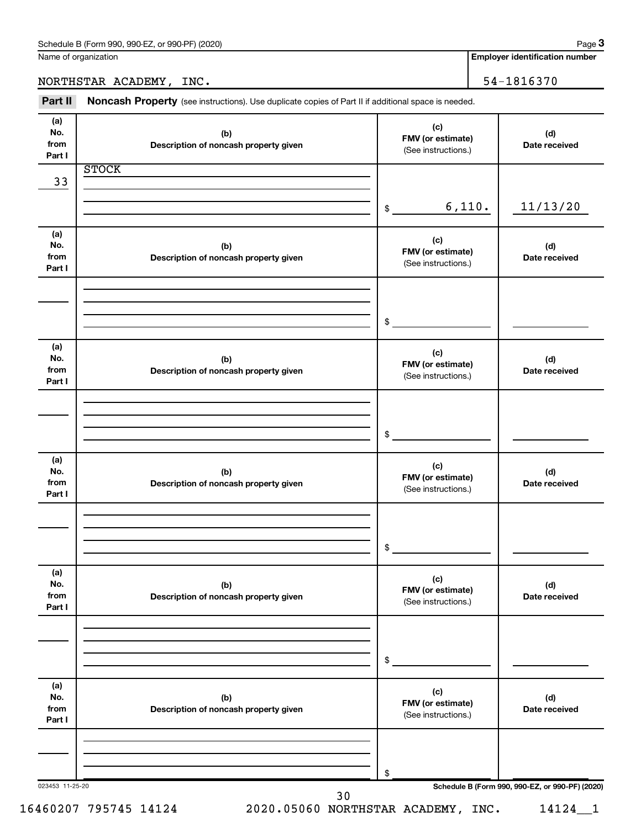**3**

NORTHSTAR ACADEMY, INC. 54-1816370

**Employer identification number**

**(a) No. from Part I (c) FMV (or estimate) (b) Description of noncash property given (d) Date received (a) No. from Part I (c) FMV (or estimate) (b) Description of noncash property given (d) Date received (a) No. from Part I (c) FMV (or estimate) (b) Description of noncash property given (d) Date received (a) No. from Part I (c) FMV (or estimate) (b) Description of noncash property given (d) Date received (a) No. from Part I (c) FMV (or estimate) (b) Description of noncash property given (d) Date received (a) No. from Part I (c) FMV (or estimate) (b) Description of noncash property given (d) Date received** Part II Noncash Property (see instructions). Use duplicate copies of Part II if additional space is needed. (See instructions.) \$ (See instructions.) \$ (See instructions.) \$ (See instructions.) \$ (See instructions.) \$ (See instructions.) **STOCK** 33 6,110. 11/13/20

30

\$

023453 11-25-20 **Schedule B (Form 990, 990-EZ, or 990-PF) (2020)**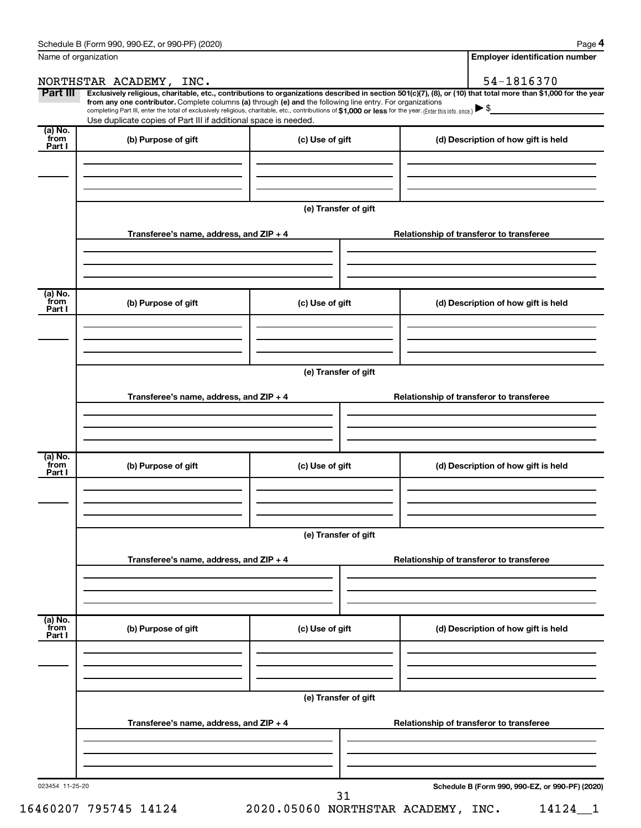| Name of organization      |                                                                                                                                                                                                                                                                                                                                                                                                                                                                                                             |                      |  | <b>Employer identification number</b>           |
|---------------------------|-------------------------------------------------------------------------------------------------------------------------------------------------------------------------------------------------------------------------------------------------------------------------------------------------------------------------------------------------------------------------------------------------------------------------------------------------------------------------------------------------------------|----------------------|--|-------------------------------------------------|
|                           | NORTHSTAR ACADEMY, INC.                                                                                                                                                                                                                                                                                                                                                                                                                                                                                     |                      |  | 54-1816370                                      |
| Part III                  | Exclusively religious, charitable, etc., contributions to organizations described in section 501(c)(7), (8), or (10) that total more than \$1,000 for the year<br>from any one contributor. Complete columns (a) through (e) and the following line entry. For organizations<br>completing Part III, enter the total of exclusively religious, charitable, etc., contributions of \$1,000 or less for the year. (Enter this info. once.)<br>Use duplicate copies of Part III if additional space is needed. |                      |  |                                                 |
| (a) No.                   |                                                                                                                                                                                                                                                                                                                                                                                                                                                                                                             |                      |  |                                                 |
| from<br>Part I            | (b) Purpose of gift                                                                                                                                                                                                                                                                                                                                                                                                                                                                                         | (c) Use of gift      |  | (d) Description of how gift is held             |
|                           |                                                                                                                                                                                                                                                                                                                                                                                                                                                                                                             | (e) Transfer of gift |  |                                                 |
|                           | Transferee's name, address, and $ZIP + 4$                                                                                                                                                                                                                                                                                                                                                                                                                                                                   |                      |  | Relationship of transferor to transferee        |
| (a) No.<br>from           | (b) Purpose of gift                                                                                                                                                                                                                                                                                                                                                                                                                                                                                         | (c) Use of gift      |  | (d) Description of how gift is held             |
| Part I                    |                                                                                                                                                                                                                                                                                                                                                                                                                                                                                                             |                      |  |                                                 |
|                           |                                                                                                                                                                                                                                                                                                                                                                                                                                                                                                             | (e) Transfer of gift |  |                                                 |
|                           | Transferee's name, address, and $ZIP + 4$                                                                                                                                                                                                                                                                                                                                                                                                                                                                   |                      |  | Relationship of transferor to transferee        |
| (a) No.                   |                                                                                                                                                                                                                                                                                                                                                                                                                                                                                                             |                      |  |                                                 |
| from<br>Part I            | (b) Purpose of gift                                                                                                                                                                                                                                                                                                                                                                                                                                                                                         | (c) Use of gift      |  | (d) Description of how gift is held             |
|                           |                                                                                                                                                                                                                                                                                                                                                                                                                                                                                                             | (e) Transfer of gift |  |                                                 |
|                           | Transferee's name, address, and $ZIP + 4$                                                                                                                                                                                                                                                                                                                                                                                                                                                                   |                      |  | Relationship of transferor to transferee        |
|                           |                                                                                                                                                                                                                                                                                                                                                                                                                                                                                                             |                      |  |                                                 |
| (a) No.<br>from<br>Part I | (b) Purpose of gift                                                                                                                                                                                                                                                                                                                                                                                                                                                                                         | (c) Use of gift      |  | (d) Description of how gift is held             |
|                           |                                                                                                                                                                                                                                                                                                                                                                                                                                                                                                             |                      |  |                                                 |
|                           |                                                                                                                                                                                                                                                                                                                                                                                                                                                                                                             |                      |  |                                                 |
|                           | Transferee's name, address, and $ZIP + 4$                                                                                                                                                                                                                                                                                                                                                                                                                                                                   |                      |  | Relationship of transferor to transferee        |
|                           |                                                                                                                                                                                                                                                                                                                                                                                                                                                                                                             |                      |  |                                                 |
| 023454 11-25-20           |                                                                                                                                                                                                                                                                                                                                                                                                                                                                                                             | 31                   |  | Schedule B (Form 990, 990-EZ, or 990-PF) (2020) |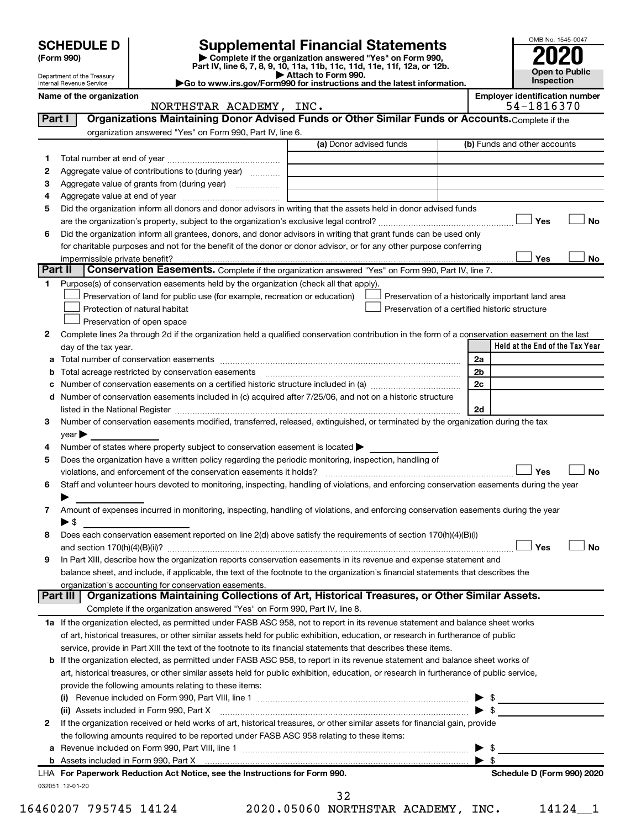|         | <b>SCHEDULE D</b>                                                                                                                                                                                                                                      | <b>Supplemental Financial Statements</b>                                                        |    | OMB No. 1545-0047                                   |
|---------|--------------------------------------------------------------------------------------------------------------------------------------------------------------------------------------------------------------------------------------------------------|-------------------------------------------------------------------------------------------------|----|-----------------------------------------------------|
|         | (Form 990)                                                                                                                                                                                                                                             | Complete if the organization answered "Yes" on Form 990,                                        |    |                                                     |
|         | Department of the Treasury                                                                                                                                                                                                                             | Part IV, line 6, 7, 8, 9, 10, 11a, 11b, 11c, 11d, 11e, 11f, 12a, or 12b.<br>Attach to Form 990. |    | Open to Public                                      |
|         | Go to www.irs.gov/Form990 for instructions and the latest information.<br>Internal Revenue Service                                                                                                                                                     | Inspection                                                                                      |    |                                                     |
|         | Name of the organization<br>NORTHSTAR ACADEMY, INC.                                                                                                                                                                                                    |                                                                                                 |    | <b>Employer identification number</b><br>54-1816370 |
|         | Organizations Maintaining Donor Advised Funds or Other Similar Funds or Accounts. Complete if the<br>Part I                                                                                                                                            |                                                                                                 |    |                                                     |
|         | organization answered "Yes" on Form 990, Part IV, line 6.                                                                                                                                                                                              |                                                                                                 |    |                                                     |
|         |                                                                                                                                                                                                                                                        | (a) Donor advised funds                                                                         |    | (b) Funds and other accounts                        |
| 1       |                                                                                                                                                                                                                                                        |                                                                                                 |    |                                                     |
| 2       | Aggregate value of contributions to (during year)                                                                                                                                                                                                      |                                                                                                 |    |                                                     |
| з       | Aggregate value of grants from (during year)                                                                                                                                                                                                           |                                                                                                 |    |                                                     |
| 4       |                                                                                                                                                                                                                                                        |                                                                                                 |    |                                                     |
| 5       | Did the organization inform all donors and donor advisors in writing that the assets held in donor advised funds                                                                                                                                       |                                                                                                 |    |                                                     |
|         |                                                                                                                                                                                                                                                        |                                                                                                 |    | Yes<br>No                                           |
| 6       | Did the organization inform all grantees, donors, and donor advisors in writing that grant funds can be used only                                                                                                                                      |                                                                                                 |    |                                                     |
|         | for charitable purposes and not for the benefit of the donor or donor advisor, or for any other purpose conferring                                                                                                                                     |                                                                                                 |    |                                                     |
| Part II | impermissible private benefit?<br>Conservation Easements. Complete if the organization answered "Yes" on Form 990, Part IV, line 7.                                                                                                                    |                                                                                                 |    | Yes<br>No                                           |
| 1.      | Purpose(s) of conservation easements held by the organization (check all that apply).                                                                                                                                                                  |                                                                                                 |    |                                                     |
|         | Preservation of land for public use (for example, recreation or education)                                                                                                                                                                             | Preservation of a historically important land area                                              |    |                                                     |
|         | Protection of natural habitat                                                                                                                                                                                                                          | Preservation of a certified historic structure                                                  |    |                                                     |
|         | Preservation of open space                                                                                                                                                                                                                             |                                                                                                 |    |                                                     |
| 2       | Complete lines 2a through 2d if the organization held a qualified conservation contribution in the form of a conservation easement on the last                                                                                                         |                                                                                                 |    |                                                     |
|         | day of the tax year.                                                                                                                                                                                                                                   |                                                                                                 |    | Held at the End of the Tax Year                     |
|         |                                                                                                                                                                                                                                                        |                                                                                                 | 2a |                                                     |
| b       | Total acreage restricted by conservation easements                                                                                                                                                                                                     |                                                                                                 | 2b |                                                     |
| с       | Number of conservation easements on a certified historic structure included in (a) manu-conservation example.                                                                                                                                          |                                                                                                 | 2c |                                                     |
| d       | Number of conservation easements included in (c) acquired after 7/25/06, and not on a historic structure                                                                                                                                               |                                                                                                 |    |                                                     |
|         | listed in the National Register [11, 1200] [12] The National Register [11, 1200] [12] The National Register [11, 1200] [12] The National Register [11, 1200] [12] The National Register [11, 1200] [12] The National Register                          |                                                                                                 | 2d |                                                     |
| З       | Number of conservation easements modified, transferred, released, extinguished, or terminated by the organization during the tax                                                                                                                       |                                                                                                 |    |                                                     |
|         | $\vee$ ear                                                                                                                                                                                                                                             |                                                                                                 |    |                                                     |
| 4       | Number of states where property subject to conservation easement is located >                                                                                                                                                                          |                                                                                                 |    |                                                     |
| 5       | Does the organization have a written policy regarding the periodic monitoring, inspection, handling of<br>violations, and enforcement of the conservation easements it holds?                                                                          |                                                                                                 |    | Yes<br><b>No</b>                                    |
| 6       | Staff and volunteer hours devoted to monitoring, inspecting, handling of violations, and enforcing conservation easements during the year                                                                                                              |                                                                                                 |    |                                                     |
|         |                                                                                                                                                                                                                                                        |                                                                                                 |    |                                                     |
| 7       | Amount of expenses incurred in monitoring, inspecting, handling of violations, and enforcing conservation easements during the year                                                                                                                    |                                                                                                 |    |                                                     |
|         | ▶ \$                                                                                                                                                                                                                                                   |                                                                                                 |    |                                                     |
| 8       | Does each conservation easement reported on line 2(d) above satisfy the requirements of section 170(h)(4)(B)(i)                                                                                                                                        |                                                                                                 |    |                                                     |
|         |                                                                                                                                                                                                                                                        |                                                                                                 |    | Yes<br><b>No</b>                                    |
| 9       | In Part XIII, describe how the organization reports conservation easements in its revenue and expense statement and                                                                                                                                    |                                                                                                 |    |                                                     |
|         | balance sheet, and include, if applicable, the text of the footnote to the organization's financial statements that describes the                                                                                                                      |                                                                                                 |    |                                                     |
|         | organization's accounting for conservation easements.                                                                                                                                                                                                  |                                                                                                 |    |                                                     |
|         | Organizations Maintaining Collections of Art, Historical Treasures, or Other Similar Assets.<br>Part III                                                                                                                                               |                                                                                                 |    |                                                     |
|         | Complete if the organization answered "Yes" on Form 990, Part IV, line 8.                                                                                                                                                                              |                                                                                                 |    |                                                     |
|         | 1a If the organization elected, as permitted under FASB ASC 958, not to report in its revenue statement and balance sheet works                                                                                                                        |                                                                                                 |    |                                                     |
|         | of art, historical treasures, or other similar assets held for public exhibition, education, or research in furtherance of public                                                                                                                      |                                                                                                 |    |                                                     |
|         | service, provide in Part XIII the text of the footnote to its financial statements that describes these items.<br><b>b</b> If the organization elected, as permitted under FASB ASC 958, to report in its revenue statement and balance sheet works of |                                                                                                 |    |                                                     |
|         | art, historical treasures, or other similar assets held for public exhibition, education, or research in furtherance of public service,                                                                                                                |                                                                                                 |    |                                                     |
|         | provide the following amounts relating to these items:                                                                                                                                                                                                 |                                                                                                 |    |                                                     |
|         | (i) Revenue included on Form 990, Part VIII, line 1                                                                                                                                                                                                    |                                                                                                 |    |                                                     |

|  | LHA For Paperwork Reduction Act Notice, see the Instructions for Form 990.                                                   |                         | Schedule D (Form 990) 2020 |
|--|------------------------------------------------------------------------------------------------------------------------------|-------------------------|----------------------------|
|  |                                                                                                                              |                         |                            |
|  |                                                                                                                              | $\blacktriangleright$ s |                            |
|  | the following amounts required to be reported under FASB ASC 958 relating to these items:                                    |                         |                            |
|  | If the organization received or held works of art, historical treasures, or other similar assets for financial gain, provide |                         |                            |
|  | (ii) Assets included in Form 990, Part X                                                                                     |                         |                            |
|  | Revenue included on Form 990, Part VIII, line 1<br>(i)                                                                       |                         |                            |

032051 12-01-20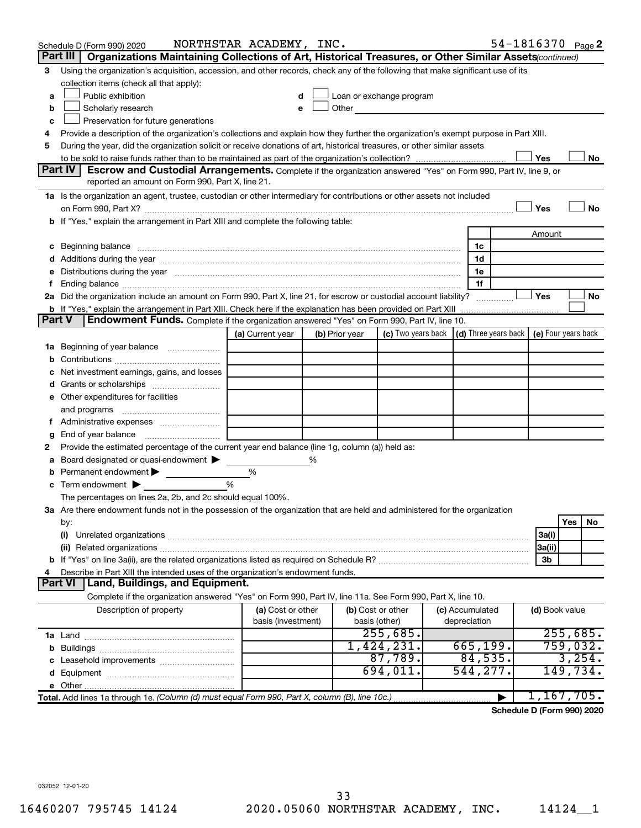|               | Schedule D (Form 990) 2020                                                                                                                                                                                                     | NORTHSTAR ACADEMY, INC. |   |                |                                                                                                                                                                                                                               |                                            |                | 54-1816370 Page 2    |
|---------------|--------------------------------------------------------------------------------------------------------------------------------------------------------------------------------------------------------------------------------|-------------------------|---|----------------|-------------------------------------------------------------------------------------------------------------------------------------------------------------------------------------------------------------------------------|--------------------------------------------|----------------|----------------------|
|               | Part III<br>Organizations Maintaining Collections of Art, Historical Treasures, or Other Similar Assets (continued)                                                                                                            |                         |   |                |                                                                                                                                                                                                                               |                                            |                |                      |
| 3             | Using the organization's acquisition, accession, and other records, check any of the following that make significant use of its                                                                                                |                         |   |                |                                                                                                                                                                                                                               |                                            |                |                      |
|               | collection items (check all that apply):                                                                                                                                                                                       |                         |   |                |                                                                                                                                                                                                                               |                                            |                |                      |
| a             | Public exhibition                                                                                                                                                                                                              |                         |   |                | Loan or exchange program                                                                                                                                                                                                      |                                            |                |                      |
| b             | Scholarly research                                                                                                                                                                                                             |                         | e |                | Other and the contract of the contract of the contract of the contract of the contract of the contract of the contract of the contract of the contract of the contract of the contract of the contract of the contract of the |                                            |                |                      |
| с             | Preservation for future generations                                                                                                                                                                                            |                         |   |                |                                                                                                                                                                                                                               |                                            |                |                      |
| 4             | Provide a description of the organization's collections and explain how they further the organization's exempt purpose in Part XIII.                                                                                           |                         |   |                |                                                                                                                                                                                                                               |                                            |                |                      |
| 5             | During the year, did the organization solicit or receive donations of art, historical treasures, or other similar assets                                                                                                       |                         |   |                |                                                                                                                                                                                                                               |                                            |                |                      |
|               |                                                                                                                                                                                                                                |                         |   |                |                                                                                                                                                                                                                               |                                            | Yes            | No                   |
|               | Part IV<br><b>Escrow and Custodial Arrangements.</b> Complete if the organization answered "Yes" on Form 990, Part IV, line 9, or                                                                                              |                         |   |                |                                                                                                                                                                                                                               |                                            |                |                      |
|               | reported an amount on Form 990, Part X, line 21.                                                                                                                                                                               |                         |   |                |                                                                                                                                                                                                                               |                                            |                |                      |
|               | 1a Is the organization an agent, trustee, custodian or other intermediary for contributions or other assets not included                                                                                                       |                         |   |                |                                                                                                                                                                                                                               |                                            |                |                      |
|               |                                                                                                                                                                                                                                |                         |   |                |                                                                                                                                                                                                                               |                                            | Yes            | No                   |
|               | b If "Yes," explain the arrangement in Part XIII and complete the following table:                                                                                                                                             |                         |   |                |                                                                                                                                                                                                                               |                                            |                |                      |
|               |                                                                                                                                                                                                                                |                         |   |                |                                                                                                                                                                                                                               |                                            | Amount         |                      |
| с             | Beginning balance manufactured and contact the contract of contact the contact of contact the contact of contact the contact of contact of contact of contact of contact of contact of contact of contact of contact of contac |                         |   |                |                                                                                                                                                                                                                               | 1c                                         |                |                      |
|               |                                                                                                                                                                                                                                |                         |   |                |                                                                                                                                                                                                                               | 1d                                         |                |                      |
| е             | Distributions during the year manufactured and an account of the year manufactured and the year manufactured and the year manufactured and the year manufactured and the year manufactured and the year manufactured and the y |                         |   |                |                                                                                                                                                                                                                               | 1e<br>1f                                   |                |                      |
| f.            | 2a Did the organization include an amount on Form 990, Part X, line 21, for escrow or custodial account liability?                                                                                                             |                         |   |                |                                                                                                                                                                                                                               |                                            | Yes            | No                   |
|               | <b>b</b> If "Yes," explain the arrangement in Part XIII. Check here if the explanation has been provided on Part XIII                                                                                                          |                         |   |                |                                                                                                                                                                                                                               |                                            |                |                      |
| <b>Part V</b> | <b>Endowment Funds.</b> Complete if the organization answered "Yes" on Form 990, Part IV, line 10.                                                                                                                             |                         |   |                |                                                                                                                                                                                                                               |                                            |                |                      |
|               |                                                                                                                                                                                                                                | (a) Current year        |   | (b) Prior year | (c) Two years back                                                                                                                                                                                                            | (d) Three years back   (e) Four years back |                |                      |
| 1a            | Beginning of year balance                                                                                                                                                                                                      |                         |   |                |                                                                                                                                                                                                                               |                                            |                |                      |
| b             |                                                                                                                                                                                                                                |                         |   |                |                                                                                                                                                                                                                               |                                            |                |                      |
| с             | Net investment earnings, gains, and losses                                                                                                                                                                                     |                         |   |                |                                                                                                                                                                                                                               |                                            |                |                      |
| d             |                                                                                                                                                                                                                                |                         |   |                |                                                                                                                                                                                                                               |                                            |                |                      |
|               | e Other expenditures for facilities                                                                                                                                                                                            |                         |   |                |                                                                                                                                                                                                                               |                                            |                |                      |
|               | and programs                                                                                                                                                                                                                   |                         |   |                |                                                                                                                                                                                                                               |                                            |                |                      |
|               |                                                                                                                                                                                                                                |                         |   |                |                                                                                                                                                                                                                               |                                            |                |                      |
| g             |                                                                                                                                                                                                                                |                         |   |                |                                                                                                                                                                                                                               |                                            |                |                      |
| 2             | Provide the estimated percentage of the current year end balance (line 1g, column (a)) held as:                                                                                                                                |                         |   |                |                                                                                                                                                                                                                               |                                            |                |                      |
| а             | Board designated or quasi-endowment                                                                                                                                                                                            |                         | % |                |                                                                                                                                                                                                                               |                                            |                |                      |
| b             | Permanent endowment                                                                                                                                                                                                            | %                       |   |                |                                                                                                                                                                                                                               |                                            |                |                      |
| с             | Term endowment $\blacktriangleright$                                                                                                                                                                                           | %                       |   |                |                                                                                                                                                                                                                               |                                            |                |                      |
|               | The percentages on lines 2a, 2b, and 2c should equal 100%.                                                                                                                                                                     |                         |   |                |                                                                                                                                                                                                                               |                                            |                |                      |
|               | 3a Are there endowment funds not in the possession of the organization that are held and administered for the organization                                                                                                     |                         |   |                |                                                                                                                                                                                                                               |                                            |                |                      |
|               | by:                                                                                                                                                                                                                            |                         |   |                |                                                                                                                                                                                                                               |                                            |                | Yes<br>No            |
|               | (i)                                                                                                                                                                                                                            |                         |   |                |                                                                                                                                                                                                                               |                                            | 3a(i)          |                      |
|               |                                                                                                                                                                                                                                |                         |   |                |                                                                                                                                                                                                                               |                                            | 3a(ii)         |                      |
|               |                                                                                                                                                                                                                                |                         |   |                |                                                                                                                                                                                                                               |                                            | 3 <sub>b</sub> |                      |
| 4             | Describe in Part XIII the intended uses of the organization's endowment funds.                                                                                                                                                 |                         |   |                |                                                                                                                                                                                                                               |                                            |                |                      |
|               | Part VI   Land, Buildings, and Equipment.                                                                                                                                                                                      |                         |   |                |                                                                                                                                                                                                                               |                                            |                |                      |
|               | Complete if the organization answered "Yes" on Form 990, Part IV, line 11a. See Form 990, Part X, line 10.                                                                                                                     |                         |   |                |                                                                                                                                                                                                                               |                                            |                |                      |
|               | Description of property                                                                                                                                                                                                        | (a) Cost or other       |   |                | (b) Cost or other                                                                                                                                                                                                             | (c) Accumulated                            | (d) Book value |                      |
|               |                                                                                                                                                                                                                                | basis (investment)      |   | basis (other)  |                                                                                                                                                                                                                               | depreciation                               |                |                      |
|               |                                                                                                                                                                                                                                |                         |   |                | 255,685.<br>1,424,231.                                                                                                                                                                                                        | 665, 199.                                  |                | 255,685.<br>759,032. |
| b             |                                                                                                                                                                                                                                |                         |   |                | 87,789.                                                                                                                                                                                                                       | 84,535.                                    |                | 3,254.               |
| c             | Leasehold improvements                                                                                                                                                                                                         |                         |   |                | 694,011.                                                                                                                                                                                                                      | 544,277.                                   |                | 149,734.             |
| d             |                                                                                                                                                                                                                                |                         |   |                |                                                                                                                                                                                                                               |                                            |                |                      |
|               |                                                                                                                                                                                                                                |                         |   |                |                                                                                                                                                                                                                               |                                            |                | 1,167,705.           |
|               | Total. Add lines 1a through 1e. (Column (d) must equal Form 990, Part X, column (B), line 10c.)                                                                                                                                |                         |   |                |                                                                                                                                                                                                                               |                                            |                |                      |

**Schedule D (Form 990) 2020**

032052 12-01-20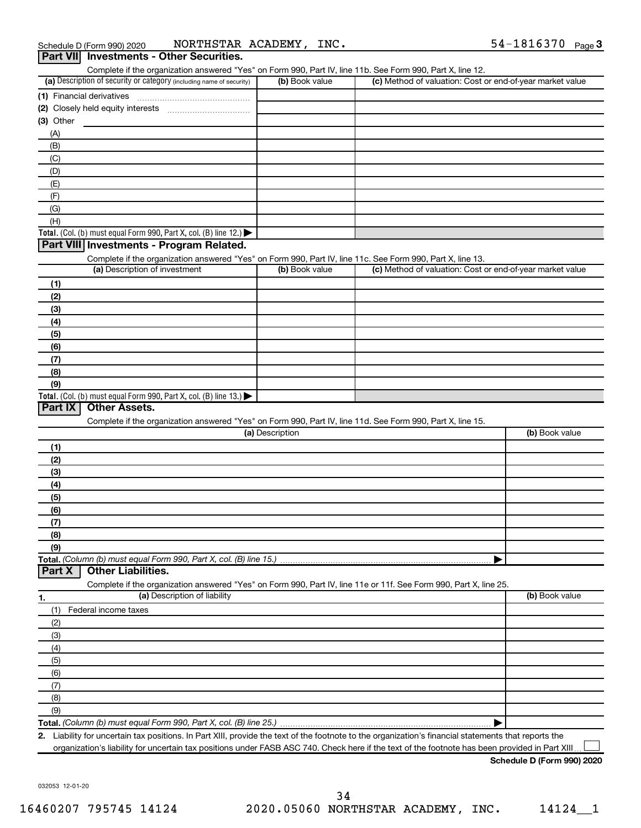| Complete if the organization answered "Yes" on Form 990, Part IV, line 11b. See Form 990, Part X, line 12.        |                 |                                                           |                |
|-------------------------------------------------------------------------------------------------------------------|-----------------|-----------------------------------------------------------|----------------|
| (a) Description of security or category (including name of security)                                              | (b) Book value  | (c) Method of valuation: Cost or end-of-year market value |                |
|                                                                                                                   |                 |                                                           |                |
|                                                                                                                   |                 |                                                           |                |
| (3) Other                                                                                                         |                 |                                                           |                |
| (A)                                                                                                               |                 |                                                           |                |
| (B)                                                                                                               |                 |                                                           |                |
| (C)                                                                                                               |                 |                                                           |                |
| (D)                                                                                                               |                 |                                                           |                |
|                                                                                                                   |                 |                                                           |                |
| (E)                                                                                                               |                 |                                                           |                |
| (F)                                                                                                               |                 |                                                           |                |
| (G)                                                                                                               |                 |                                                           |                |
| (H)                                                                                                               |                 |                                                           |                |
| Total. (Col. (b) must equal Form 990, Part X, col. (B) line 12.)                                                  |                 |                                                           |                |
| Part VIII Investments - Program Related.                                                                          |                 |                                                           |                |
| Complete if the organization answered "Yes" on Form 990, Part IV, line 11c. See Form 990, Part X, line 13.        |                 |                                                           |                |
| (a) Description of investment                                                                                     | (b) Book value  | (c) Method of valuation: Cost or end-of-year market value |                |
| (1)                                                                                                               |                 |                                                           |                |
| (2)                                                                                                               |                 |                                                           |                |
| (3)                                                                                                               |                 |                                                           |                |
| (4)                                                                                                               |                 |                                                           |                |
| (5)                                                                                                               |                 |                                                           |                |
| (6)                                                                                                               |                 |                                                           |                |
| (7)                                                                                                               |                 |                                                           |                |
| (8)                                                                                                               |                 |                                                           |                |
| (9)                                                                                                               |                 |                                                           |                |
| Total. (Col. (b) must equal Form 990, Part X, col. (B) line 13.) $\blacktriangleright$                            |                 |                                                           |                |
| Part IX<br><b>Other Assets.</b>                                                                                   |                 |                                                           |                |
|                                                                                                                   |                 |                                                           |                |
| Complete if the organization answered "Yes" on Form 990, Part IV, line 11d. See Form 990, Part X, line 15.        | (a) Description |                                                           | (b) Book value |
|                                                                                                                   |                 |                                                           |                |
| (1)                                                                                                               |                 |                                                           |                |
| (2)                                                                                                               |                 |                                                           |                |
| (3)                                                                                                               |                 |                                                           |                |
| (4)                                                                                                               |                 |                                                           |                |
| (5)                                                                                                               |                 |                                                           |                |
| (6)                                                                                                               |                 |                                                           |                |
| (7)                                                                                                               |                 |                                                           |                |
| (8)                                                                                                               |                 |                                                           |                |
| (9)                                                                                                               |                 |                                                           |                |
| Total. (Column (b) must equal Form 990, Part X, col. (B) line 15.)                                                |                 |                                                           |                |
| <b>Other Liabilities.</b><br>Part X                                                                               |                 |                                                           |                |
| Complete if the organization answered "Yes" on Form 990, Part IV, line 11e or 11f. See Form 990, Part X, line 25. |                 |                                                           |                |
| (a) Description of liability<br>1.                                                                                |                 |                                                           | (b) Book value |
| (1)<br>Federal income taxes                                                                                       |                 |                                                           |                |
|                                                                                                                   |                 |                                                           |                |
| (2)                                                                                                               |                 |                                                           |                |
| (3)                                                                                                               |                 |                                                           |                |
| (4)                                                                                                               |                 |                                                           |                |
| (5)                                                                                                               |                 |                                                           |                |
| (6)                                                                                                               |                 |                                                           |                |
| (7)                                                                                                               |                 |                                                           |                |
| (8)                                                                                                               |                 |                                                           |                |
| (9)                                                                                                               |                 |                                                           |                |
|                                                                                                                   |                 |                                                           |                |
|                                                                                                                   |                 |                                                           |                |

**2.** Liability for uncertain tax positions. In Part XIII, provide the text of the footnote to the organization's financial statements that reports the organization's liability for uncertain tax positions under FASB ASC 740. Check here if the text of the footnote has been provided in Part XIII  $\perp$ 

**Schedule D (Form 990) 2020**

032053 12-01-20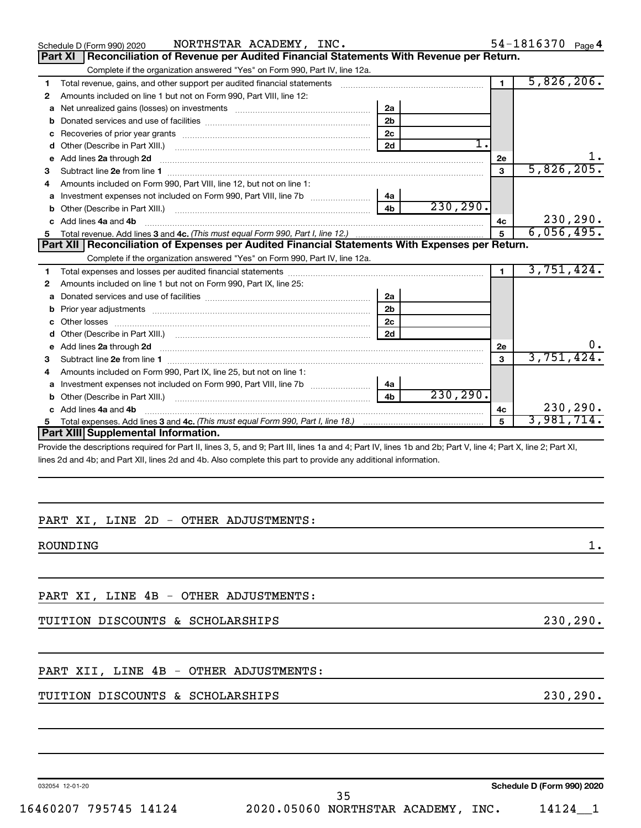|    | NORTHSTAR ACADEMY, INC.<br>Schedule D (Form 990) 2020                                                                                                                                                                               |                |           |                | 54-1816370 Page 4 |
|----|-------------------------------------------------------------------------------------------------------------------------------------------------------------------------------------------------------------------------------------|----------------|-----------|----------------|-------------------|
|    | Part XI   Reconciliation of Revenue per Audited Financial Statements With Revenue per Return.                                                                                                                                       |                |           |                |                   |
|    | Complete if the organization answered "Yes" on Form 990, Part IV, line 12a.                                                                                                                                                         |                |           |                |                   |
| 1  |                                                                                                                                                                                                                                     |                |           | $\blacksquare$ | 5,826,206.        |
| 2  | Amounts included on line 1 but not on Form 990, Part VIII, line 12:                                                                                                                                                                 |                |           |                |                   |
| a  |                                                                                                                                                                                                                                     | 2a             |           |                |                   |
| b  |                                                                                                                                                                                                                                     | 2 <sub>b</sub> |           |                |                   |
| c  |                                                                                                                                                                                                                                     | 2c             |           |                |                   |
| d  | Other (Describe in Part XIII.)                                                                                                                                                                                                      | 2d             | 1.        |                |                   |
| е  | Add lines 2a through 2d <b>continuum continuum contract and continuum contract a</b> through 2d continuum contract and continuum contract a term of the contract of the contract and contract a term of the contract of the contrac |                |           | 2e             |                   |
| 3  | Subtract line 2e from line 1 <b>manufacture in the contract of the 2e</b> from line 1                                                                                                                                               |                |           | $\mathbf{3}$   | 5,826,205.        |
|    | Amounts included on Form 990, Part VIII, line 12, but not on line 1:                                                                                                                                                                |                |           |                |                   |
| a  | Investment expenses not included on Form 990, Part VIII, line 7b [100] [100] [100] [100] [100] [100] [100] [10                                                                                                                      | 4a             |           |                |                   |
|    |                                                                                                                                                                                                                                     | 4 <sub>b</sub> | 230, 290. |                |                   |
|    | Add lines 4a and 4b                                                                                                                                                                                                                 |                |           | 4c             | 230, 290.         |
| 5  |                                                                                                                                                                                                                                     |                |           | 5              | 6,056,495.        |
|    |                                                                                                                                                                                                                                     |                |           |                |                   |
|    | Part XII   Reconciliation of Expenses per Audited Financial Statements With Expenses per Return.                                                                                                                                    |                |           |                |                   |
|    | Complete if the organization answered "Yes" on Form 990, Part IV, line 12a.                                                                                                                                                         |                |           |                |                   |
| 1. |                                                                                                                                                                                                                                     |                |           | $\mathbf 1$    | 3,751,424.        |
| 2  | Amounts included on line 1 but not on Form 990, Part IX, line 25:                                                                                                                                                                   |                |           |                |                   |
| a  |                                                                                                                                                                                                                                     | 2a             |           |                |                   |
| b  |                                                                                                                                                                                                                                     | 2 <sub>b</sub> |           |                |                   |
|    |                                                                                                                                                                                                                                     | 2c             |           |                |                   |
| d  |                                                                                                                                                                                                                                     | 2d             |           |                |                   |
| е  | Add lines 2a through 2d <b>contained a contained a contained a contained a</b> contained a contact the set of the set of the set of the set of the set of the set of the set of the set of the set of the set of the set of the set |                |           | 2e             |                   |
|    |                                                                                                                                                                                                                                     |                |           | 3              | 3,751,424         |
| 4  | Amounts included on Form 990, Part IX, line 25, but not on line 1:                                                                                                                                                                  |                |           |                |                   |
| a  |                                                                                                                                                                                                                                     | 4a             |           |                |                   |
|    |                                                                                                                                                                                                                                     | 4 <sub>b</sub> | 230, 290. |                |                   |
|    | c Add lines 4a and 4b                                                                                                                                                                                                               |                |           | 4c             | 230, 290.         |
|    | Part XIII Supplemental Information.                                                                                                                                                                                                 |                |           | 5              | 3,981,714.        |

Provide the descriptions required for Part II, lines 3, 5, and 9; Part III, lines 1a and 4; Part IV, lines 1b and 2b; Part V, line 4; Part X, line 2; Part XI, lines 2d and 4b; and Part XII, lines 2d and 4b. Also complete this part to provide any additional information.

#### PART XI, LINE 2D - OTHER ADJUSTMENTS:

ROUNDING the contract of the contract of the contract of the contract of the contract of the contract of the contract of the contract of the contract of the contract of the contract of the contract of the contract of the c

PART XI, LINE 4B - OTHER ADJUSTMENTS:

#### TUITION DISCOUNTS & SCHOLARSHIPS 230,290.

#### PART XII, LINE 4B - OTHER ADJUSTMENTS:

#### TUITION DISCOUNTS & SCHOLARSHIPS 230,290.

032054 12-01-20

**Schedule D (Form 990) 2020**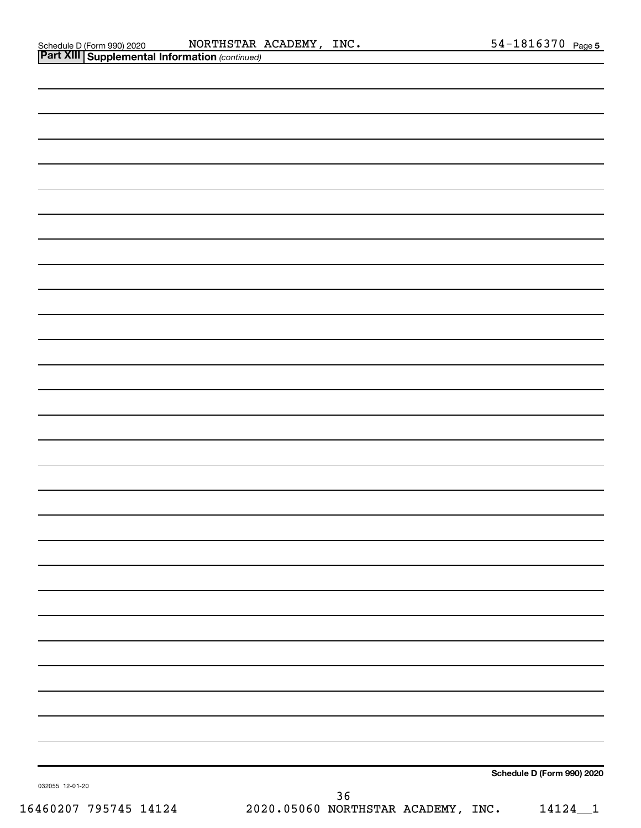Schedule D (Form 990) 2020 Page NORTHSTAR ACADEMY, INC. 54-1816370

| <b>Part XIII   Supplemental Information (continued)</b> |                                                  |
|---------------------------------------------------------|--------------------------------------------------|
|                                                         |                                                  |
|                                                         |                                                  |
|                                                         |                                                  |
|                                                         |                                                  |
|                                                         |                                                  |
|                                                         |                                                  |
|                                                         |                                                  |
|                                                         |                                                  |
|                                                         |                                                  |
|                                                         |                                                  |
|                                                         |                                                  |
|                                                         |                                                  |
|                                                         |                                                  |
|                                                         |                                                  |
|                                                         |                                                  |
|                                                         |                                                  |
|                                                         |                                                  |
|                                                         |                                                  |
|                                                         |                                                  |
|                                                         |                                                  |
|                                                         |                                                  |
|                                                         |                                                  |
|                                                         |                                                  |
|                                                         |                                                  |
|                                                         |                                                  |
|                                                         |                                                  |
|                                                         |                                                  |
|                                                         |                                                  |
|                                                         |                                                  |
|                                                         |                                                  |
|                                                         |                                                  |
|                                                         |                                                  |
| 032055 12-01-20                                         | Schedule D (Form 990) 2020                       |
| 16460207 795745 14124                                   | 36<br>2020.05060 NORTHSTAR ACADEMY, INC. 14124_1 |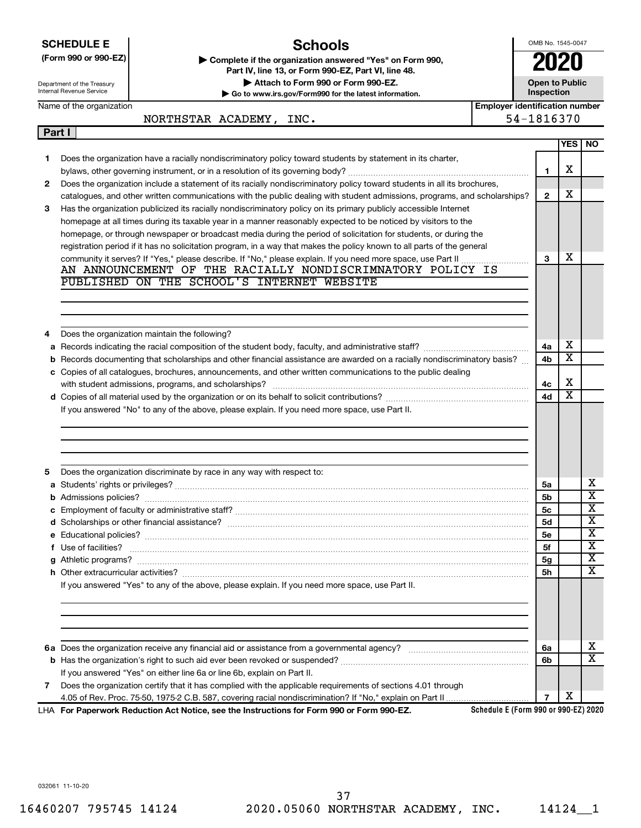|                                                                                                                                                                                                                                                                                                         | <b>Schools</b><br><b>SCHEDULE E</b>                                                                                                                                                                                                            |  | OMB No. 1545-0047                   |                       |                                                         |  |  |  |  |
|---------------------------------------------------------------------------------------------------------------------------------------------------------------------------------------------------------------------------------------------------------------------------------------------------------|------------------------------------------------------------------------------------------------------------------------------------------------------------------------------------------------------------------------------------------------|--|-------------------------------------|-----------------------|---------------------------------------------------------|--|--|--|--|
| (Form 990 or 990-EZ)<br>Complete if the organization answered "Yes" on Form 990,<br>Part IV, line 13, or Form 990-EZ, Part VI, line 48.<br>Attach to Form 990 or Form 990-EZ.<br>Department of the Treasury<br><b>Internal Revenue Service</b><br>Go to www.irs.gov/Form990 for the latest information. |                                                                                                                                                                                                                                                |  | <b>Open to Public</b><br>Inspection |                       |                                                         |  |  |  |  |
| Name of the organization                                                                                                                                                                                                                                                                                |                                                                                                                                                                                                                                                |  |                                     |                       | <b>Employer identification number</b><br>54-1816370     |  |  |  |  |
| Part I                                                                                                                                                                                                                                                                                                  | NORTHSTAR ACADEMY, INC.                                                                                                                                                                                                                        |  |                                     |                       |                                                         |  |  |  |  |
|                                                                                                                                                                                                                                                                                                         |                                                                                                                                                                                                                                                |  |                                     | <b>YES</b>            | <b>NO</b>                                               |  |  |  |  |
| 1.                                                                                                                                                                                                                                                                                                      | Does the organization have a racially nondiscriminatory policy toward students by statement in its charter,                                                                                                                                    |  |                                     |                       |                                                         |  |  |  |  |
|                                                                                                                                                                                                                                                                                                         |                                                                                                                                                                                                                                                |  | 1                                   | х                     |                                                         |  |  |  |  |
| 2                                                                                                                                                                                                                                                                                                       | Does the organization include a statement of its racially nondiscriminatory policy toward students in all its brochures,                                                                                                                       |  | $\mathbf{2}$                        | х                     |                                                         |  |  |  |  |
| 3                                                                                                                                                                                                                                                                                                       | catalogues, and other written communications with the public dealing with student admissions, programs, and scholarships?<br>Has the organization publicized its racially nondiscriminatory policy on its primary publicly accessible Internet |  |                                     |                       |                                                         |  |  |  |  |
|                                                                                                                                                                                                                                                                                                         | homepage at all times during its taxable year in a manner reasonably expected to be noticed by visitors to the                                                                                                                                 |  |                                     |                       |                                                         |  |  |  |  |
|                                                                                                                                                                                                                                                                                                         | homepage, or through newspaper or broadcast media during the period of solicitation for students, or during the                                                                                                                                |  |                                     |                       |                                                         |  |  |  |  |
|                                                                                                                                                                                                                                                                                                         | registration period if it has no solicitation program, in a way that makes the policy known to all parts of the general                                                                                                                        |  |                                     |                       |                                                         |  |  |  |  |
|                                                                                                                                                                                                                                                                                                         |                                                                                                                                                                                                                                                |  | 3                                   | х                     |                                                         |  |  |  |  |
|                                                                                                                                                                                                                                                                                                         | AN ANNOUNCEMENT OF THE RACIALLY NONDISCRIMNATORY POLICY IS<br>PUBLISHED ON THE SCHOOL'S INTERNET WEBSITE                                                                                                                                       |  |                                     |                       |                                                         |  |  |  |  |
|                                                                                                                                                                                                                                                                                                         |                                                                                                                                                                                                                                                |  |                                     |                       |                                                         |  |  |  |  |
|                                                                                                                                                                                                                                                                                                         |                                                                                                                                                                                                                                                |  |                                     |                       |                                                         |  |  |  |  |
|                                                                                                                                                                                                                                                                                                         |                                                                                                                                                                                                                                                |  |                                     |                       |                                                         |  |  |  |  |
| 4                                                                                                                                                                                                                                                                                                       | Does the organization maintain the following?                                                                                                                                                                                                  |  |                                     |                       |                                                         |  |  |  |  |
| а                                                                                                                                                                                                                                                                                                       |                                                                                                                                                                                                                                                |  | 4a                                  | х                     |                                                         |  |  |  |  |
| b                                                                                                                                                                                                                                                                                                       | Records documenting that scholarships and other financial assistance are awarded on a racially nondiscriminatory basis?                                                                                                                        |  | 4b                                  | $\overline{\text{x}}$ |                                                         |  |  |  |  |
|                                                                                                                                                                                                                                                                                                         | c Copies of all catalogues, brochures, announcements, and other written communications to the public dealing                                                                                                                                   |  |                                     |                       |                                                         |  |  |  |  |
|                                                                                                                                                                                                                                                                                                         | with student admissions, programs, and scholarships?                                                                                                                                                                                           |  | 4с                                  | х                     |                                                         |  |  |  |  |
|                                                                                                                                                                                                                                                                                                         |                                                                                                                                                                                                                                                |  | 4d                                  | $\overline{\text{x}}$ |                                                         |  |  |  |  |
|                                                                                                                                                                                                                                                                                                         | If you answered "No" to any of the above, please explain. If you need more space, use Part II.                                                                                                                                                 |  |                                     |                       |                                                         |  |  |  |  |
|                                                                                                                                                                                                                                                                                                         |                                                                                                                                                                                                                                                |  |                                     |                       |                                                         |  |  |  |  |
|                                                                                                                                                                                                                                                                                                         |                                                                                                                                                                                                                                                |  |                                     |                       |                                                         |  |  |  |  |
| 5<br>a                                                                                                                                                                                                                                                                                                  | Does the organization discriminate by race in any way with respect to:                                                                                                                                                                         |  | 5a                                  |                       | х                                                       |  |  |  |  |
|                                                                                                                                                                                                                                                                                                         | Students' rights or privileges?                                                                                                                                                                                                                |  | 5b                                  |                       | х                                                       |  |  |  |  |
|                                                                                                                                                                                                                                                                                                         |                                                                                                                                                                                                                                                |  | 5с                                  |                       |                                                         |  |  |  |  |
|                                                                                                                                                                                                                                                                                                         |                                                                                                                                                                                                                                                |  | <b>5d</b>                           |                       |                                                         |  |  |  |  |
|                                                                                                                                                                                                                                                                                                         |                                                                                                                                                                                                                                                |  | 5e                                  |                       | $\overline{\mathbf{x}}$<br>X<br>$\overline{\mathbf{X}}$ |  |  |  |  |
|                                                                                                                                                                                                                                                                                                         | f Use of facilities?                                                                                                                                                                                                                           |  | 5f                                  |                       | $\overline{\mathbf{X}}$                                 |  |  |  |  |
|                                                                                                                                                                                                                                                                                                         |                                                                                                                                                                                                                                                |  | 5g                                  |                       |                                                         |  |  |  |  |
|                                                                                                                                                                                                                                                                                                         |                                                                                                                                                                                                                                                |  | 5h                                  |                       |                                                         |  |  |  |  |
|                                                                                                                                                                                                                                                                                                         | If you answered "Yes" to any of the above, please explain. If you need more space, use Part II.                                                                                                                                                |  |                                     |                       |                                                         |  |  |  |  |
|                                                                                                                                                                                                                                                                                                         |                                                                                                                                                                                                                                                |  |                                     |                       | X<br>X                                                  |  |  |  |  |
|                                                                                                                                                                                                                                                                                                         |                                                                                                                                                                                                                                                |  |                                     |                       |                                                         |  |  |  |  |
|                                                                                                                                                                                                                                                                                                         |                                                                                                                                                                                                                                                |  | 6a<br>6b                            |                       | x<br>$\overline{\text{x}}$                              |  |  |  |  |
|                                                                                                                                                                                                                                                                                                         |                                                                                                                                                                                                                                                |  |                                     |                       |                                                         |  |  |  |  |
| 7                                                                                                                                                                                                                                                                                                       | If you answered "Yes" on either line 6a or line 6b, explain on Part II.<br>Does the organization certify that it has complied with the applicable requirements of sections 4.01 through                                                        |  |                                     |                       |                                                         |  |  |  |  |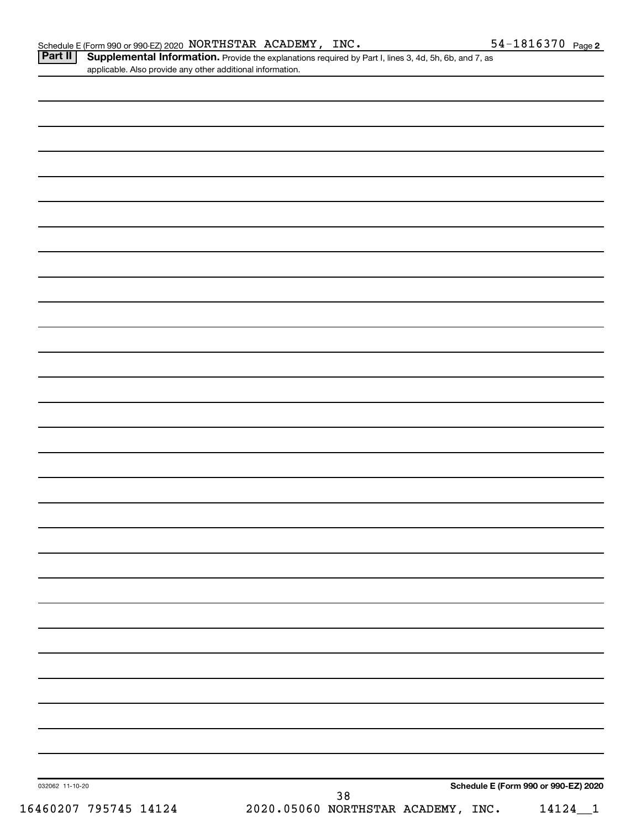Part II | Supplemental Information. Provide the explanations required by Part I, lines 3, 4d, 5h, 6b, and 7, as applicable. Also provide any other additional information.

| 032062 11-10-20       | Schedule E (Form 990 or 990-EZ) 2020<br>$38\,$    |
|-----------------------|---------------------------------------------------|
| 16460207 795745 14124 | 2020.05060 NORTHSTAR ACADEMY, INC.<br>$14124 - 1$ |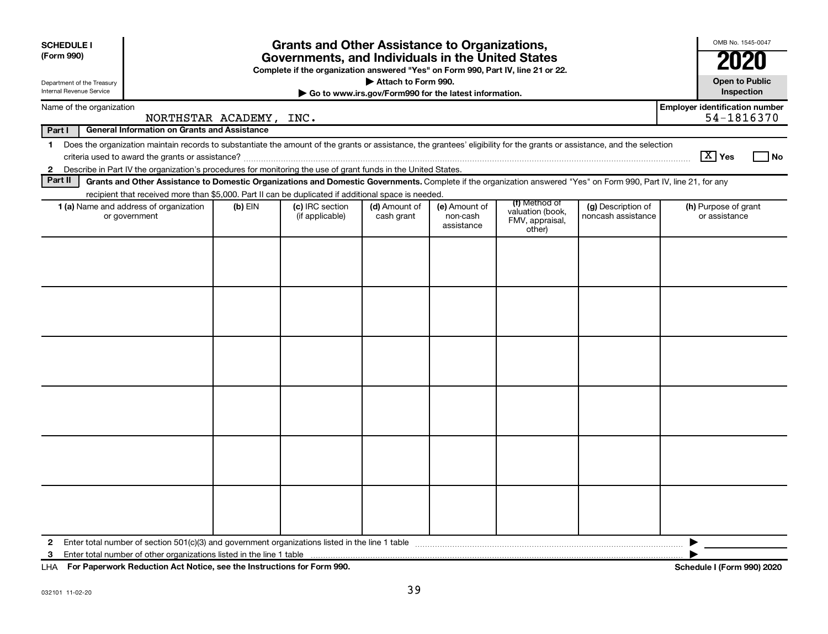| <b>Grants and Other Assistance to Organizations,</b><br><b>SCHEDULE I</b><br>(Form 990)<br>Governments, and Individuals in the United States<br>Complete if the organization answered "Yes" on Form 990, Part IV, line 21 or 22.<br>Attach to Form 990.<br>Department of the Treasury<br><b>Internal Revenue Service</b><br>Go to www.irs.gov/Form990 for the latest information. |                                                     |           |                                                                                                                                                                          |                             |                                         |                                                                |                                          | OMB No. 1545-0047<br><b>Open to Public</b><br>Inspection |      |
|-----------------------------------------------------------------------------------------------------------------------------------------------------------------------------------------------------------------------------------------------------------------------------------------------------------------------------------------------------------------------------------|-----------------------------------------------------|-----------|--------------------------------------------------------------------------------------------------------------------------------------------------------------------------|-----------------------------|-----------------------------------------|----------------------------------------------------------------|------------------------------------------|----------------------------------------------------------|------|
| Name of the organization                                                                                                                                                                                                                                                                                                                                                          |                                                     |           |                                                                                                                                                                          |                             |                                         |                                                                |                                          | <b>Employer identification number</b>                    |      |
|                                                                                                                                                                                                                                                                                                                                                                                   | NORTHSTAR ACADEMY, INC.                             |           |                                                                                                                                                                          |                             |                                         |                                                                |                                          | 54-1816370                                               |      |
| Part I                                                                                                                                                                                                                                                                                                                                                                            | <b>General Information on Grants and Assistance</b> |           |                                                                                                                                                                          |                             |                                         |                                                                |                                          |                                                          |      |
| $\mathbf 1$                                                                                                                                                                                                                                                                                                                                                                       |                                                     |           | Does the organization maintain records to substantiate the amount of the grants or assistance, the grantees' eligibility for the grants or assistance, and the selection |                             |                                         |                                                                |                                          | $\sqrt{X}$ Yes                                           |      |
| $\mathbf{2}$                                                                                                                                                                                                                                                                                                                                                                      |                                                     |           | Describe in Part IV the organization's procedures for monitoring the use of grant funds in the United States.                                                            |                             |                                         |                                                                |                                          |                                                          | l No |
| Part II                                                                                                                                                                                                                                                                                                                                                                           |                                                     |           | Grants and Other Assistance to Domestic Organizations and Domestic Governments. Complete if the organization answered "Yes" on Form 990, Part IV, line 21, for any       |                             |                                         |                                                                |                                          |                                                          |      |
|                                                                                                                                                                                                                                                                                                                                                                                   |                                                     |           | recipient that received more than \$5,000. Part II can be duplicated if additional space is needed.                                                                      |                             |                                         |                                                                |                                          |                                                          |      |
| 1 (a) Name and address of organization<br>or government                                                                                                                                                                                                                                                                                                                           |                                                     | $(b)$ EIN | (c) IRC section<br>(if applicable)                                                                                                                                       | (d) Amount of<br>cash grant | (e) Amount of<br>non-cash<br>assistance | (f) Method of<br>valuation (book,<br>FMV, appraisal,<br>other) | (g) Description of<br>noncash assistance | (h) Purpose of grant<br>or assistance                    |      |
|                                                                                                                                                                                                                                                                                                                                                                                   |                                                     |           |                                                                                                                                                                          |                             |                                         |                                                                |                                          |                                                          |      |
|                                                                                                                                                                                                                                                                                                                                                                                   |                                                     |           |                                                                                                                                                                          |                             |                                         |                                                                |                                          |                                                          |      |
|                                                                                                                                                                                                                                                                                                                                                                                   |                                                     |           |                                                                                                                                                                          |                             |                                         |                                                                |                                          |                                                          |      |
| 2                                                                                                                                                                                                                                                                                                                                                                                 |                                                     |           |                                                                                                                                                                          |                             |                                         |                                                                |                                          | ▶                                                        |      |
| 3                                                                                                                                                                                                                                                                                                                                                                                 |                                                     |           |                                                                                                                                                                          |                             |                                         |                                                                |                                          |                                                          |      |

**For Paperwork Reduction Act Notice, see the Instructions for Form 990. Schedule I (Form 990) 2020** LHA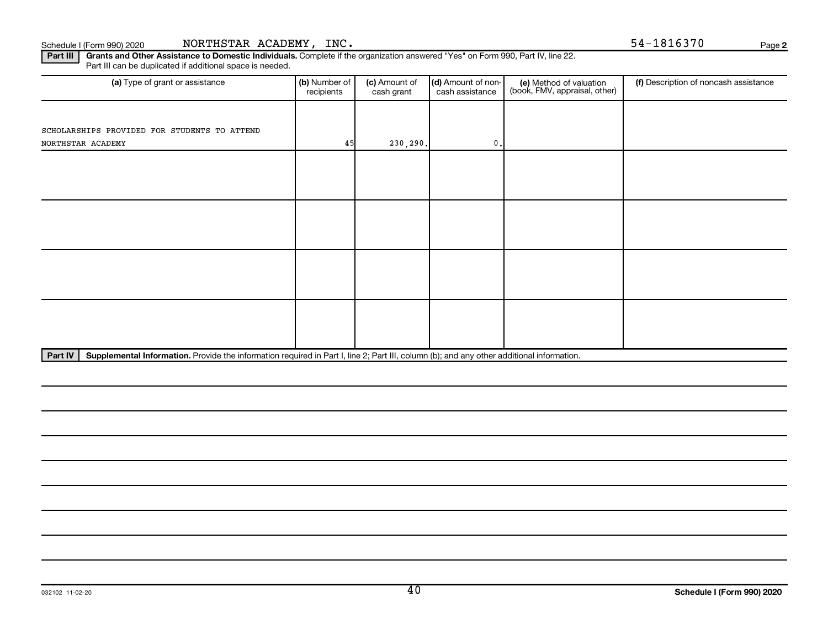**2**

Part III | Grants and Other Assistance to Domestic Individuals. Complete if the organization answered "Yes" on Form 990, Part IV, line 22. Part III can be duplicated if additional space is needed.

| (a) Type of grant or assistance              | (b) Number of<br>recipients | (c) Amount of<br>cash grant | (d) Amount of non-<br>cash assistance | (e) Method of valuation<br>(book, FMV, appraisal, other) | (f) Description of noncash assistance |
|----------------------------------------------|-----------------------------|-----------------------------|---------------------------------------|----------------------------------------------------------|---------------------------------------|
|                                              |                             |                             |                                       |                                                          |                                       |
| SCHOLARSHIPS PROVIDED FOR STUDENTS TO ATTEND |                             |                             |                                       |                                                          |                                       |
| NORTHSTAR ACADEMY                            | 45                          | 230,290.                    | $0$ .                                 |                                                          |                                       |
|                                              |                             |                             |                                       |                                                          |                                       |
|                                              |                             |                             |                                       |                                                          |                                       |
|                                              |                             |                             |                                       |                                                          |                                       |
|                                              |                             |                             |                                       |                                                          |                                       |
|                                              |                             |                             |                                       |                                                          |                                       |
|                                              |                             |                             |                                       |                                                          |                                       |
|                                              |                             |                             |                                       |                                                          |                                       |
|                                              |                             |                             |                                       |                                                          |                                       |
|                                              |                             |                             |                                       |                                                          |                                       |
|                                              |                             |                             |                                       |                                                          |                                       |
|                                              |                             |                             |                                       |                                                          |                                       |
|                                              |                             |                             |                                       |                                                          |                                       |
|                                              |                             |                             |                                       |                                                          |                                       |

Part IV | Supplemental Information. Provide the information required in Part I, line 2; Part III, column (b); and any other additional information.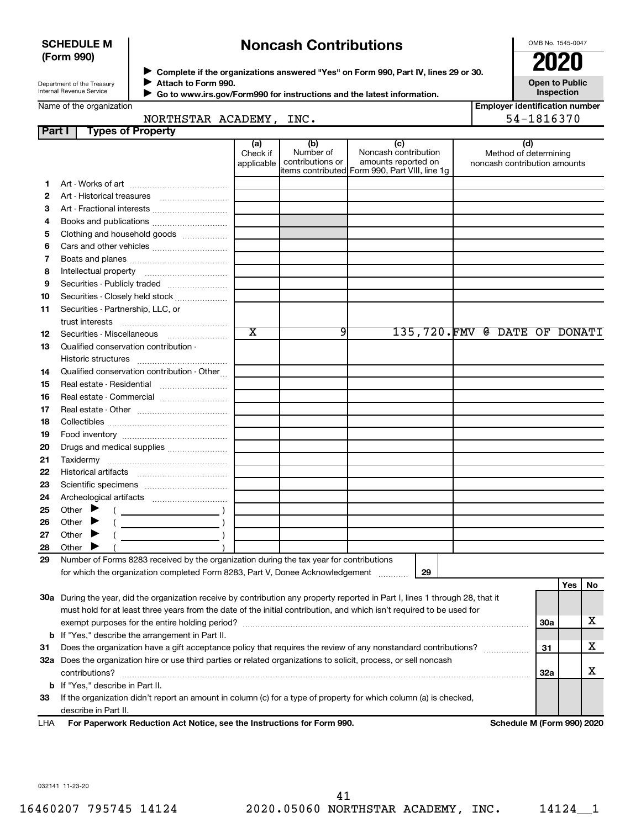#### **SCHEDULE M (Form 990)**

# **Noncash Contributions**

OMB No. 1545-0047

| Department of the Treasury |
|----------------------------|
| Internal Revenue Service   |

◆ Complete if the organizations answered "Yes" on Form 990, Part IV, lines 29 or 30.<br>● Complete if the organizations answered "Yes" on Form 990, Part IV, lines 29 or 30. **Attach to Form 990.**  $\blacktriangleright$ 

**Open to Public Inspection**

|  |  | Name of the organization |
|--|--|--------------------------|
|--|--|--------------------------|

 $\blacktriangleright$ 

| Go to www.irs.gov/Form990 for instructions and the latest information. |
|------------------------------------------------------------------------|

| <b>Employer identification number</b> |  |
|---------------------------------------|--|

|        | Name of the organization<br>NORTHSTAR ACADEMY, INC.                                                                                                                                                                                                                                                                                                                                                                                                                 |                               |                                      |                                                                                                      | Employer identification number                        | 54-1816370 |            |    |
|--------|---------------------------------------------------------------------------------------------------------------------------------------------------------------------------------------------------------------------------------------------------------------------------------------------------------------------------------------------------------------------------------------------------------------------------------------------------------------------|-------------------------------|--------------------------------------|------------------------------------------------------------------------------------------------------|-------------------------------------------------------|------------|------------|----|
| Part I | <b>Types of Property</b>                                                                                                                                                                                                                                                                                                                                                                                                                                            |                               |                                      |                                                                                                      |                                                       |            |            |    |
|        |                                                                                                                                                                                                                                                                                                                                                                                                                                                                     | (a)<br>Check if<br>applicable | (b)<br>Number of<br>contributions or | (c)<br>Noncash contribution<br>amounts reported on<br>items contributed Form 990, Part VIII, line 1g | Method of determining<br>noncash contribution amounts | (d)        |            |    |
| 1      |                                                                                                                                                                                                                                                                                                                                                                                                                                                                     |                               |                                      |                                                                                                      |                                                       |            |            |    |
| 2      |                                                                                                                                                                                                                                                                                                                                                                                                                                                                     |                               |                                      |                                                                                                      |                                                       |            |            |    |
| з      | Art - Fractional interests                                                                                                                                                                                                                                                                                                                                                                                                                                          |                               |                                      |                                                                                                      |                                                       |            |            |    |
| 4      |                                                                                                                                                                                                                                                                                                                                                                                                                                                                     |                               |                                      |                                                                                                      |                                                       |            |            |    |
| 5      | Clothing and household goods                                                                                                                                                                                                                                                                                                                                                                                                                                        |                               |                                      |                                                                                                      |                                                       |            |            |    |
| 6      |                                                                                                                                                                                                                                                                                                                                                                                                                                                                     |                               |                                      |                                                                                                      |                                                       |            |            |    |
| 7      |                                                                                                                                                                                                                                                                                                                                                                                                                                                                     |                               |                                      |                                                                                                      |                                                       |            |            |    |
| 8      |                                                                                                                                                                                                                                                                                                                                                                                                                                                                     |                               |                                      |                                                                                                      |                                                       |            |            |    |
| 9      | Securities - Publicly traded                                                                                                                                                                                                                                                                                                                                                                                                                                        |                               |                                      |                                                                                                      |                                                       |            |            |    |
| 10     | Securities - Closely held stock                                                                                                                                                                                                                                                                                                                                                                                                                                     |                               |                                      |                                                                                                      |                                                       |            |            |    |
| 11     | Securities - Partnership, LLC, or                                                                                                                                                                                                                                                                                                                                                                                                                                   |                               |                                      |                                                                                                      |                                                       |            |            |    |
|        |                                                                                                                                                                                                                                                                                                                                                                                                                                                                     |                               |                                      |                                                                                                      |                                                       |            |            |    |
| 12     | Securities - Miscellaneous                                                                                                                                                                                                                                                                                                                                                                                                                                          | $\overline{\mathtt{x}}$       | 9                                    |                                                                                                      | 135,720.FMV @ DATE OF DONATI                          |            |            |    |
| 13     | Qualified conservation contribution -                                                                                                                                                                                                                                                                                                                                                                                                                               |                               |                                      |                                                                                                      |                                                       |            |            |    |
|        |                                                                                                                                                                                                                                                                                                                                                                                                                                                                     |                               |                                      |                                                                                                      |                                                       |            |            |    |
| 14     | Qualified conservation contribution - Other                                                                                                                                                                                                                                                                                                                                                                                                                         |                               |                                      |                                                                                                      |                                                       |            |            |    |
| 15     | Real estate - Residential                                                                                                                                                                                                                                                                                                                                                                                                                                           |                               |                                      |                                                                                                      |                                                       |            |            |    |
| 16     |                                                                                                                                                                                                                                                                                                                                                                                                                                                                     |                               |                                      |                                                                                                      |                                                       |            |            |    |
| 17     |                                                                                                                                                                                                                                                                                                                                                                                                                                                                     |                               |                                      |                                                                                                      |                                                       |            |            |    |
| 18     |                                                                                                                                                                                                                                                                                                                                                                                                                                                                     |                               |                                      |                                                                                                      |                                                       |            |            |    |
| 19     |                                                                                                                                                                                                                                                                                                                                                                                                                                                                     |                               |                                      |                                                                                                      |                                                       |            |            |    |
| 20     | Drugs and medical supplies                                                                                                                                                                                                                                                                                                                                                                                                                                          |                               |                                      |                                                                                                      |                                                       |            |            |    |
| 21     |                                                                                                                                                                                                                                                                                                                                                                                                                                                                     |                               |                                      |                                                                                                      |                                                       |            |            |    |
| 22     |                                                                                                                                                                                                                                                                                                                                                                                                                                                                     |                               |                                      |                                                                                                      |                                                       |            |            |    |
| 23     |                                                                                                                                                                                                                                                                                                                                                                                                                                                                     |                               |                                      |                                                                                                      |                                                       |            |            |    |
| 24     |                                                                                                                                                                                                                                                                                                                                                                                                                                                                     |                               |                                      |                                                                                                      |                                                       |            |            |    |
| 25     | Other $\blacktriangleright$<br>$\left(\begin{array}{ccc}\n\end{array}\right)$                                                                                                                                                                                                                                                                                                                                                                                       |                               |                                      |                                                                                                      |                                                       |            |            |    |
| 26     | $(\begin{array}{cccccccccc} \textbf{1} & \textbf{1} & \textbf{1} & \textbf{1} & \textbf{1} & \textbf{1} & \textbf{1} & \textbf{1} & \textbf{1} & \textbf{1} & \textbf{1} & \textbf{1} & \textbf{1} & \textbf{1} & \textbf{1} & \textbf{1} & \textbf{1} & \textbf{1} & \textbf{1} & \textbf{1} & \textbf{1} & \textbf{1} & \textbf{1} & \textbf{1} & \textbf{1} & \textbf{1} & \textbf{1} & \textbf{1} & \textbf{1} & \textbf{1} & \$<br>Other $\blacktriangleright$ |                               |                                      |                                                                                                      |                                                       |            |            |    |
| 27     | Other $\blacktriangleright$                                                                                                                                                                                                                                                                                                                                                                                                                                         |                               |                                      |                                                                                                      |                                                       |            |            |    |
| 28     | Other                                                                                                                                                                                                                                                                                                                                                                                                                                                               |                               |                                      |                                                                                                      |                                                       |            |            |    |
| 29     | Number of Forms 8283 received by the organization during the tax year for contributions                                                                                                                                                                                                                                                                                                                                                                             |                               |                                      |                                                                                                      |                                                       |            |            |    |
|        | for which the organization completed Form 8283, Part V, Donee Acknowledgement                                                                                                                                                                                                                                                                                                                                                                                       |                               |                                      | 29                                                                                                   |                                                       |            |            |    |
|        |                                                                                                                                                                                                                                                                                                                                                                                                                                                                     |                               |                                      |                                                                                                      |                                                       |            | <b>Yes</b> | No |
|        | 30a During the year, did the organization receive by contribution any property reported in Part I, lines 1 through 28, that it                                                                                                                                                                                                                                                                                                                                      |                               |                                      |                                                                                                      |                                                       |            |            |    |
|        | must hold for at least three years from the date of the initial contribution, and which isn't required to be used for                                                                                                                                                                                                                                                                                                                                               |                               |                                      |                                                                                                      |                                                       |            |            |    |
|        |                                                                                                                                                                                                                                                                                                                                                                                                                                                                     |                               |                                      |                                                                                                      |                                                       | <b>30a</b> |            | x  |
|        | <b>b</b> If "Yes," describe the arrangement in Part II.                                                                                                                                                                                                                                                                                                                                                                                                             |                               |                                      |                                                                                                      |                                                       |            |            |    |
| 31     | Does the organization have a gift acceptance policy that requires the review of any nonstandard contributions?                                                                                                                                                                                                                                                                                                                                                      |                               |                                      |                                                                                                      |                                                       | 31         |            | х  |
|        | 32a Does the organization hire or use third parties or related organizations to solicit, process, or sell noncash                                                                                                                                                                                                                                                                                                                                                   |                               |                                      |                                                                                                      |                                                       |            |            |    |
|        | contributions?                                                                                                                                                                                                                                                                                                                                                                                                                                                      |                               |                                      |                                                                                                      |                                                       | 32a        |            | х  |
|        | <b>b</b> If "Yes," describe in Part II.                                                                                                                                                                                                                                                                                                                                                                                                                             |                               |                                      |                                                                                                      |                                                       |            |            |    |
| 33     | If the organization didn't report an amount in column (c) for a type of property for which column (a) is checked,                                                                                                                                                                                                                                                                                                                                                   |                               |                                      |                                                                                                      |                                                       |            |            |    |

describe in Part II.

**For Paperwork Reduction Act Notice, see the Instructions for Form 990. Schedule M (Form 990) 2020** LHA

032141 11-23-20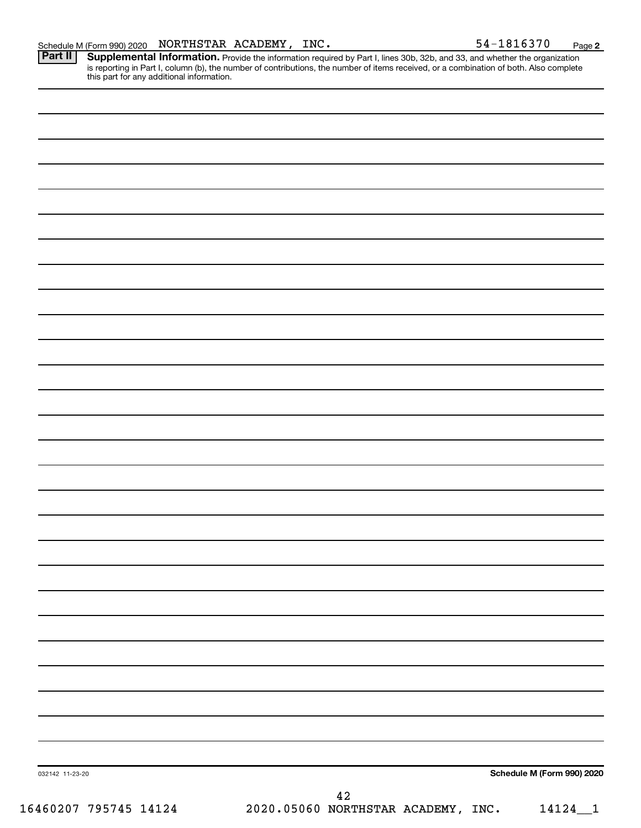Part II | Supplemental Information. Provide the information required by Part I, lines 30b, 32b, and 33, and whether the organization is reporting in Part I, column (b), the number of contributions, the number of items received, or a combination of both. Also complete this part for any additional information.

032142 11-23-20 **Schedule M (Form 990) 2020** 16460207 795745 14124 2020.05060 NORTHSTAR ACADEMY, INC. 14124\_\_1 42

**2**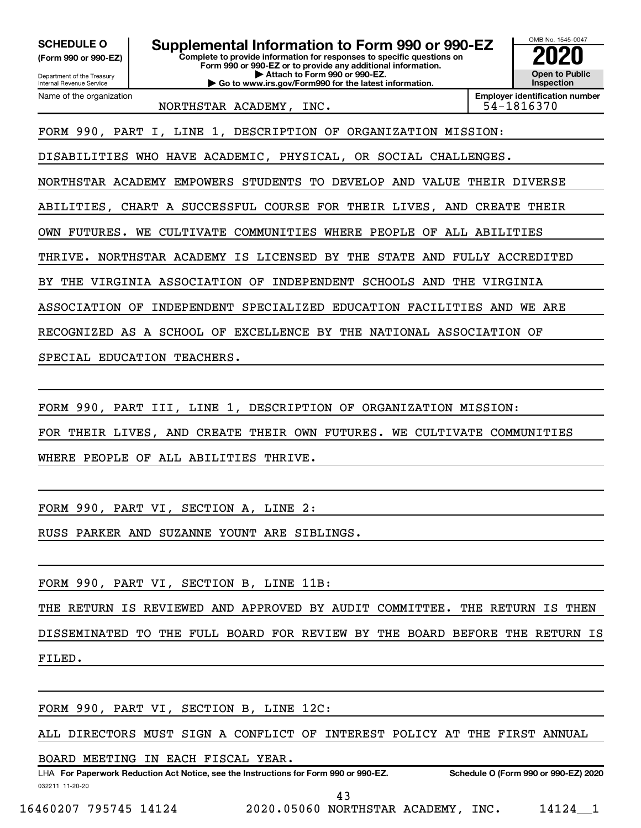**(Form 990 or 990-EZ)**

**Complete to provide information for responses to specific questions on Form 990 or 990-EZ or to provide any additional information. | Attach to Form 990 or 990-EZ. | Go to www.irs.gov/Form990 for the latest information. SCHEDULE O Supplemental Information to Form 990 or 990-EZ 2020**<br>(Form 990 or 990-EZ) **2020** 



Department of the Treasury Internal Revenue Service Name of the organization

NORTHSTAR ACADEMY, INC. 1992. [2010] S4-1816370

FORM 990, PART I, LINE 1, DESCRIPTION OF ORGANIZATION MISSION:

DISABILITIES WHO HAVE ACADEMIC, PHYSICAL, OR SOCIAL CHALLENGES.

NORTHSTAR ACADEMY EMPOWERS STUDENTS TO DEVELOP AND VALUE THEIR DIVERSE

ABILITIES, CHART A SUCCESSFUL COURSE FOR THEIR LIVES, AND CREATE THEIR

OWN FUTURES. WE CULTIVATE COMMUNITIES WHERE PEOPLE OF ALL ABILITIES

THRIVE. NORTHSTAR ACADEMY IS LICENSED BY THE STATE AND FULLY ACCREDITED

BY THE VIRGINIA ASSOCIATION OF INDEPENDENT SCHOOLS AND THE VIRGINIA

ASSOCIATION OF INDEPENDENT SPECIALIZED EDUCATION FACILITIES AND WE ARE

RECOGNIZED AS A SCHOOL OF EXCELLENCE BY THE NATIONAL ASSOCIATION OF

SPECIAL EDUCATION TEACHERS.

FORM 990, PART III, LINE 1, DESCRIPTION OF ORGANIZATION MISSION:

FOR THEIR LIVES, AND CREATE THEIR OWN FUTURES. WE CULTIVATE COMMUNITIES

WHERE PEOPLE OF ALL ABILITIES THRIVE.

FORM 990, PART VI, SECTION A, LINE 2:

RUSS PARKER AND SUZANNE YOUNT ARE SIBLINGS.

FORM 990, PART VI, SECTION B, LINE 11B:

THE RETURN IS REVIEWED AND APPROVED BY AUDIT COMMITTEE. THE RETURN IS THEN DISSEMINATED TO THE FULL BOARD FOR REVIEW BY THE BOARD BEFORE THE RETURN IS FILED.

FORM 990, PART VI, SECTION B, LINE 12C:

ALL DIRECTORS MUST SIGN A CONFLICT OF INTEREST POLICY AT THE FIRST ANNUAL

BOARD MEETING IN EACH FISCAL YEAR.

032211 11-20-20 **For Paperwork Reduction Act Notice, see the Instructions for Form 990 or 990-EZ. Schedule O (Form 990 or 990-EZ) 2020** LHA

43